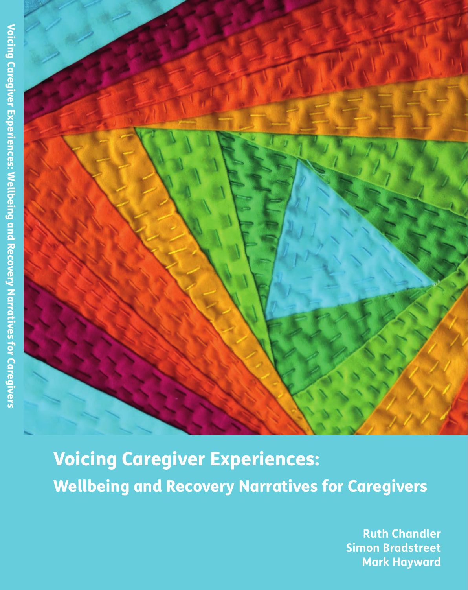

Voicing Caregiver Experiences: Wellbeing and Recovery Narratives for Caregivers

> **Ruth Chandler Simon Bradstreet Mark Hayward**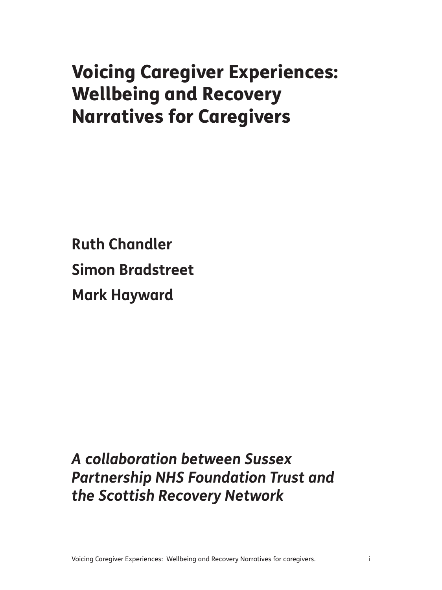# Voicing Caregiver Experiences: Wellbeing and Recovery Narratives for Caregivers

**Ruth Chandler Simon Bradstreet Mark Hayward**

*A collaboration between Sussex Partnership NHS Foundation Trust and the Scottish Recovery Network*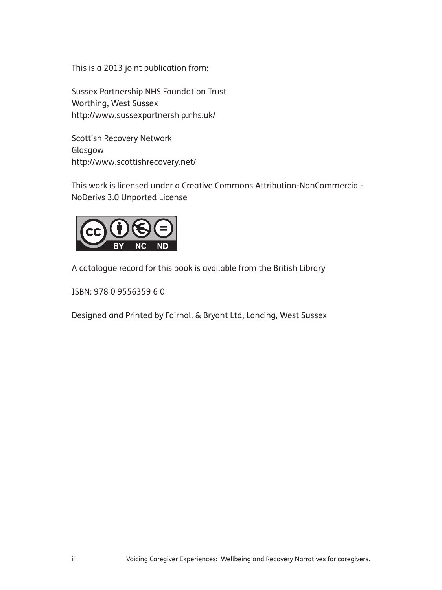This is a 2013 joint publication from:

Sussex Partnership NHS Foundation Trust Worthing, West Sussex http://www.sussexpartnership.nhs.uk/

Scottish Recovery Network Glasgow http://www.scottishrecovery.net/

This work is licensed under a Creative Commons Attribution-NonCommercial-NoDerivs 3.0 Unported License



A catalogue record for this book is available from the British Library

ISBN: 978 0 9556359 6 0

Designed and Printed by Fairhall & Bryant Ltd, Lancing, West Sussex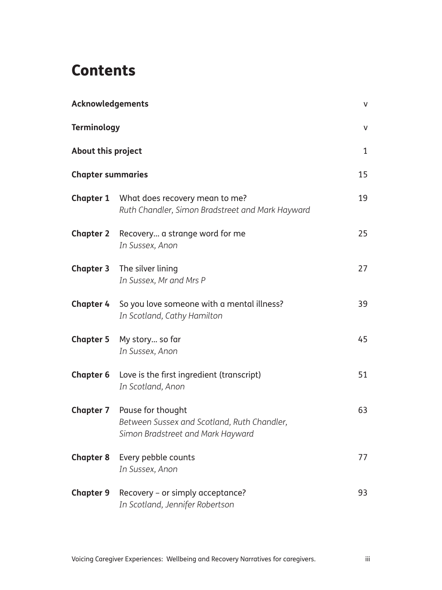## **Contents**

| Acknowledgements                               |                                                                                                       | v  |
|------------------------------------------------|-------------------------------------------------------------------------------------------------------|----|
| <b>Terminology</b>                             |                                                                                                       | v  |
| About this project<br><b>Chapter summaries</b> |                                                                                                       | 1  |
|                                                |                                                                                                       | 15 |
| <b>Chapter 1</b>                               | What does recovery mean to me?<br>Ruth Chandler, Simon Bradstreet and Mark Hayward                    | 19 |
| <b>Chapter 2</b>                               | Recovery a strange word for me<br>In Sussex, Anon                                                     | 25 |
| <b>Chapter 3</b>                               | The silver lining<br>In Sussex, Mr and Mrs P                                                          | 27 |
| <b>Chapter 4</b>                               | So you love someone with a mental illness?<br>In Scotland, Cathy Hamilton                             | 39 |
| <b>Chapter 5</b>                               | My story so far<br>In Sussex, Anon                                                                    | 45 |
| <b>Chapter 6</b>                               | Love is the first ingredient (transcript)<br>In Scotland, Anon                                        | 51 |
| <b>Chapter 7</b>                               | Pause for thought<br>Between Sussex and Scotland, Ruth Chandler,<br>Simon Bradstreet and Mark Hayward | 63 |
| <b>Chapter 8</b>                               | Every pebble counts<br>In Sussex, Anon                                                                | 77 |
| <b>Chapter 9</b>                               | Recovery - or simply acceptance?<br>In Scotland, Jennifer Robertson                                   | 93 |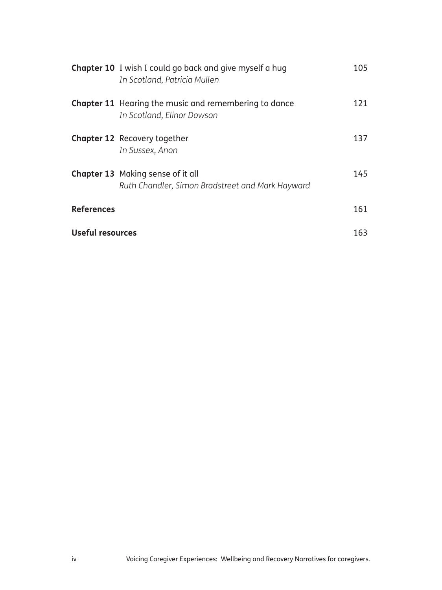|                   | <b>Chapter 10</b> I wish I could go back and give myself a hug<br>In Scotland, Patricia Mullen | 105 |
|-------------------|------------------------------------------------------------------------------------------------|-----|
|                   | Chapter 11 Hearing the music and remembering to dance<br>In Scotland, Elinor Dowson            | 121 |
|                   | <b>Chapter 12</b> Recovery together<br>In Sussex, Anon                                         | 137 |
|                   | <b>Chapter 13</b> Making sense of it all<br>Ruth Chandler, Simon Bradstreet and Mark Hayward   | 145 |
| <b>References</b> |                                                                                                | 161 |
| Useful resources  |                                                                                                | 163 |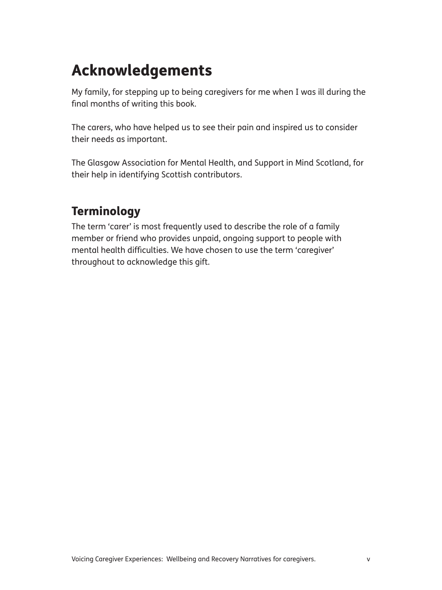# Acknowledgements

My family, for stepping up to being caregivers for me when I was ill during the final months of writing this book.

The carers, who have helped us to see their pain and inspired us to consider their needs as important.

The Glasgow Association for Mental Health, and Support in Mind Scotland, for their help in identifying Scottish contributors.

## **Terminology**

The term 'carer' is most frequently used to describe the role of a family member or friend who provides unpaid, ongoing support to people with mental health difficulties. We have chosen to use the term 'caregiver' throughout to acknowledge this gift.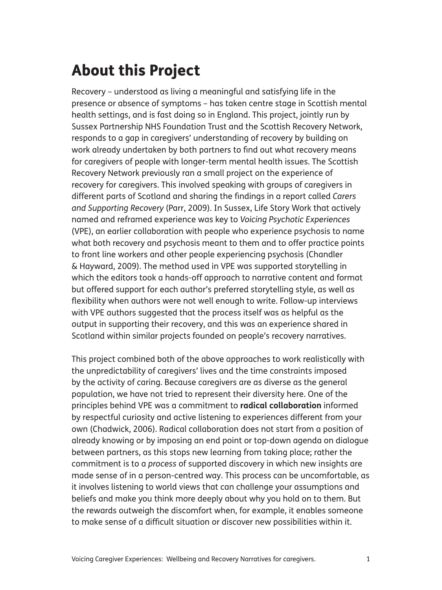# About this Project

Recovery – understood as living a meaningful and satisfying life in the presence or absence of symptoms – has taken centre stage in Scottish mental health settings, and is fast doing so in England. This project, jointly run by Sussex Partnership NHS Foundation Trust and the Scottish Recovery Network, responds to a gap in caregivers' understanding of recovery by building on work already undertaken by both partners to find out what recovery means for caregivers of people with longer-term mental health issues. The Scottish Recovery Network previously ran a small project on the experience of recovery for caregivers. This involved speaking with groups of caregivers in different parts of Scotland and sharing the findings in a report called *Carers and Supporting Recovery* (Parr, 2009). In Sussex, Life Story Work that actively named and reframed experience was key to *Voicing Psychotic Experiences* (VPE), an earlier collaboration with people who experience psychosis to name what both recovery and psychosis meant to them and to offer practice points to front line workers and other people experiencing psychosis (Chandler & Hayward, 2009). The method used in VPE was supported storytelling in which the editors took a hands-off approach to narrative content and format but offered support for each author's preferred storytelling style, as well as flexibility when authors were not well enough to write. Follow-up interviews with VPE authors suggested that the process itself was as helpful as the output in supporting their recovery, and this was an experience shared in Scotland within similar projects founded on people's recovery narratives.

This project combined both of the above approaches to work realistically with the unpredictability of caregivers' lives and the time constraints imposed by the activity of caring. Because caregivers are as diverse as the general population, we have not tried to represent their diversity here. One of the principles behind VPE was a commitment to **radical collaboration** informed by respectful curiosity and active listening to experiences different from your own (Chadwick, 2006). Radical collaboration does not start from a position of already knowing or by imposing an end point or top-down agenda on dialogue between partners, as this stops new learning from taking place; rather the commitment is to a *process* of supported discovery in which new insights are made sense of in a person-centred way. This process can be uncomfortable, as it involves listening to world views that can challenge your assumptions and beliefs and make you think more deeply about why you hold on to them. But the rewards outweigh the discomfort when, for example, it enables someone to make sense of a difficult situation or discover new possibilities within it.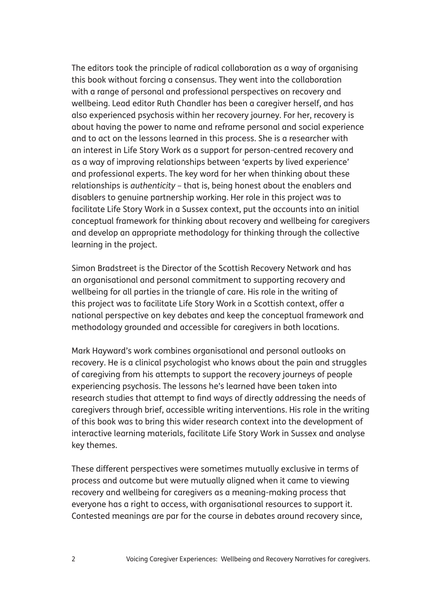The editors took the principle of radical collaboration as a way of organising this book without forcing a consensus. They went into the collaboration with a range of personal and professional perspectives on recovery and wellbeing. Lead editor Ruth Chandler has been a caregiver herself, and has also experienced psychosis within her recovery journey. For her, recovery is about having the power to name and reframe personal and social experience and to act on the lessons learned in this process. She is a researcher with an interest in Life Story Work as a support for person-centred recovery and as a way of improving relationships between 'experts by lived experience' and professional experts. The key word for her when thinking about these relationships is *authenticity* – that is, being honest about the enablers and disablers to genuine partnership working. Her role in this project was to facilitate Life Story Work in a Sussex context, put the accounts into an initial conceptual framework for thinking about recovery and wellbeing for caregivers and develop an appropriate methodology for thinking through the collective learning in the project.

Simon Bradstreet is the Director of the Scottish Recovery Network and has an organisational and personal commitment to supporting recovery and wellbeing for all parties in the triangle of care. His role in the writing of this project was to facilitate Life Story Work in a Scottish context, offer a national perspective on key debates and keep the conceptual framework and methodology grounded and accessible for caregivers in both locations.

Mark Hayward's work combines organisational and personal outlooks on recovery. He is a clinical psychologist who knows about the pain and struggles of caregiving from his attempts to support the recovery journeys of people experiencing psychosis. The lessons he's learned have been taken into research studies that attempt to find ways of directly addressing the needs of caregivers through brief, accessible writing interventions. His role in the writing of this book was to bring this wider research context into the development of interactive learning materials, facilitate Life Story Work in Sussex and analyse key themes.

These different perspectives were sometimes mutually exclusive in terms of process and outcome but were mutually aligned when it came to viewing recovery and wellbeing for caregivers as a meaning-making process that everyone has a right to access, with organisational resources to support it. Contested meanings are par for the course in debates around recovery since,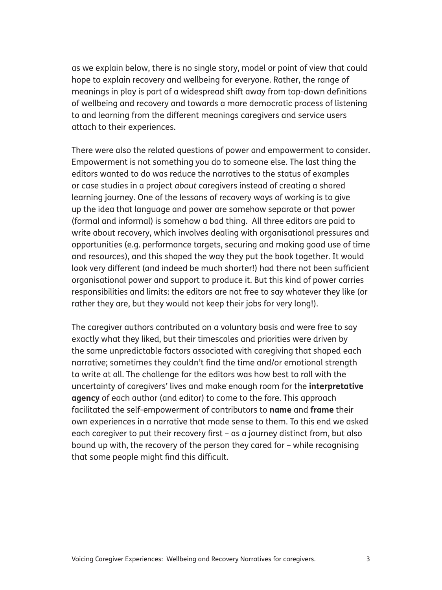as we explain below, there is no single story, model or point of view that could hope to explain recovery and wellbeing for everyone. Rather, the range of meanings in play is part of a widespread shift away from top-down definitions of wellbeing and recovery and towards a more democratic process of listening to and learning from the different meanings caregivers and service users attach to their experiences.

There were also the related questions of power and empowerment to consider. Empowerment is not something you do to someone else. The last thing the editors wanted to do was reduce the narratives to the status of examples or case studies in a project *about* caregivers instead of creating a shared learning journey. One of the lessons of recovery ways of working is to give up the idea that language and power are somehow separate or that power (formal and informal) is somehow a bad thing. All three editors are paid to write about recovery, which involves dealing with organisational pressures and opportunities (e.g. performance targets, securing and making good use of time and resources), and this shaped the way they put the book together. It would look very different (and indeed be much shorter!) had there not been sufficient organisational power and support to produce it. But this kind of power carries responsibilities and limits: the editors are not free to say whatever they like (or rather they are, but they would not keep their jobs for very long!).

The caregiver authors contributed on a voluntary basis and were free to say exactly what they liked, but their timescales and priorities were driven by the same unpredictable factors associated with caregiving that shaped each narrative; sometimes they couldn't find the time and/or emotional strength to write at all. The challenge for the editors was how best to roll with the uncertainty of caregivers' lives and make enough room for the **interpretative agency** of each author (and editor) to come to the fore. This approach facilitated the self-empowerment of contributors to **name** and **frame** their own experiences in a narrative that made sense to them. To this end we asked each caregiver to put their recovery first – as a journey distinct from, but also bound up with, the recovery of the person they cared for – while recognising that some people might find this difficult.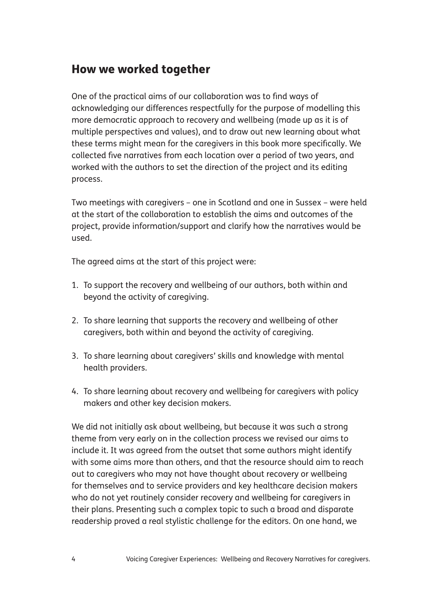## How we worked together

One of the practical aims of our collaboration was to find ways of acknowledging our differences respectfully for the purpose of modelling this more democratic approach to recovery and wellbeing (made up as it is of multiple perspectives and values), and to draw out new learning about what these terms might mean for the caregivers in this book more specifically. We collected five narratives from each location over a period of two years, and worked with the authors to set the direction of the project and its editing process.

Two meetings with caregivers – one in Scotland and one in Sussex – were held at the start of the collaboration to establish the aims and outcomes of the project, provide information/support and clarify how the narratives would be used.

The agreed aims at the start of this project were:

- 1. To support the recovery and wellbeing of our authors, both within and beyond the activity of caregiving.
- 2. To share learning that supports the recovery and wellbeing of other caregivers, both within and beyond the activity of caregiving.
- 3. To share learning about caregivers' skills and knowledge with mental health providers.
- 4. To share learning about recovery and wellbeing for caregivers with policy makers and other key decision makers.

We did not initially ask about wellbeing, but because it was such a strong theme from very early on in the collection process we revised our aims to include it. It was agreed from the outset that some authors might identify with some aims more than others, and that the resource should aim to reach out to caregivers who may not have thought about recovery or wellbeing for themselves and to service providers and key healthcare decision makers who do not yet routinely consider recovery and wellbeing for caregivers in their plans. Presenting such a complex topic to such a broad and disparate readership proved a real stylistic challenge for the editors. On one hand, we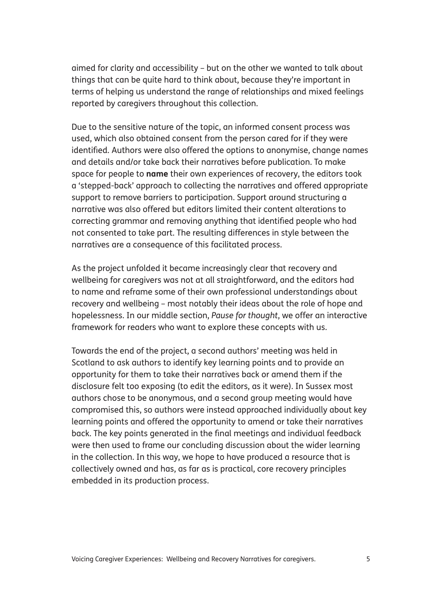aimed for clarity and accessibility – but on the other we wanted to talk about things that can be quite hard to think about, because they're important in terms of helping us understand the range of relationships and mixed feelings reported by caregivers throughout this collection.

Due to the sensitive nature of the topic, an informed consent process was used, which also obtained consent from the person cared for if they were identified. Authors were also offered the options to anonymise, change names and details and/or take back their narratives before publication. To make space for people to **name** their own experiences of recovery, the editors took a 'stepped-back' approach to collecting the narratives and offered appropriate support to remove barriers to participation. Support around structuring a narrative was also offered but editors limited their content alterations to correcting grammar and removing anything that identified people who had not consented to take part. The resulting differences in style between the narratives are a consequence of this facilitated process.

As the project unfolded it became increasingly clear that recovery and wellbeing for caregivers was not at all straightforward, and the editors had to name and reframe some of their own professional understandings about recovery and wellbeing – most notably their ideas about the role of hope and hopelessness. In our middle section, *Pause for thought*, we offer an interactive framework for readers who want to explore these concepts with us.

Towards the end of the project, a second authors' meeting was held in Scotland to ask authors to identify key learning points and to provide an opportunity for them to take their narratives back or amend them if the disclosure felt too exposing (to edit the editors, as it were). In Sussex most authors chose to be anonymous, and a second group meeting would have compromised this, so authors were instead approached individually about key learning points and offered the opportunity to amend or take their narratives back. The key points generated in the final meetings and individual feedback were then used to frame our concluding discussion about the wider learning in the collection. In this way, we hope to have produced a resource that is collectively owned and has, as far as is practical, core recovery principles embedded in its production process.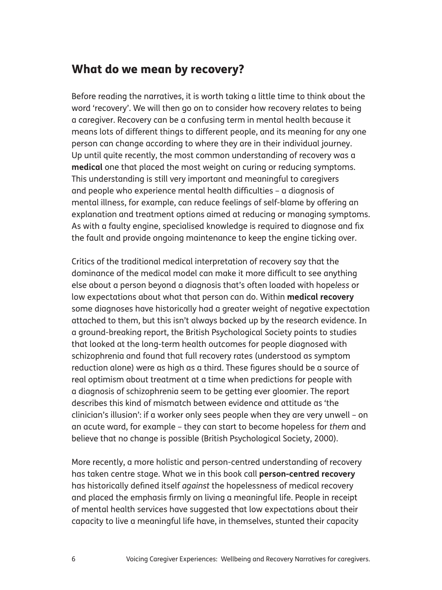### What do we mean by recovery?

Before reading the narratives, it is worth taking a little time to think about the word 'recovery'. We will then go on to consider how recovery relates to being a caregiver. Recovery can be a confusing term in mental health because it means lots of different things to different people, and its meaning for any one person can change according to where they are in their individual journey. Up until quite recently, the most common understanding of recovery was a **medical** one that placed the most weight on curing or reducing symptoms. This understanding is still very important and meaningful to caregivers and people who experience mental health difficulties – a diagnosis of mental illness, for example, can reduce feelings of self-blame by offering an explanation and treatment options aimed at reducing or managing symptoms. As with a faulty engine, specialised knowledge is required to diagnose and fix the fault and provide ongoing maintenance to keep the engine ticking over.

Critics of the traditional medical interpretation of recovery say that the dominance of the medical model can make it more difficult to see anything else about a person beyond a diagnosis that's often loaded with hope*less* or low expectations about what that person can do. Within **medical recovery** some diagnoses have historically had a greater weight of negative expectation attached to them, but this isn't always backed up by the research evidence. In a ground-breaking report, the British Psychological Society points to studies that looked at the long-term health outcomes for people diagnosed with schizophrenia and found that full recovery rates (understood as symptom reduction alone) were as high as a third. These figures should be a source of real optimism about treatment at a time when predictions for people with a diagnosis of schizophrenia seem to be getting ever gloomier. The report describes this kind of mismatch between evidence and attitude as 'the clinician's illusion': if a worker only sees people when they are very unwell – on an acute ward, for example – they can start to become hopeless for *them* and believe that no change is possible (British Psychological Society, 2000).

More recently, a more holistic and person-centred understanding of recovery has taken centre stage. What we in this book call **person-centred recovery** has historically defined itself *against* the hopelessness of medical recovery and placed the emphasis firmly on living a meaningful life. People in receipt of mental health services have suggested that low expectations about their capacity to live a meaningful life have, in themselves, stunted their capacity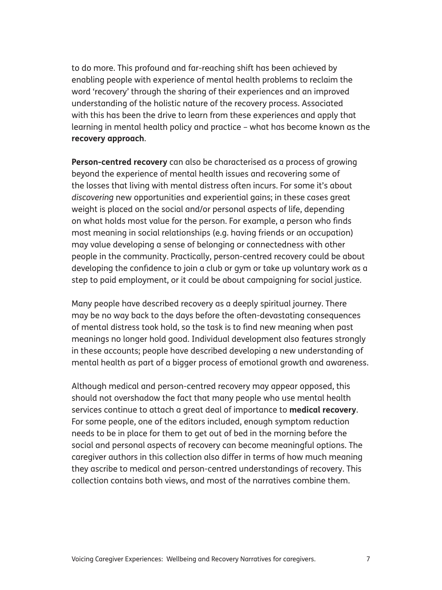to do more. This profound and far-reaching shift has been achieved by enabling people with experience of mental health problems to reclaim the word 'recovery' through the sharing of their experiences and an improved understanding of the holistic nature of the recovery process. Associated with this has been the drive to learn from these experiences and apply that learning in mental health policy and practice – what has become known as the **recovery approach**.

**Person-centred recovery** can also be characterised as a process of growing beyond the experience of mental health issues and recovering some of the losses that living with mental distress often incurs. For some it's about *discovering* new opportunities and experiential gains; in these cases great weight is placed on the social and/or personal aspects of life, depending on what holds most value for the person. For example, a person who finds most meaning in social relationships (e.g. having friends or an occupation) may value developing a sense of belonging or connectedness with other people in the community. Practically, person-centred recovery could be about developing the confidence to join a club or gym or take up voluntary work as a step to paid employment, or it could be about campaigning for social justice.

Many people have described recovery as a deeply spiritual journey. There may be no way back to the days before the often-devastating consequences of mental distress took hold, so the task is to find new meaning when past meanings no longer hold good. Individual development also features strongly in these accounts; people have described developing a new understanding of mental health as part of a bigger process of emotional growth and awareness.

Although medical and person-centred recovery may appear opposed, this should not overshadow the fact that many people who use mental health services continue to attach a great deal of importance to **medical recovery**. For some people, one of the editors included, enough symptom reduction needs to be in place for them to get out of bed in the morning before the social and personal aspects of recovery can become meaningful options. The caregiver authors in this collection also differ in terms of how much meaning they ascribe to medical and person-centred understandings of recovery. This collection contains both views, and most of the narratives combine them.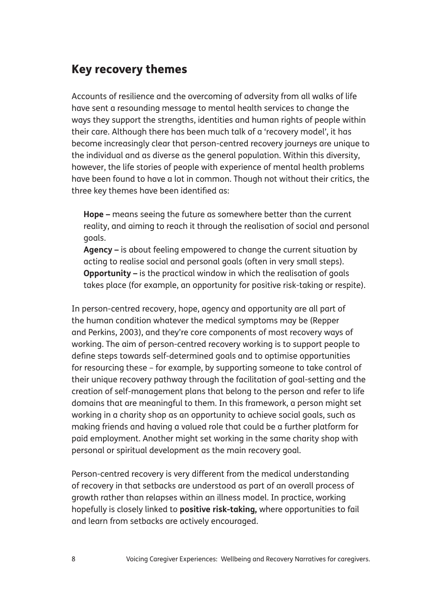## Key recovery themes

Accounts of resilience and the overcoming of adversity from all walks of life have sent a resounding message to mental health services to change the ways they support the strengths, identities and human rights of people within their care. Although there has been much talk of a 'recovery model', it has become increasingly clear that person-centred recovery journeys are unique to the individual and as diverse as the general population. Within this diversity, however, the life stories of people with experience of mental health problems have been found to have a lot in common. Though not without their critics, the three key themes have been identified as:

 **Hope –** means seeing the future as somewhere better than the current reality, and aiming to reach it through the realisation of social and personal goals.

 **Agency –** is about feeling empowered to change the current situation by acting to realise social and personal goals (often in very small steps).  **Opportunity –** is the practical window in which the realisation of goals takes place (for example, an opportunity for positive risk-taking or respite).

In person-centred recovery, hope, agency and opportunity are all part of the human condition whatever the medical symptoms may be (Repper and Perkins, 2003), and they're core components of most recovery ways of working. The aim of person-centred recovery working is to support people to define steps towards self-determined goals and to optimise opportunities for resourcing these – for example, by supporting someone to take control of their unique recovery pathway through the facilitation of goal-setting and the creation of self-management plans that belong to the person and refer to life domains that are meaningful to them. In this framework, a person might set working in a charity shop as an opportunity to achieve social goals, such as making friends and having a valued role that could be a further platform for paid employment. Another might set working in the same charity shop with personal or spiritual development as the main recovery goal.

Person-centred recovery is very different from the medical understanding of recovery in that setbacks are understood as part of an overall process of growth rather than relapses within an illness model. In practice, working hopefully is closely linked to **positive risk-taking,** where opportunities to fail and learn from setbacks are actively encouraged.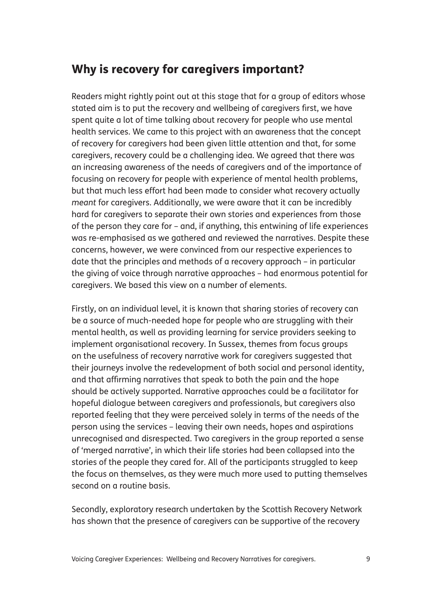## Why is recovery for caregivers important?

Readers might rightly point out at this stage that for a group of editors whose stated aim is to put the recovery and wellbeing of caregivers first, we have spent quite a lot of time talking about recovery for people who use mental health services. We came to this project with an awareness that the concept of recovery for caregivers had been given little attention and that, for some caregivers, recovery could be a challenging idea. We agreed that there was an increasing awareness of the needs of caregivers and of the importance of focusing on recovery for people with experience of mental health problems, but that much less effort had been made to consider what recovery actually *meant* for caregivers. Additionally, we were aware that it can be incredibly hard for caregivers to separate their own stories and experiences from those of the person they care for – and, if anything, this entwining of life experiences was re-emphasised as we gathered and reviewed the narratives. Despite these concerns, however, we were convinced from our respective experiences to date that the principles and methods of a recovery approach – in particular the giving of voice through narrative approaches – had enormous potential for caregivers. We based this view on a number of elements.

Firstly, on an individual level, it is known that sharing stories of recovery can be a source of much-needed hope for people who are struggling with their mental health, as well as providing learning for service providers seeking to implement organisational recovery. In Sussex, themes from focus groups on the usefulness of recovery narrative work for caregivers suggested that their journeys involve the redevelopment of both social and personal identity, and that affirming narratives that speak to both the pain and the hope should be actively supported. Narrative approaches could be a facilitator for hopeful dialogue between caregivers and professionals, but caregivers also reported feeling that they were perceived solely in terms of the needs of the person using the services – leaving their own needs, hopes and aspirations unrecognised and disrespected. Two caregivers in the group reported a sense of 'merged narrative', in which their life stories had been collapsed into the stories of the people they cared for. All of the participants struggled to keep the focus on themselves, as they were much more used to putting themselves second on a routine basis.

Secondly, exploratory research undertaken by the Scottish Recovery Network has shown that the presence of caregivers can be supportive of the recovery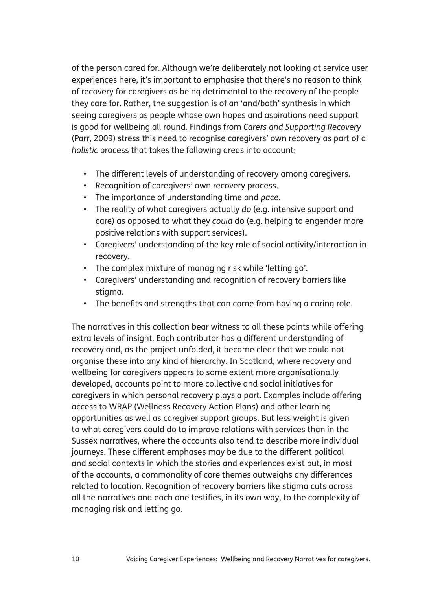of the person cared for. Although we're deliberately not looking at service user experiences here, it's important to emphasise that there's no reason to think of recovery for caregivers as being detrimental to the recovery of the people they care for. Rather, the suggestion is of an 'and/both' synthesis in which seeing caregivers as people whose own hopes and aspirations need support is good for wellbeing all round. Findings from *Carers and Supporting Recovery* (Parr, 2009) stress this need to recognise caregivers' own recovery as part of a *holistic* process that takes the following areas into account:

- The different levels of understanding of recovery among caregivers.
- Recognition of caregivers' own recovery process.
- The importance of understanding time and *pace*.
- The reality of what caregivers actually *do* (e.g. intensive support and care) as opposed to what they *could* do (e.g. helping to engender more positive relations with support services).
- Caregivers' understanding of the key role of social activity/interaction in recovery.
- The complex mixture of managing risk while 'letting go'.
- Caregivers' understanding and recognition of recovery barriers like stigma.
- The benefits and strengths that can come from having a caring role.

The narratives in this collection bear witness to all these points while offering extra levels of insight. Each contributor has a different understanding of recovery and, as the project unfolded, it became clear that we could not organise these into any kind of hierarchy. In Scotland, where recovery and wellbeing for caregivers appears to some extent more organisationally developed, accounts point to more collective and social initiatives for caregivers in which personal recovery plays a part. Examples include offering access to WRAP (Wellness Recovery Action Plans) and other learning opportunities as well as caregiver support groups. But less weight is given to what caregivers could do to improve relations with services than in the Sussex narratives, where the accounts also tend to describe more individual journeys. These different emphases may be due to the different political and social contexts in which the stories and experiences exist but, in most of the accounts, a commonality of core themes outweighs any differences related to location. Recognition of recovery barriers like stigma cuts across all the narratives and each one testifies, in its own way, to the complexity of managing risk and letting go.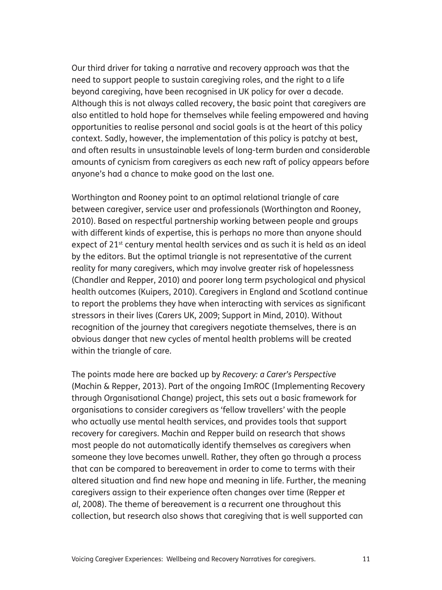Our third driver for taking a narrative and recovery approach was that the need to support people to sustain caregiving roles, and the right to a life beyond caregiving, have been recognised in UK policy for over a decade. Although this is not always called recovery, the basic point that caregivers are also entitled to hold hope for themselves while feeling empowered and having opportunities to realise personal and social goals is at the heart of this policy context. Sadly, however, the implementation of this policy is patchy at best, and often results in unsustainable levels of long-term burden and considerable amounts of cynicism from caregivers as each new raft of policy appears before anyone's had a chance to make good on the last one.

Worthington and Rooney point to an optimal relational triangle of care between caregiver, service user and professionals (Worthington and Rooney, 2010). Based on respectful partnership working between people and groups with different kinds of expertise, this is perhaps no more than anyone should expect of 21<sup>st</sup> century mental health services and as such it is held as an ideal by the editors. But the optimal triangle is not representative of the current reality for many caregivers, which may involve greater risk of hopelessness (Chandler and Repper, 2010) and poorer long term psychological and physical health outcomes (Kuipers, 2010). Caregivers in England and Scotland continue to report the problems they have when interacting with services as significant stressors in their lives (Carers UK, 2009; Support in Mind, 2010). Without recognition of the journey that caregivers negotiate themselves, there is an obvious danger that new cycles of mental health problems will be created within the triangle of care.

The points made here are backed up by *Recovery: a Carer's Perspective*  (Machin & Repper, 2013). Part of the ongoing ImROC (Implementing Recovery through Organisational Change) project, this sets out a basic framework for organisations to consider caregivers as 'fellow travellers' with the people who actually use mental health services, and provides tools that support recovery for caregivers. Machin and Repper build on research that shows most people do not automatically identify themselves as caregivers when someone they love becomes unwell. Rather, they often go through a process that can be compared to bereavement in order to come to terms with their altered situation and find new hope and meaning in life. Further, the meaning caregivers assign to their experience often changes over time (Repper *et al*, 2008). The theme of bereavement is a recurrent one throughout this collection, but research also shows that caregiving that is well supported can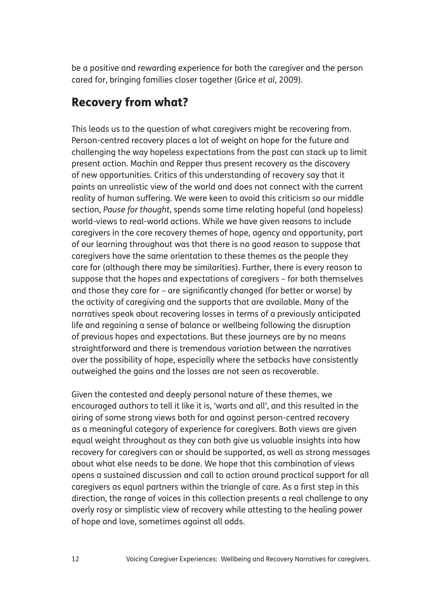be a positive and rewarding experience for both the caregiver and the person cared for, bringing families closer together (Grice *et al*, 2009).

## Recovery from what?

This leads us to the question of what caregivers might be recovering from. Person-centred recovery places a lot of weight on hope for the future and challenging the way hopeless expectations from the past can stack up to limit present action. Machin and Repper thus present recovery as the discovery of new opportunities. Critics of this understanding of recovery say that it paints an unrealistic view of the world and does not connect with the current reality of human suffering. We were keen to avoid this criticism so our middle section, *Pause for thought*, spends some time relating hopeful (and hopeless) world-views to real-world actions. While we have given reasons to include caregivers in the core recovery themes of hope, agency and opportunity, part of our learning throughout was that there is no good reason to suppose that caregivers have the same orientation to these themes as the people they care for (although there may be similarities). Further, there is every reason to suppose that the hopes and expectations of caregivers – for both themselves and those they care for – are significantly changed (for better or worse) by the activity of caregiving and the supports that are available. Many of the narratives speak about recovering losses in terms of a previously anticipated life and regaining a sense of balance or wellbeing following the disruption of previous hopes and expectations. But these journeys are by no means straightforward and there is tremendous variation between the narratives over the possibility of hope, especially where the setbacks have consistently outweighed the gains and the losses are not seen as recoverable.

Given the contested and deeply personal nature of these themes, we encouraged authors to tell it like it is, 'warts and all', and this resulted in the airing of some strong views both for and against person-centred recovery as a meaningful category of experience for caregivers. Both views are given equal weight throughout as they can both give us valuable insights into how recovery for caregivers can or should be supported, as well as strong messages about what else needs to be done. We hope that this combination of views opens a sustained discussion and call to action around practical support for all caregivers as equal partners within the triangle of care. As a first step in this direction, the range of voices in this collection presents a real challenge to any overly rosy or simplistic view of recovery while attesting to the healing power of hope and love, sometimes against all odds.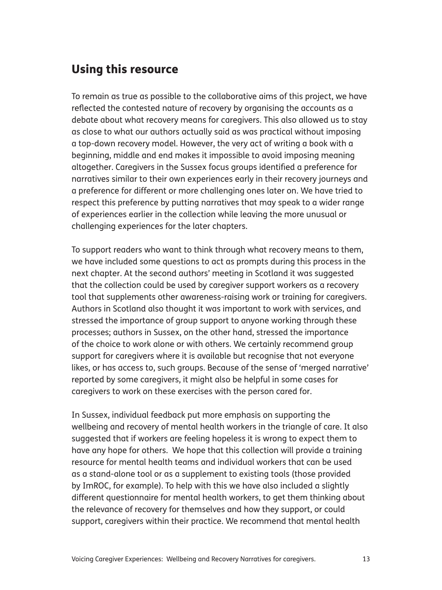## Using this resource

To remain as true as possible to the collaborative aims of this project, we have reflected the contested nature of recovery by organising the accounts as a debate about what recovery means for caregivers. This also allowed us to stay as close to what our authors actually said as was practical without imposing a top-down recovery model. However, the very act of writing a book with a beginning, middle and end makes it impossible to avoid imposing meaning altogether. Caregivers in the Sussex focus groups identified a preference for narratives similar to their own experiences early in their recovery journeys and a preference for different or more challenging ones later on. We have tried to respect this preference by putting narratives that may speak to a wider range of experiences earlier in the collection while leaving the more unusual or challenging experiences for the later chapters.

To support readers who want to think through what recovery means to them, we have included some questions to act as prompts during this process in the next chapter. At the second authors' meeting in Scotland it was suggested that the collection could be used by caregiver support workers as a recovery tool that supplements other awareness-raising work or training for caregivers. Authors in Scotland also thought it was important to work with services, and stressed the importance of group support to anyone working through these processes; authors in Sussex, on the other hand, stressed the importance of the choice to work alone or with others. We certainly recommend group support for caregivers where it is available but recognise that not everyone likes, or has access to, such groups. Because of the sense of 'merged narrative' reported by some caregivers, it might also be helpful in some cases for caregivers to work on these exercises with the person cared for.

In Sussex, individual feedback put more emphasis on supporting the wellbeing and recovery of mental health workers in the triangle of care. It also suggested that if workers are feeling hopeless it is wrong to expect them to have any hope for others. We hope that this collection will provide a training resource for mental health teams and individual workers that can be used as a stand-alone tool or as a supplement to existing tools (those provided by ImROC, for example). To help with this we have also included a slightly different questionnaire for mental health workers, to get them thinking about the relevance of recovery for themselves and how they support, or could support, caregivers within their practice. We recommend that mental health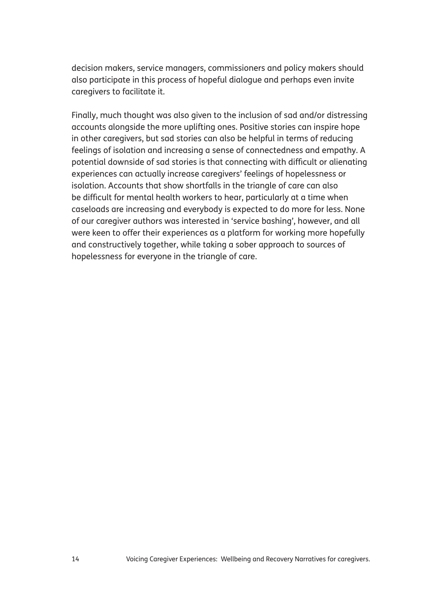decision makers, service managers, commissioners and policy makers should also participate in this process of hopeful dialogue and perhaps even invite caregivers to facilitate it.

Finally, much thought was also given to the inclusion of sad and/or distressing accounts alongside the more uplifting ones. Positive stories can inspire hope in other caregivers, but sad stories can also be helpful in terms of reducing feelings of isolation and increasing a sense of connectedness and empathy. A potential downside of sad stories is that connecting with difficult or alienating experiences can actually increase caregivers' feelings of hopelessness or isolation. Accounts that show shortfalls in the triangle of care can also be difficult for mental health workers to hear, particularly at a time when caseloads are increasing and everybody is expected to do more for less. None of our caregiver authors was interested in 'service bashing', however, and all were keen to offer their experiences as a platform for working more hopefully and constructively together, while taking a sober approach to sources of hopelessness for everyone in the triangle of care.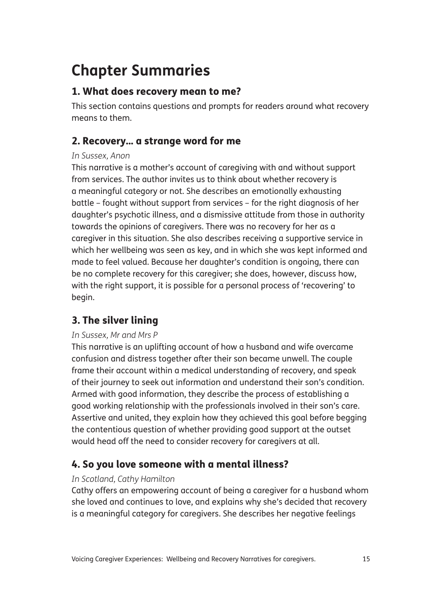# **Chapter Summaries**

#### 1. What does recovery mean to me?

This section contains questions and prompts for readers around what recovery means to them.

## 2. Recovery... a strange word for me

#### *In Sussex, Anon*

This narrative is a mother's account of caregiving with and without support from services. The author invites us to think about whether recovery is a meaningful category or not. She describes an emotionally exhausting battle – fought without support from services – for the right diagnosis of her daughter's psychotic illness, and a dismissive attitude from those in authority towards the opinions of caregivers. There was no recovery for her as a caregiver in this situation. She also describes receiving a supportive service in which her wellbeing was seen as key, and in which she was kept informed and made to feel valued. Because her daughter's condition is ongoing, there can be no complete recovery for this caregiver; she does, however, discuss how, with the right support, it is possible for a personal process of 'recovering' to begin.

## 3. The silver lining

#### *In Sussex, Mr and Mrs P*

This narrative is an uplifting account of how a husband and wife overcame confusion and distress together after their son became unwell. The couple frame their account within a medical understanding of recovery, and speak of their journey to seek out information and understand their son's condition. Armed with good information, they describe the process of establishing a good working relationship with the professionals involved in their son's care. Assertive and united, they explain how they achieved this goal before begging the contentious question of whether providing good support at the outset would head off the need to consider recovery for caregivers at all.

## 4. So you love someone with a mental illness?

#### *In Scotland, Cathy Hamilton*

Cathy offers an empowering account of being a caregiver for a husband whom she loved and continues to love, and explains why she's decided that recovery is a meaningful category for caregivers. She describes her negative feelings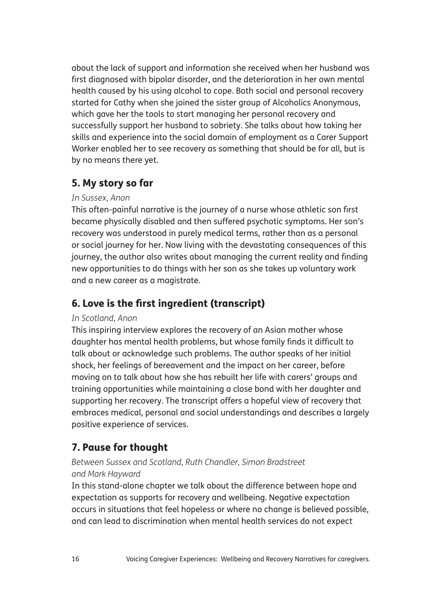about the lack of support and information she received when her husband was first diagnosed with bipolar disorder, and the deterioration in her own mental health caused by his using alcohol to cope. Both social and personal recovery started for Cathy when she joined the sister group of Alcoholics Anonymous, which gave her the tools to start managing her personal recovery and successfully support her husband to sobriety. She talks about how taking her skills and experience into the social domain of employment as a Carer Support Worker enabled her to see recovery as something that should be for all, but is by no means there yet.

### 5. My story so far

#### *In Sussex, Anon*

This often-painful narrative is the journey of a nurse whose athletic son first became physically disabled and then suffered psychotic symptoms. Her son's recovery was understood in purely medical terms, rather than as a personal or social journey for her. Now living with the devastating consequences of this journey, the author also writes about managing the current reality and finding new opportunities to do things with her son as she takes up voluntary work and a new career as a magistrate.

### 6. Love is the first ingredient (transcript)

#### *In Scotland, Anon*

This inspiring interview explores the recovery of an Asian mother whose daughter has mental health problems, but whose family finds it difficult to talk about or acknowledge such problems. The author speaks of her initial shock, her feelings of bereavement and the impact on her career, before moving on to talk about how she has rebuilt her life with carers' groups and training opportunities while maintaining a close bond with her daughter and supporting her recovery. The transcript offers a hopeful view of recovery that embraces medical, personal and social understandings and describes a largely positive experience of services.

## 7. Pause for thought

#### *Between Sussex and Scotland, Ruth Chandler, Simon Bradstreet and Mark Hayward*

In this stand-alone chapter we talk about the difference between hope and expectation as supports for recovery and wellbeing. Negative expectation occurs in situations that feel hopeless or where no change is believed possible, and can lead to discrimination when mental health services do not expect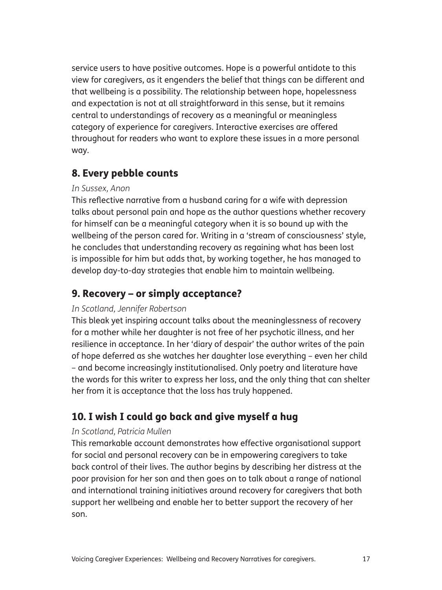service users to have positive outcomes. Hope is a powerful antidote to this view for caregivers, as it engenders the belief that things can be different and that wellbeing is a possibility. The relationship between hope, hopelessness and expectation is not at all straightforward in this sense, but it remains central to understandings of recovery as a meaningful or meaningless category of experience for caregivers. Interactive exercises are offered throughout for readers who want to explore these issues in a more personal way.

#### 8. Every pebble counts

#### *In Sussex, Anon*

This reflective narrative from a husband caring for a wife with depression talks about personal pain and hope as the author questions whether recovery for himself can be a meaningful category when it is so bound up with the wellbeing of the person cared for. Writing in a 'stream of consciousness' style, he concludes that understanding recovery as regaining what has been lost is impossible for him but adds that, by working together, he has managed to develop day-to-day strategies that enable him to maintain wellbeing.

## 9. Recovery – or simply acceptance?

#### *In Scotland, Jennifer Robertson*

This bleak yet inspiring account talks about the meaninglessness of recovery for a mother while her daughter is not free of her psychotic illness, and her resilience in acceptance. In her 'diary of despair' the author writes of the pain of hope deferred as she watches her daughter lose everything – even her child – and become increasingly institutionalised. Only poetry and literature have the words for this writer to express her loss, and the only thing that can shelter her from it is acceptance that the loss has truly happened.

## 10. I wish I could go back and give myself a hug

#### *In Scotland, Patricia Mullen*

This remarkable account demonstrates how effective organisational support for social and personal recovery can be in empowering caregivers to take back control of their lives. The author begins by describing her distress at the poor provision for her son and then goes on to talk about a range of national and international training initiatives around recovery for caregivers that both support her wellbeing and enable her to better support the recovery of her son.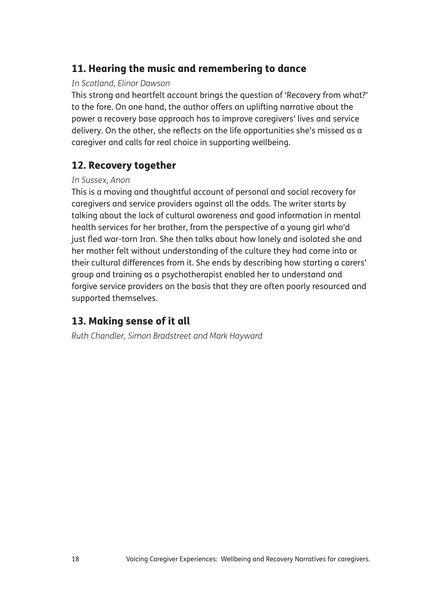#### 11. Hearing the music and remembering to dance

#### *In Scotland, Elinor Dawson*

This strong and heartfelt account brings the question of 'Recovery from what?' to the fore. On one hand, the author offers an uplifting narrative about the power a recovery base approach has to improve caregivers' lives and service delivery. On the other, she reflects on the life opportunities she's missed as a caregiver and calls for real choice in supporting wellbeing.

#### 12. Recovery together

#### *In Sussex, Anon*

This is a moving and thoughtful account of personal and social recovery for caregivers and service providers against all the odds. The writer starts by talking about the lack of cultural awareness and good information in mental health services for her brother, from the perspective of a young girl who'd just fled war-torn Iran. She then talks about how lonely and isolated she and her mother felt without understanding of the culture they had come into or their cultural differences from it. She ends by describing how starting a carers' group and training as a psychotherapist enabled her to understand and forgive service providers on the basis that they are often poorly resourced and supported themselves.

### 13. Making sense of it all

*Ruth Chandler, Simon Bradstreet and Mark Hayward*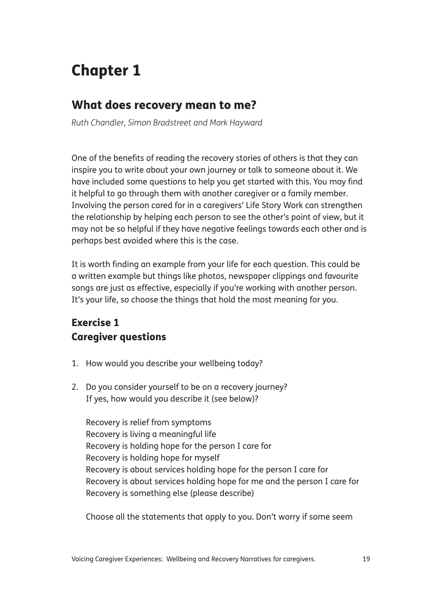# Chapter 1

## What does recovery mean to me?

*Ruth Chandler, Simon Bradstreet and Mark Hayward*

One of the benefits of reading the recovery stories of others is that they can inspire you to write about your own journey or talk to someone about it. We have included some questions to help you get started with this. You may find it helpful to go through them with another caregiver or a family member. Involving the person cared for in a caregivers' Life Story Work can strengthen the relationship by helping each person to see the other's point of view, but it may not be so helpful if they have negative feelings towards each other and is perhaps best avoided where this is the case.

It is worth finding an example from your life for each question. This could be a written example but things like photos, newspaper clippings and favourite songs are just as effective, especially if you're working with another person. It's your life, so choose the things that hold the most meaning for you.

## Exercise 1 Caregiver questions

- 1. How would you describe your wellbeing today?
- 2. Do you consider yourself to be on a recovery journey? If yes, how would you describe it (see below)?

 Recovery is relief from symptoms Recovery is living a meaningful life Recovery is holding hope for the person I care for Recovery is holding hope for myself Recovery is about services holding hope for the person I care for Recovery is about services holding hope for me and the person I care for Recovery is something else (please describe)

Choose all the statements that apply to you. Don't worry if some seem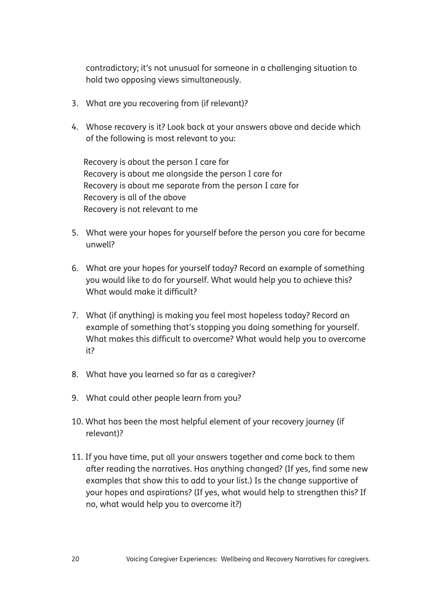contradictory; it's not unusual for someone in a challenging situation to hold two opposing views simultaneously.

- 3. What are you recovering from (if relevant)?
- 4. Whose recovery is it? Look back at your answers above and decide which of the following is most relevant to you:

 Recovery is about the person I care for Recovery is about me alongside the person I care for Recovery is about me separate from the person I care for Recovery is all of the above Recovery is not relevant to me

- 5. What were your hopes for yourself before the person you care for became unwell?
- 6. What are your hopes for yourself today? Record an example of something you would like to do for yourself. What would help you to achieve this? What would make it difficult?
- 7. What (if anything) is making you feel most hopeless today? Record an example of something that's stopping you doing something for yourself. What makes this difficult to overcome? What would help you to overcome it?
- 8. What have you learned so far as a caregiver?
- 9. What could other people learn from you?
- 10. What has been the most helpful element of your recovery journey (if relevant)?
- 11. If you have time, put all your answers together and come back to them after reading the narratives. Has anything changed? (If yes, find some new examples that show this to add to your list.) Is the change supportive of your hopes and aspirations? (If yes, what would help to strengthen this? If no, what would help you to overcome it?)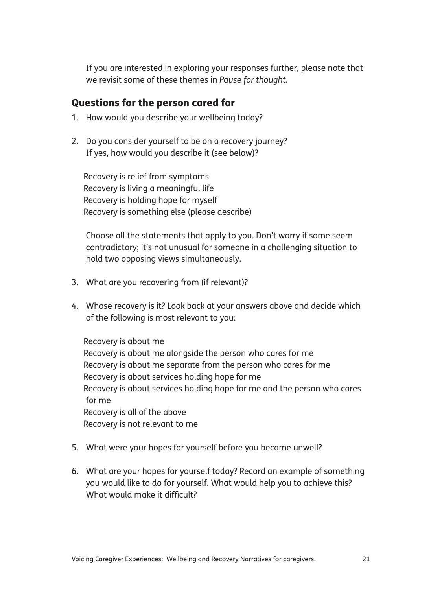If you are interested in exploring your responses further, please note that we revisit some of these themes in *Pause for thought.*

#### Questions for the person cared for

- 1. How would you describe your wellbeing today?
- 2. Do you consider yourself to be on a recovery journey? If yes, how would you describe it (see below)?

 Recovery is relief from symptoms Recovery is living a meaningful life Recovery is holding hope for myself Recovery is something else (please describe)

 Choose all the statements that apply to you. Don't worry if some seem contradictory; it's not unusual for someone in a challenging situation to hold two opposing views simultaneously.

- 3. What are you recovering from (if relevant)?
- 4. Whose recovery is it? Look back at your answers above and decide which of the following is most relevant to you:

 Recovery is about me Recovery is about me alongside the person who cares for me Recovery is about me separate from the person who cares for me Recovery is about services holding hope for me Recovery is about services holding hope for me and the person who cares for me Recovery is all of the above Recovery is not relevant to me

- 5. What were your hopes for yourself before you became unwell?
- 6. What are your hopes for yourself today? Record an example of something you would like to do for yourself. What would help you to achieve this? What would make it difficult?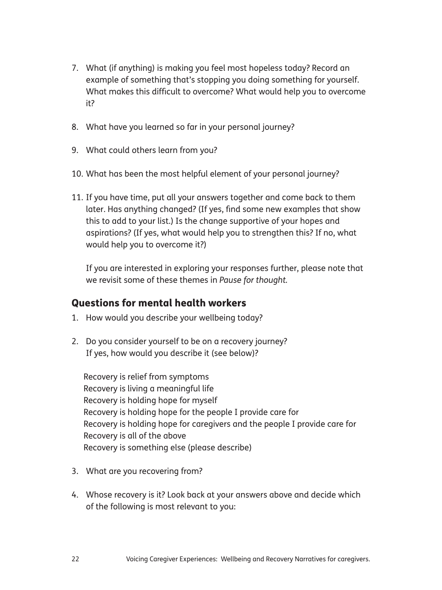- 7. What (if anything) is making you feel most hopeless today? Record an example of something that's stopping you doing something for yourself. What makes this difficult to overcome? What would help you to overcome it?
- 8. What have you learned so far in your personal journey?
- 9. What could others learn from you?
- 10. What has been the most helpful element of your personal journey?
- 11. If you have time, put all your answers together and come back to them later. Has anything changed? (If yes, find some new examples that show this to add to your list.) Is the change supportive of your hopes and aspirations? (If yes, what would help you to strengthen this? If no, what would help you to overcome it?)

 If you are interested in exploring your responses further, please note that we revisit some of these themes in *Pause for thought.*

#### Questions for mental health workers

- 1. How would you describe your wellbeing today?
- 2. Do you consider yourself to be on a recovery journey? If yes, how would you describe it (see below)?

 Recovery is relief from symptoms Recovery is living a meaningful life Recovery is holding hope for myself Recovery is holding hope for the people I provide care for Recovery is holding hope for caregivers and the people I provide care for Recovery is all of the above Recovery is something else (please describe)

- 3. What are you recovering from?
- 4. Whose recovery is it? Look back at your answers above and decide which of the following is most relevant to you: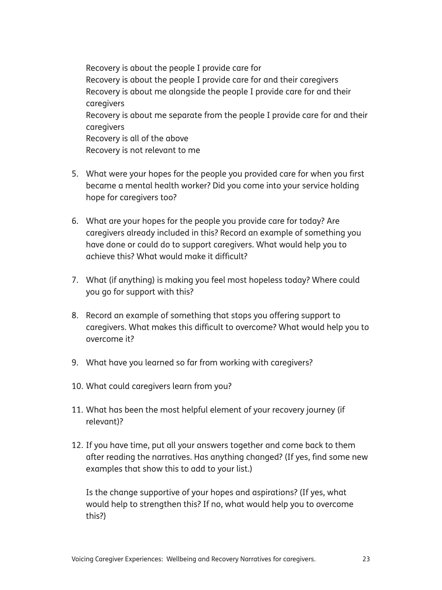Recovery is about the people I provide care for Recovery is about the people I provide care for and their caregivers Recovery is about me alongside the people I provide care for and their caregivers Recovery is about me separate from the people I provide care for and their caregivers Recovery is all of the above Recovery is not relevant to me

- 5. What were your hopes for the people you provided care for when you first became a mental health worker? Did you come into your service holding hope for caregivers too?
- 6. What are your hopes for the people you provide care for today? Are caregivers already included in this? Record an example of something you have done or could do to support caregivers. What would help you to achieve this? What would make it difficult?
- 7. What (if anything) is making you feel most hopeless today? Where could you go for support with this?
- 8. Record an example of something that stops you offering support to caregivers. What makes this difficult to overcome? What would help you to overcome it?
- 9. What have you learned so far from working with caregivers?
- 10. What could caregivers learn from you?
- 11. What has been the most helpful element of your recovery journey (if relevant)?
- 12. If you have time, put all your answers together and come back to them after reading the narratives. Has anything changed? (If yes, find some new examples that show this to add to your list.)

 Is the change supportive of your hopes and aspirations? (If yes, what would help to strengthen this? If no, what would help you to overcome this?)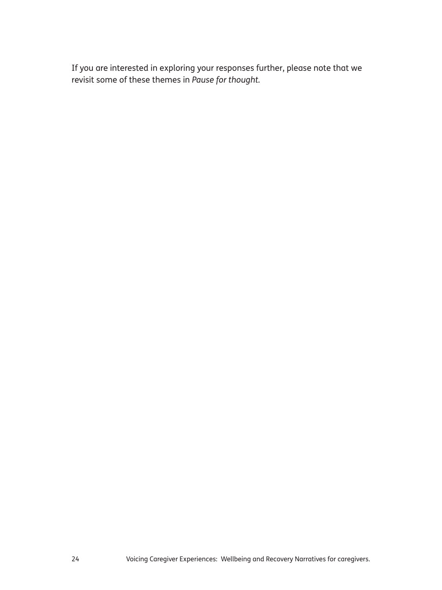If you are interested in exploring your responses further, please note that we revisit some of these themes in *Pause for thought.*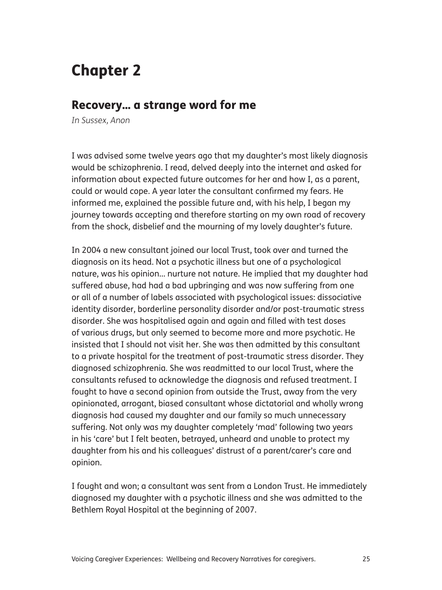## Chapter 2

#### Recovery… a strange word for me

*In Sussex, Anon*

I was advised some twelve years ago that my daughter's most likely diagnosis would be schizophrenia. I read, delved deeply into the internet and asked for information about expected future outcomes for her and how I, as a parent, could or would cope. A year later the consultant confirmed my fears. He informed me, explained the possible future and, with his help, I began my journey towards accepting and therefore starting on my own road of recovery from the shock, disbelief and the mourning of my lovely daughter's future.

In 2004 a new consultant joined our local Trust, took over and turned the diagnosis on its head. Not a psychotic illness but one of a psychological nature, was his opinion… nurture not nature. He implied that my daughter had suffered abuse, had had a bad upbringing and was now suffering from one or all of a number of labels associated with psychological issues: dissociative identity disorder, borderline personality disorder and/or post-traumatic stress disorder. She was hospitalised again and again and filled with test doses of various drugs, but only seemed to become more and more psychotic. He insisted that I should not visit her. She was then admitted by this consultant to a private hospital for the treatment of post-traumatic stress disorder. They diagnosed schizophrenia. She was readmitted to our local Trust, where the consultants refused to acknowledge the diagnosis and refused treatment. I fought to have a second opinion from outside the Trust, away from the very opinionated, arrogant, biased consultant whose dictatorial and wholly wrong diagnosis had caused my daughter and our family so much unnecessary suffering. Not only was my daughter completely 'mad' following two years in his 'care' but I felt beaten, betrayed, unheard and unable to protect my daughter from his and his colleagues' distrust of a parent/carer's care and opinion.

I fought and won; a consultant was sent from a London Trust. He immediately diagnosed my daughter with a psychotic illness and she was admitted to the Bethlem Royal Hospital at the beginning of 2007.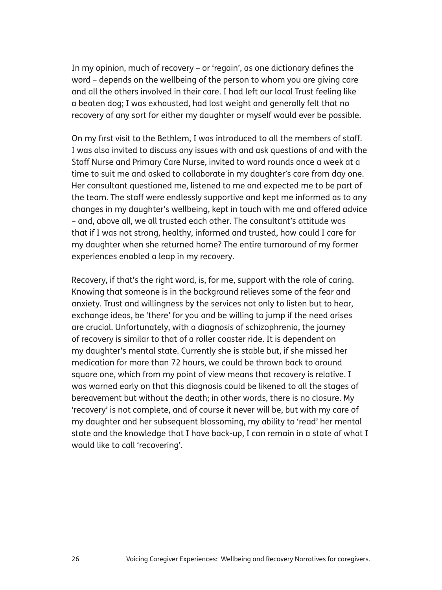In my opinion, much of recovery – or 'regain', as one dictionary defines the word – depends on the wellbeing of the person to whom you are giving care and all the others involved in their care. I had left our local Trust feeling like a beaten dog; I was exhausted, had lost weight and generally felt that no recovery of any sort for either my daughter or myself would ever be possible.

On my first visit to the Bethlem, I was introduced to all the members of staff. I was also invited to discuss any issues with and ask questions of and with the Staff Nurse and Primary Care Nurse, invited to ward rounds once a week at a time to suit me and asked to collaborate in my daughter's care from day one. Her consultant questioned me, listened to me and expected me to be part of the team. The staff were endlessly supportive and kept me informed as to any changes in my daughter's wellbeing, kept in touch with me and offered advice – and, above all, we all trusted each other. The consultant's attitude was that if I was not strong, healthy, informed and trusted, how could I care for my daughter when she returned home? The entire turnaround of my former experiences enabled a leap in my recovery.

Recovery, if that's the right word, is, for me, support with the role of caring. Knowing that someone is in the background relieves some of the fear and anxiety. Trust and willingness by the services not only to listen but to hear, exchange ideas, be 'there' for you and be willing to jump if the need arises are crucial. Unfortunately, with a diagnosis of schizophrenia, the journey of recovery is similar to that of a roller coaster ride. It is dependent on my daughter's mental state. Currently she is stable but, if she missed her medication for more than 72 hours, we could be thrown back to around square one, which from my point of view means that recovery is relative. I was warned early on that this diagnosis could be likened to all the stages of bereavement but without the death; in other words, there is no closure. My 'recovery' is not complete, and of course it never will be, but with my care of my daughter and her subsequent blossoming, my ability to 'read' her mental state and the knowledge that I have back-up, I can remain in a state of what I would like to call 'recovering'.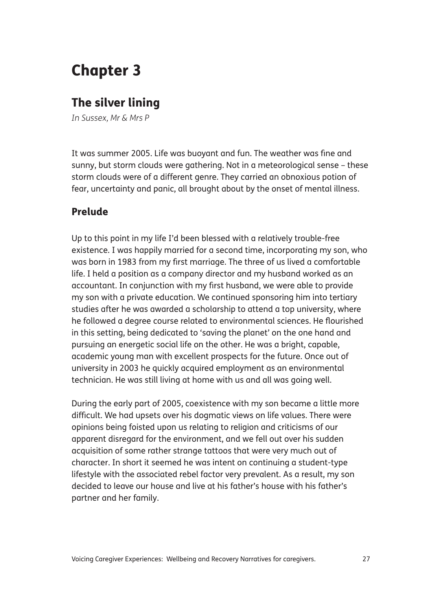## Chapter 3

## The silver lining

*In Sussex, Mr & Mrs P*

It was summer 2005. Life was buoyant and fun. The weather was fine and sunny, but storm clouds were gathering. Not in a meteorological sense – these storm clouds were of a different genre. They carried an obnoxious potion of fear, uncertainty and panic, all brought about by the onset of mental illness.

#### Prelude

Up to this point in my life I'd been blessed with a relatively trouble-free existence. I was happily married for a second time, incorporating my son, who was born in 1983 from my first marriage. The three of us lived a comfortable life. I held a position as a company director and my husband worked as an accountant. In conjunction with my first husband, we were able to provide my son with a private education. We continued sponsoring him into tertiary studies after he was awarded a scholarship to attend a top university, where he followed a degree course related to environmental sciences. He flourished in this setting, being dedicated to 'saving the planet' on the one hand and pursuing an energetic social life on the other. He was a bright, capable, academic young man with excellent prospects for the future. Once out of university in 2003 he quickly acquired employment as an environmental technician. He was still living at home with us and all was going well.

During the early part of 2005, coexistence with my son became a little more difficult. We had upsets over his dogmatic views on life values. There were opinions being foisted upon us relating to religion and criticisms of our apparent disregard for the environment, and we fell out over his sudden acquisition of some rather strange tattoos that were very much out of character. In short it seemed he was intent on continuing a student-type lifestyle with the associated rebel factor very prevalent. As a result, my son decided to leave our house and live at his father's house with his father's partner and her family.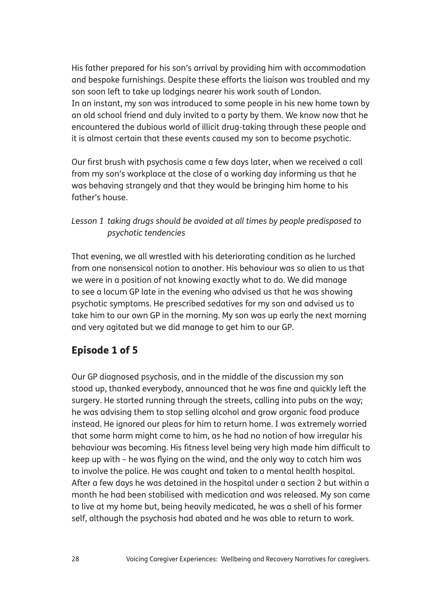His father prepared for his son's arrival by providing him with accommodation and bespoke furnishings. Despite these efforts the liaison was troubled and my son soon left to take up lodgings nearer his work south of London. In an instant, my son was introduced to some people in his new home town by an old school friend and duly invited to a party by them. We know now that he encountered the dubious world of illicit drug-taking through these people and it is almost certain that these events caused my son to become psychotic.

Our first brush with psychosis came a few days later, when we received a call from my son's workplace at the close of a working day informing us that he was behaving strangely and that they would be bringing him home to his father's house.

*Lesson 1 taking drugs should be avoided at all times by people predisposed to psychotic tendencies*

That evening, we all wrestled with his deteriorating condition as he lurched from one nonsensical notion to another. His behaviour was so alien to us that we were in a position of not knowing exactly what to do. We did manage to see a locum GP late in the evening who advised us that he was showing psychotic symptoms. He prescribed sedatives for my son and advised us to take him to our own GP in the morning. My son was up early the next morning and very agitated but we did manage to get him to our GP.

### Episode 1 of 5

Our GP diagnosed psychosis, and in the middle of the discussion my son stood up, thanked everybody, announced that he was fine and quickly left the surgery. He started running through the streets, calling into pubs on the way; he was advising them to stop selling alcohol and grow organic food produce instead. He ignored our pleas for him to return home. I was extremely worried that some harm might come to him, as he had no notion of how irregular his behaviour was becoming. His fitness level being very high made him difficult to keep up with – he was flying on the wind, and the only way to catch him was to involve the police. He was caught and taken to a mental health hospital. After a few days he was detained in the hospital under a section 2 but within a month he had been stabilised with medication and was released. My son came to live at my home but, being heavily medicated, he was a shell of his former self, although the psychosis had abated and he was able to return to work.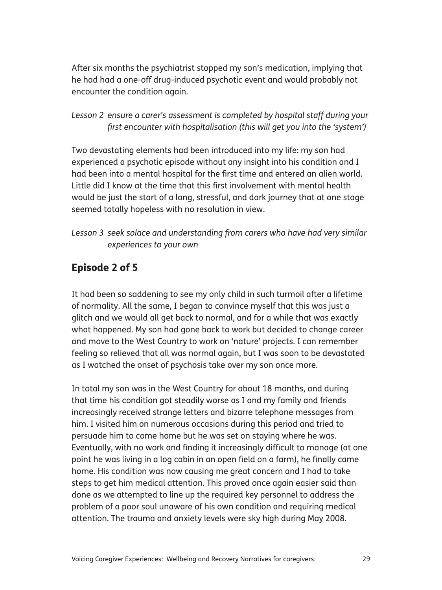After six months the psychiatrist stopped my son's medication, implying that he had had a one-off drug-induced psychotic event and would probably not encounter the condition again.

#### *Lesson 2 ensure a carer's assessment is completed by hospital staff during your first encounter with hospitalisation (this will get you into the 'system')*

Two devastating elements had been introduced into my life: my son had experienced a psychotic episode without any insight into his condition and I had been into a mental hospital for the first time and entered an alien world. Little did I know at the time that this first involvement with mental health would be just the start of a long, stressful, and dark journey that at one stage seemed totally hopeless with no resolution in view.

#### *Lesson 3 seek solace and understanding from carers who have had very similar experiences to your own*

### Episode 2 of 5

It had been so saddening to see my only child in such turmoil after a lifetime of normality. All the same, I began to convince myself that this was just a glitch and we would all get back to normal, and for a while that was exactly what happened. My son had gone back to work but decided to change career and move to the West Country to work on 'nature' projects. I can remember feeling so relieved that all was normal again, but I was soon to be devastated as I watched the onset of psychosis take over my son once more.

In total my son was in the West Country for about 18 months, and during that time his condition got steadily worse as I and my family and friends increasingly received strange letters and bizarre telephone messages from him. I visited him on numerous occasions during this period and tried to persuade him to come home but he was set on staying where he was. Eventually, with no work and finding it increasingly difficult to manage (at one point he was living in a log cabin in an open field on a farm), he finally came home. His condition was now causing me great concern and I had to take steps to get him medical attention. This proved once again easier said than done as we attempted to line up the required key personnel to address the problem of a poor soul unaware of his own condition and requiring medical attention. The trauma and anxiety levels were sky high during May 2008.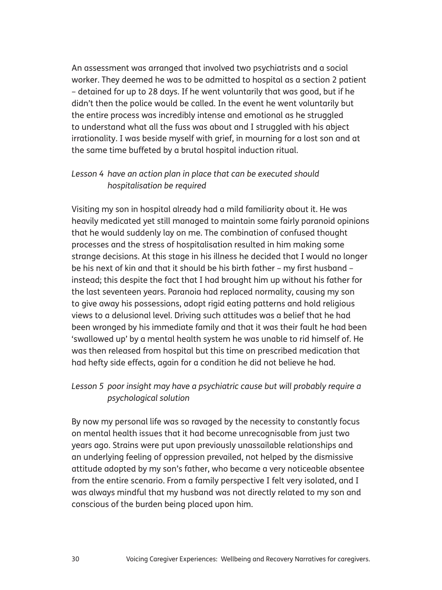An assessment was arranged that involved two psychiatrists and a social worker. They deemed he was to be admitted to hospital as a section 2 patient – detained for up to 28 days. If he went voluntarily that was good, but if he didn't then the police would be called. In the event he went voluntarily but the entire process was incredibly intense and emotional as he struggled to understand what all the fuss was about and I struggled with his abject irrationality. I was beside myself with grief, in mourning for a lost son and at the same time buffeted by a brutal hospital induction ritual.

#### *Lesson 4 have an action plan in place that can be executed should hospitalisation be required*

Visiting my son in hospital already had a mild familiarity about it. He was heavily medicated yet still managed to maintain some fairly paranoid opinions that he would suddenly lay on me. The combination of confused thought processes and the stress of hospitalisation resulted in him making some strange decisions. At this stage in his illness he decided that I would no longer be his next of kin and that it should be his birth father – my first husband – instead; this despite the fact that I had brought him up without his father for the last seventeen years. Paranoia had replaced normality, causing my son to give away his possessions, adopt rigid eating patterns and hold religious views to a delusional level. Driving such attitudes was a belief that he had been wronged by his immediate family and that it was their fault he had been 'swallowed up' by a mental health system he was unable to rid himself of. He was then released from hospital but this time on prescribed medication that had hefty side effects, again for a condition he did not believe he had.

#### *Lesson 5 poor insight may have a psychiatric cause but will probably require a psychological solution*

By now my personal life was so ravaged by the necessity to constantly focus on mental health issues that it had become unrecognisable from just two years ago. Strains were put upon previously unassailable relationships and an underlying feeling of oppression prevailed, not helped by the dismissive attitude adopted by my son's father, who became a very noticeable absentee from the entire scenario. From a family perspective I felt very isolated, and I was always mindful that my husband was not directly related to my son and conscious of the burden being placed upon him.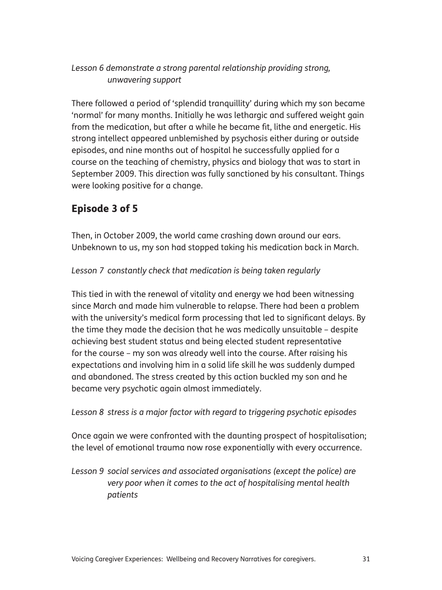#### *Lesson 6 demonstrate a strong parental relationship providing strong, unwavering support*

There followed a period of 'splendid tranquillity' during which my son became 'normal' for many months. Initially he was lethargic and suffered weight gain from the medication, but after a while he became fit, lithe and energetic. His strong intellect appeared unblemished by psychosis either during or outside episodes, and nine months out of hospital he successfully applied for a course on the teaching of chemistry, physics and biology that was to start in September 2009. This direction was fully sanctioned by his consultant. Things were looking positive for a change.

# Episode 3 of 5

Then, in October 2009, the world came crashing down around our ears. Unbeknown to us, my son had stopped taking his medication back in March.

#### *Lesson 7 constantly check that medication is being taken regularly*

This tied in with the renewal of vitality and energy we had been witnessing since March and made him vulnerable to relapse. There had been a problem with the university's medical form processing that led to significant delays. By the time they made the decision that he was medically unsuitable – despite achieving best student status and being elected student representative for the course – my son was already well into the course. After raising his expectations and involving him in a solid life skill he was suddenly dumped and abandoned. The stress created by this action buckled my son and he became very psychotic again almost immediately.

*Lesson 8 stress is a major factor with regard to triggering psychotic episodes*

Once again we were confronted with the daunting prospect of hospitalisation; the level of emotional trauma now rose exponentially with every occurrence.

*Lesson 9 social services and associated organisations (except the police) are very poor when it comes to the act of hospitalising mental health patients*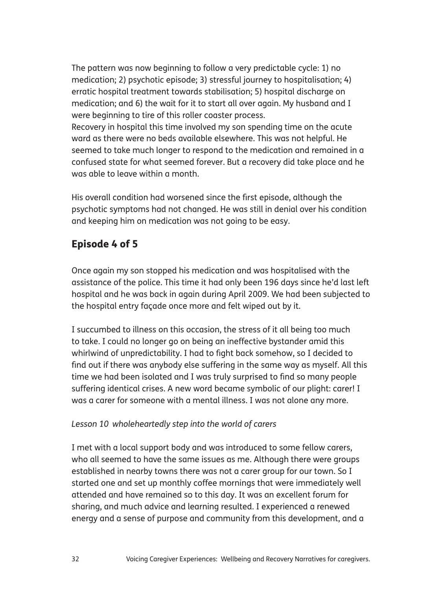The pattern was now beginning to follow a very predictable cycle: 1) no medication; 2) psychotic episode; 3) stressful journey to hospitalisation; 4) erratic hospital treatment towards stabilisation; 5) hospital discharge on medication; and 6) the wait for it to start all over again. My husband and I were beginning to tire of this roller coaster process.

Recovery in hospital this time involved my son spending time on the acute ward as there were no beds available elsewhere. This was not helpful. He seemed to take much longer to respond to the medication and remained in a confused state for what seemed forever. But a recovery did take place and he was able to leave within a month.

His overall condition had worsened since the first episode, although the psychotic symptoms had not changed. He was still in denial over his condition and keeping him on medication was not going to be easy.

## Episode 4 of 5

Once again my son stopped his medication and was hospitalised with the assistance of the police. This time it had only been 196 days since he'd last left hospital and he was back in again during April 2009. We had been subjected to the hospital entry façade once more and felt wiped out by it.

I succumbed to illness on this occasion, the stress of it all being too much to take. I could no longer go on being an ineffective bystander amid this whirlwind of unpredictability. I had to fight back somehow, so I decided to find out if there was anybody else suffering in the same way as myself. All this time we had been isolated and I was truly surprised to find so many people suffering identical crises. A new word became symbolic of our plight: carer! I was a carer for someone with a mental illness. I was not alone any more.

#### *Lesson 10 wholeheartedly step into the world of carers*

I met with a local support body and was introduced to some fellow carers, who all seemed to have the same issues as me. Although there were groups established in nearby towns there was not a carer group for our town. So I started one and set up monthly coffee mornings that were immediately well attended and have remained so to this day. It was an excellent forum for sharing, and much advice and learning resulted. I experienced a renewed energy and a sense of purpose and community from this development, and a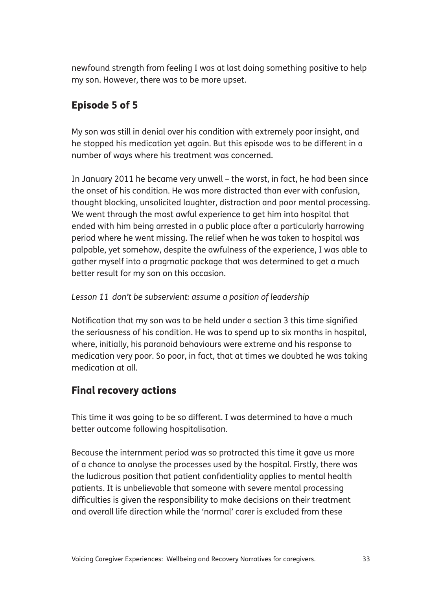newfound strength from feeling I was at last doing something positive to help my son. However, there was to be more upset.

# Episode 5 of 5

My son was still in denial over his condition with extremely poor insight, and he stopped his medication yet again. But this episode was to be different in a number of ways where his treatment was concerned.

In January 2011 he became very unwell – the worst, in fact, he had been since the onset of his condition. He was more distracted than ever with confusion, thought blocking, unsolicited laughter, distraction and poor mental processing. We went through the most awful experience to get him into hospital that ended with him being arrested in a public place after a particularly harrowing period where he went missing. The relief when he was taken to hospital was palpable, yet somehow, despite the awfulness of the experience, I was able to gather myself into a pragmatic package that was determined to get a much better result for my son on this occasion.

#### *Lesson 11 don't be subservient: assume a position of leadership*

Notification that my son was to be held under a section 3 this time signified the seriousness of his condition. He was to spend up to six months in hospital, where, initially, his paranoid behaviours were extreme and his response to medication very poor. So poor, in fact, that at times we doubted he was taking medication at all.

## Final recovery actions

This time it was going to be so different. I was determined to have a much better outcome following hospitalisation.

Because the internment period was so protracted this time it gave us more of a chance to analyse the processes used by the hospital. Firstly, there was the ludicrous position that patient confidentiality applies to mental health patients. It is unbelievable that someone with severe mental processing difficulties is given the responsibility to make decisions on their treatment and overall life direction while the 'normal' carer is excluded from these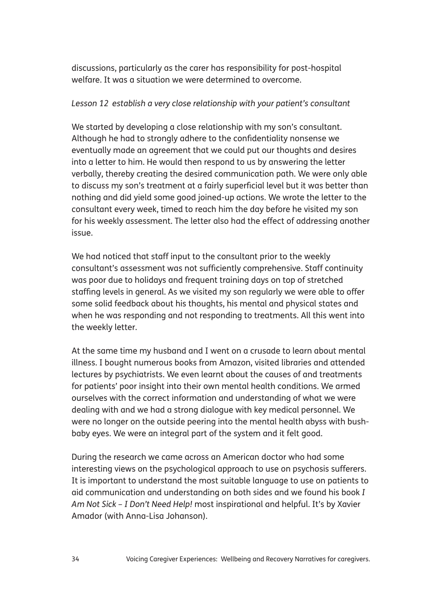discussions, particularly as the carer has responsibility for post-hospital welfare. It was a situation we were determined to overcome.

#### *Lesson 12 establish a very close relationship with your patient's consultant*

We started by developing a close relationship with my son's consultant. Although he had to strongly adhere to the confidentiality nonsense we eventually made an agreement that we could put our thoughts and desires into a letter to him. He would then respond to us by answering the letter verbally, thereby creating the desired communication path. We were only able to discuss my son's treatment at a fairly superficial level but it was better than nothing and did yield some good joined-up actions. We wrote the letter to the consultant every week, timed to reach him the day before he visited my son for his weekly assessment. The letter also had the effect of addressing another issue.

We had noticed that staff input to the consultant prior to the weekly consultant's assessment was not sufficiently comprehensive. Staff continuity was poor due to holidays and frequent training days on top of stretched staffing levels in general. As we visited my son regularly we were able to offer some solid feedback about his thoughts, his mental and physical states and when he was responding and not responding to treatments. All this went into the weekly letter.

At the same time my husband and I went on a crusade to learn about mental illness. I bought numerous books from Amazon, visited libraries and attended lectures by psychiatrists. We even learnt about the causes of and treatments for patients' poor insight into their own mental health conditions. We armed ourselves with the correct information and understanding of what we were dealing with and we had a strong dialogue with key medical personnel. We were no longer on the outside peering into the mental health abyss with bushbaby eyes. We were an integral part of the system and it felt good.

During the research we came across an American doctor who had some interesting views on the psychological approach to use on psychosis sufferers. It is important to understand the most suitable language to use on patients to aid communication and understanding on both sides and we found his book *I Am Not Sick – I Don't Need Help!* most inspirational and helpful. It's by Xavier Amador (with Anna-Lisa Johanson).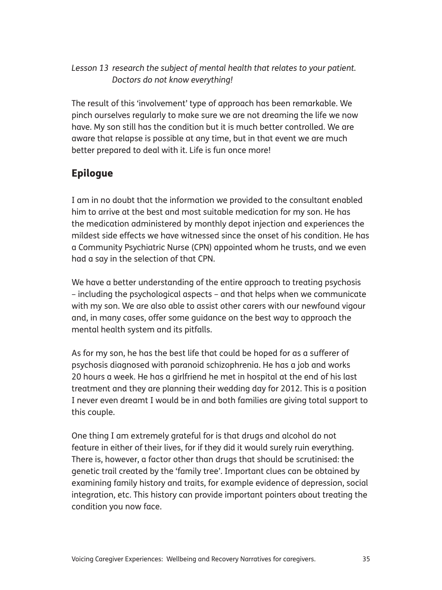#### *Lesson 13 research the subject of mental health that relates to your patient. Doctors do not know everything!*

The result of this 'involvement' type of approach has been remarkable. We pinch ourselves regularly to make sure we are not dreaming the life we now have. My son still has the condition but it is much better controlled. We are aware that relapse is possible at any time, but in that event we are much better prepared to deal with it. Life is fun once more!

## Epilogue

I am in no doubt that the information we provided to the consultant enabled him to arrive at the best and most suitable medication for my son. He has the medication administered by monthly depot injection and experiences the mildest side effects we have witnessed since the onset of his condition. He has a Community Psychiatric Nurse (CPN) appointed whom he trusts, and we even had a say in the selection of that CPN.

We have a better understanding of the entire approach to treating psychosis – including the psychological aspects – and that helps when we communicate with my son. We are also able to assist other carers with our newfound vigour and, in many cases, offer some guidance on the best way to approach the mental health system and its pitfalls.

As for my son, he has the best life that could be hoped for as a sufferer of psychosis diagnosed with paranoid schizophrenia. He has a job and works 20 hours a week. He has a girlfriend he met in hospital at the end of his last treatment and they are planning their wedding day for 2012. This is a position I never even dreamt I would be in and both families are giving total support to this couple.

One thing I am extremely grateful for is that drugs and alcohol do not feature in either of their lives, for if they did it would surely ruin everything. There is, however, a factor other than drugs that should be scrutinised: the genetic trail created by the 'family tree'. Important clues can be obtained by examining family history and traits, for example evidence of depression, social integration, etc. This history can provide important pointers about treating the condition you now face.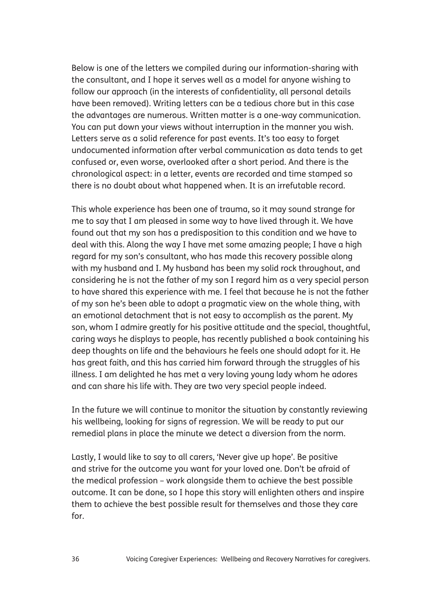Below is one of the letters we compiled during our information-sharing with the consultant, and I hope it serves well as a model for anyone wishing to follow our approach (in the interests of confidentiality, all personal details have been removed). Writing letters can be a tedious chore but in this case the advantages are numerous. Written matter is a one-way communication. You can put down your views without interruption in the manner you wish. Letters serve as a solid reference for past events. It's too easy to forget undocumented information after verbal communication as data tends to get confused or, even worse, overlooked after a short period. And there is the chronological aspect: in a letter, events are recorded and time stamped so there is no doubt about what happened when. It is an irrefutable record.

This whole experience has been one of trauma, so it may sound strange for me to say that I am pleased in some way to have lived through it. We have found out that my son has a predisposition to this condition and we have to deal with this. Along the way I have met some amazing people; I have a high regard for my son's consultant, who has made this recovery possible along with my husband and I. My husband has been my solid rock throughout, and considering he is not the father of my son I regard him as a very special person to have shared this experience with me. I feel that because he is not the father of my son he's been able to adopt a pragmatic view on the whole thing, with an emotional detachment that is not easy to accomplish as the parent. My son, whom I admire greatly for his positive attitude and the special, thoughtful, caring ways he displays to people, has recently published a book containing his deep thoughts on life and the behaviours he feels one should adopt for it. He has great faith, and this has carried him forward through the struggles of his illness. I am delighted he has met a very loving young lady whom he adores and can share his life with. They are two very special people indeed.

In the future we will continue to monitor the situation by constantly reviewing his wellbeing, looking for signs of regression. We will be ready to put our remedial plans in place the minute we detect a diversion from the norm.

Lastly, I would like to say to all carers, 'Never give up hope'. Be positive and strive for the outcome you want for your loved one. Don't be afraid of the medical profession – work alongside them to achieve the best possible outcome. It can be done, so I hope this story will enlighten others and inspire them to achieve the best possible result for themselves and those they care for.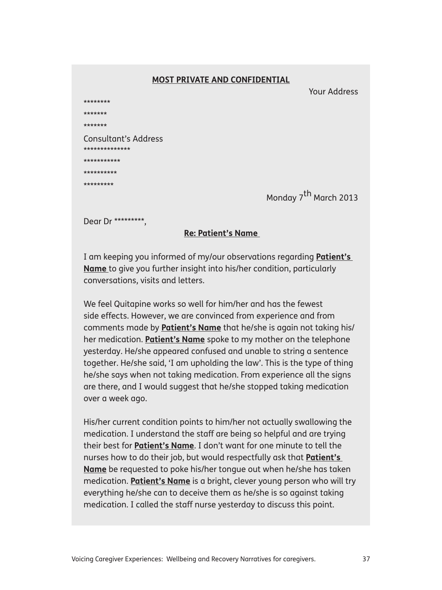#### **MOST PRIVATE AND CONFIDENTIAL**

Your Address

| ********                               |
|----------------------------------------|
| *******                                |
| *******                                |
| Consultant's Address<br>************** |
| ***********                            |
| **********                             |
| *********                              |
|                                        |

Monday 7<sup>th</sup> March 2013

Dear Dr \*\*\*\*\*\*\*\*\*,

#### **Re: Patient's Name**

I am keeping you informed of my/our observations regarding **Patient's Name** to give you further insight into his/her condition, particularly conversations, visits and letters.

We feel Quitapine works so well for him/her and has the fewest side effects. However, we are convinced from experience and from comments made by **Patient's Name** that he/she is again not taking his/ her medication. **Patient's Name** spoke to my mother on the telephone yesterday. He/she appeared confused and unable to string a sentence together. He/she said, 'I am upholding the law'. This is the type of thing he/she says when not taking medication. From experience all the signs are there, and I would suggest that he/she stopped taking medication over a week ago.

His/her current condition points to him/her not actually swallowing the medication. I understand the staff are being so helpful and are trying their best for **Patient's Name**. I don't want for one minute to tell the nurses how to do their job, but would respectfully ask that **Patient's Name** be requested to poke his/her tongue out when he/she has taken medication. **Patient's Name** is a bright, clever young person who will try everything he/she can to deceive them as he/she is so against taking medication. I called the staff nurse yesterday to discuss this point.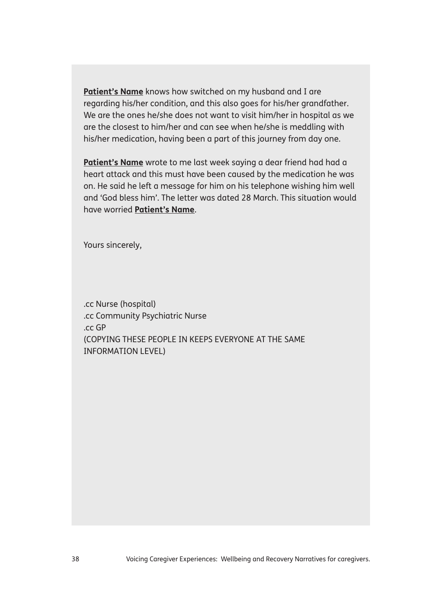**Patient's Name** knows how switched on my husband and I are regarding his/her condition, and this also goes for his/her grandfather. We are the ones he/she does not want to visit him/her in hospital as we are the closest to him/her and can see when he/she is meddling with his/her medication, having been a part of this journey from day one.

Patient's Name wrote to me last week saying a dear friend had had a heart attack and this must have been caused by the medication he was on. He said he left a message for him on his telephone wishing him well and 'God bless him'. The letter was dated 28 March. This situation would have worried **Patient's Name**.

Yours sincerely,

.cc Nurse (hospital) .cc Community Psychiatric Nurse .cc GP (COPYING THESE PEOPLE IN KEEPS EVERYONE AT THE SAME INFORMATION LEVEL)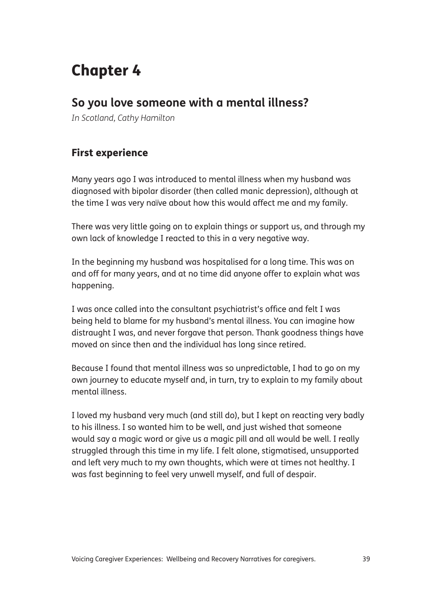# Chapter 4

# **So you love someone with a mental illness?**

*In Scotland, Cathy Hamilton*

## First experience

Many years ago I was introduced to mental illness when my husband was diagnosed with bipolar disorder (then called manic depression), although at the time I was very naïve about how this would affect me and my family.

There was very little going on to explain things or support us, and through my own lack of knowledge I reacted to this in a very negative way.

In the beginning my husband was hospitalised for a long time. This was on and off for many years, and at no time did anyone offer to explain what was happening.

I was once called into the consultant psychiatrist's office and felt I was being held to blame for my husband's mental illness. You can imagine how distraught I was, and never forgave that person. Thank goodness things have moved on since then and the individual has long since retired.

Because I found that mental illness was so unpredictable, I had to go on my own journey to educate myself and, in turn, try to explain to my family about mental illness.

I loved my husband very much (and still do), but I kept on reacting very badly to his illness. I so wanted him to be well, and just wished that someone would say a magic word or give us a magic pill and all would be well. I really struggled through this time in my life. I felt alone, stigmatised, unsupported and left very much to my own thoughts, which were at times not healthy. I was fast beginning to feel very unwell myself, and full of despair.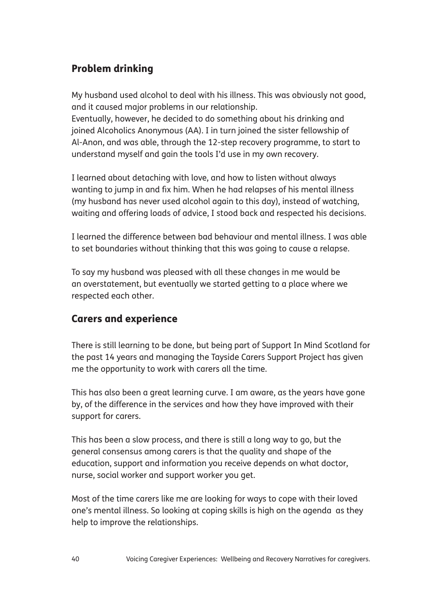## Problem drinking

My husband used alcohol to deal with his illness. This was obviously not good, and it caused major problems in our relationship.

Eventually, however, he decided to do something about his drinking and joined Alcoholics Anonymous (AA). I in turn joined the sister fellowship of Al-Anon, and was able, through the 12-step recovery programme, to start to understand myself and gain the tools I'd use in my own recovery.

I learned about detaching with love, and how to listen without always wanting to jump in and fix him. When he had relapses of his mental illness (my husband has never used alcohol again to this day), instead of watching, waiting and offering loads of advice, I stood back and respected his decisions.

I learned the difference between bad behaviour and mental illness. I was able to set boundaries without thinking that this was going to cause a relapse.

To say my husband was pleased with all these changes in me would be an overstatement, but eventually we started getting to a place where we respected each other.

## Carers and experience

There is still learning to be done, but being part of Support In Mind Scotland for the past 14 years and managing the Tayside Carers Support Project has given me the opportunity to work with carers all the time.

This has also been a great learning curve. I am aware, as the years have gone by, of the difference in the services and how they have improved with their support for carers.

This has been a slow process, and there is still a long way to go, but the general consensus among carers is that the quality and shape of the education, support and information you receive depends on what doctor, nurse, social worker and support worker you get.

Most of the time carers like me are looking for ways to cope with their loved one's mental illness. So looking at coping skills is high on the agenda as they help to improve the relationships.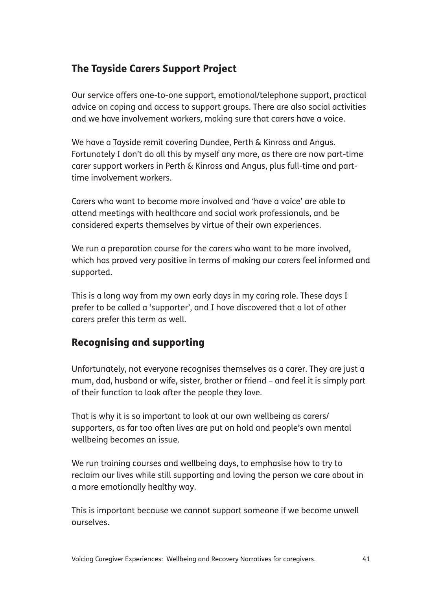## The Tayside Carers Support Project

Our service offers one-to-one support, emotional/telephone support, practical advice on coping and access to support groups. There are also social activities and we have involvement workers, making sure that carers have a voice.

We have a Tayside remit covering Dundee, Perth & Kinross and Angus. Fortunately I don't do all this by myself any more, as there are now part-time carer support workers in Perth & Kinross and Angus, plus full-time and parttime involvement workers.

Carers who want to become more involved and 'have a voice' are able to attend meetings with healthcare and social work professionals, and be considered experts themselves by virtue of their own experiences.

We run a preparation course for the carers who want to be more involved, which has proved very positive in terms of making our carers feel informed and supported.

This is a long way from my own early days in my caring role. These days I prefer to be called a 'supporter', and I have discovered that a lot of other carers prefer this term as well.

#### Recognising and supporting

Unfortunately, not everyone recognises themselves as a carer. They are just a mum, dad, husband or wife, sister, brother or friend – and feel it is simply part of their function to look after the people they love.

That is why it is so important to look at our own wellbeing as carers/ supporters, as far too often lives are put on hold and people's own mental wellbeing becomes an issue.

We run training courses and wellbeing days, to emphasise how to try to reclaim our lives while still supporting and loving the person we care about in a more emotionally healthy way.

This is important because we cannot support someone if we become unwell ourselves.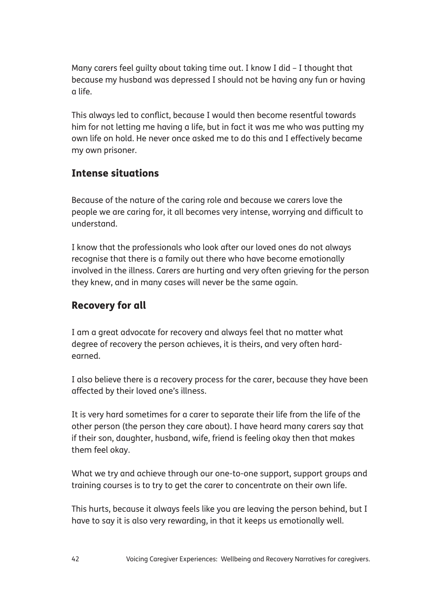Many carers feel guilty about taking time out. I know I did – I thought that because my husband was depressed I should not be having any fun or having a life.

This always led to conflict, because I would then become resentful towards him for not letting me having a life, but in fact it was me who was putting my own life on hold. He never once asked me to do this and I effectively became my own prisoner.

## Intense situations

Because of the nature of the caring role and because we carers love the people we are caring for, it all becomes very intense, worrying and difficult to understand.

I know that the professionals who look after our loved ones do not always recognise that there is a family out there who have become emotionally involved in the illness. Carers are hurting and very often grieving for the person they knew, and in many cases will never be the same again.

## Recovery for all

I am a great advocate for recovery and always feel that no matter what degree of recovery the person achieves, it is theirs, and very often hardearned.

I also believe there is a recovery process for the carer, because they have been affected by their loved one's illness.

It is very hard sometimes for a carer to separate their life from the life of the other person (the person they care about). I have heard many carers say that if their son, daughter, husband, wife, friend is feeling okay then that makes them feel okay.

What we try and achieve through our one-to-one support, support groups and training courses is to try to get the carer to concentrate on their own life.

This hurts, because it always feels like you are leaving the person behind, but I have to say it is also very rewarding, in that it keeps us emotionally well.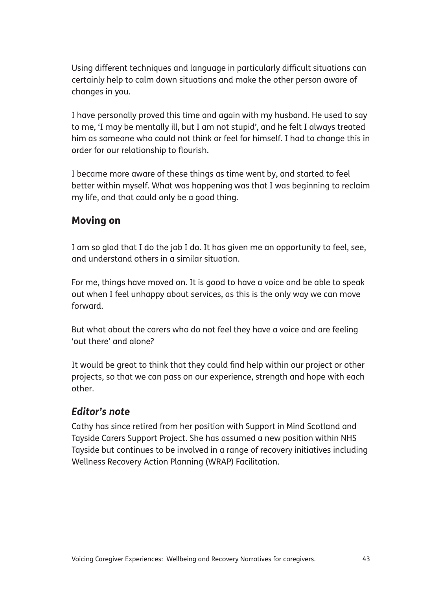Using different techniques and language in particularly difficult situations can certainly help to calm down situations and make the other person aware of changes in you.

I have personally proved this time and again with my husband. He used to say to me, 'I may be mentally ill, but I am not stupid', and he felt I always treated him as someone who could not think or feel for himself. I had to change this in order for our relationship to flourish.

I became more aware of these things as time went by, and started to feel better within myself. What was happening was that I was beginning to reclaim my life, and that could only be a good thing.

## Moving on

I am so glad that I do the job I do. It has given me an opportunity to feel, see, and understand others in a similar situation.

For me, things have moved on. It is good to have a voice and be able to speak out when I feel unhappy about services, as this is the only way we can move forward.

But what about the carers who do not feel they have a voice and are feeling 'out there' and alone?

It would be great to think that they could find help within our project or other projects, so that we can pass on our experience, strength and hope with each other.

#### *Editor's note*

Cathy has since retired from her position with Support in Mind Scotland and Tayside Carers Support Project. She has assumed a new position within NHS Tayside but continues to be involved in a range of recovery initiatives including Wellness Recovery Action Planning (WRAP) Facilitation.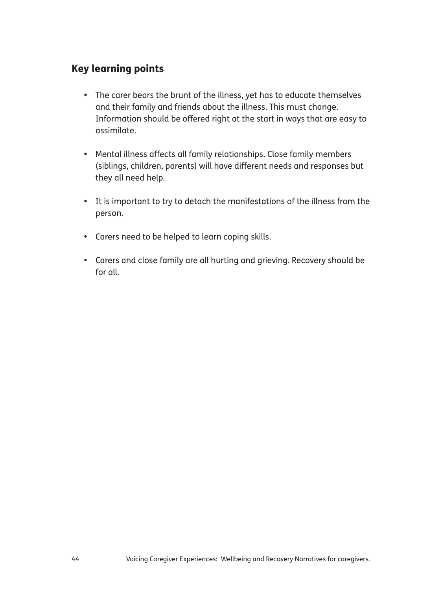## Key learning points

- The carer bears the brunt of the illness, yet has to educate themselves and their family and friends about the illness. This must change. Information should be offered right at the start in ways that are easy to assimilate.
- Mental illness affects all family relationships. Close family members (siblings, children, parents) will have different needs and responses but they all need help.
- It is important to try to detach the manifestations of the illness from the person.
- Carers need to be helped to learn coping skills.
- Carers and close family are all hurting and grieving. Recovery should be for all.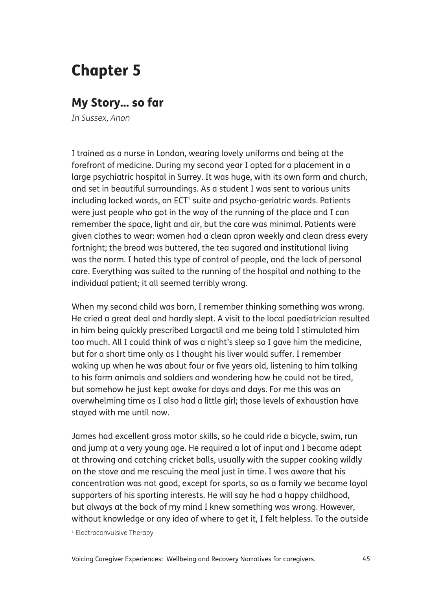# Chapter 5

## My Story... so far

*In Sussex, Anon*

I trained as a nurse in London, wearing lovely uniforms and being at the forefront of medicine. During my second year I opted for a placement in a large psychiatric hospital in Surrey. It was huge, with its own farm and church, and set in beautiful surroundings. As a student I was sent to various units including locked wards, an ECT $^{\scriptscriptstyle 1}$  suite and psycho-geriatric wards. Patients were just people who got in the way of the running of the place and I can remember the space, light and air, but the care was minimal. Patients were given clothes to wear: women had a clean apron weekly and clean dress every fortnight; the bread was buttered, the tea sugared and institutional living was the norm. I hated this type of control of people, and the lack of personal care. Everything was suited to the running of the hospital and nothing to the individual patient; it all seemed terribly wrong.

When my second child was born, I remember thinking something was wrong. He cried a great deal and hardly slept. A visit to the local paediatrician resulted in him being quickly prescribed Largactil and me being told I stimulated him too much. All I could think of was a night's sleep so I gave him the medicine, but for a short time only as I thought his liver would suffer. I remember waking up when he was about four or five years old, listening to him talking to his farm animals and soldiers and wondering how he could not be tired, but somehow he just kept awake for days and days. For me this was an overwhelming time as I also had a little girl; those levels of exhaustion have stayed with me until now.

James had excellent gross motor skills, so he could ride a bicycle, swim, run and jump at a very young age. He required a lot of input and I became adept at throwing and catching cricket balls, usually with the supper cooking wildly on the stove and me rescuing the meal just in time. I was aware that his concentration was not good, except for sports, so as a family we became loyal supporters of his sporting interests. He will say he had a happy childhood, but always at the back of my mind I knew something was wrong. However, without knowledge or any idea of where to get it, I felt helpless. To the outside

<sup>1</sup> Electroconvulsive Therapy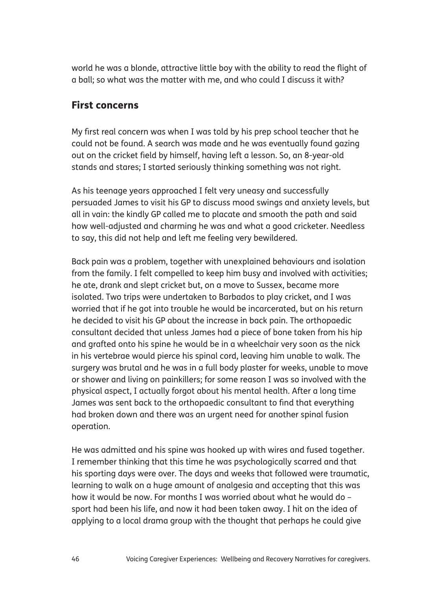world he was a blonde, attractive little boy with the ability to read the flight of a ball; so what was the matter with me, and who could I discuss it with?

#### First concerns

My first real concern was when I was told by his prep school teacher that he could not be found. A search was made and he was eventually found gazing out on the cricket field by himself, having left a lesson. So, an 8-year-old stands and stares; I started seriously thinking something was not right.

As his teenage years approached I felt very uneasy and successfully persuaded James to visit his GP to discuss mood swings and anxiety levels, but all in vain: the kindly GP called me to placate and smooth the path and said how well-adjusted and charming he was and what a good cricketer. Needless to say, this did not help and left me feeling very bewildered.

Back pain was a problem, together with unexplained behaviours and isolation from the family. I felt compelled to keep him busy and involved with activities; he ate, drank and slept cricket but, on a move to Sussex, became more isolated. Two trips were undertaken to Barbados to play cricket, and I was worried that if he got into trouble he would be incarcerated, but on his return he decided to visit his GP about the increase in back pain. The orthopaedic consultant decided that unless James had a piece of bone taken from his hip and grafted onto his spine he would be in a wheelchair very soon as the nick in his vertebrae would pierce his spinal cord, leaving him unable to walk. The surgery was brutal and he was in a full body plaster for weeks, unable to move or shower and living on painkillers; for some reason I was so involved with the physical aspect, I actually forgot about his mental health. After a long time James was sent back to the orthopaedic consultant to find that everything had broken down and there was an urgent need for another spinal fusion operation.

He was admitted and his spine was hooked up with wires and fused together. I remember thinking that this time he was psychologically scarred and that his sporting days were over. The days and weeks that followed were traumatic, learning to walk on a huge amount of analgesia and accepting that this was how it would be now. For months I was worried about what he would do – sport had been his life, and now it had been taken away. I hit on the idea of applying to a local drama group with the thought that perhaps he could give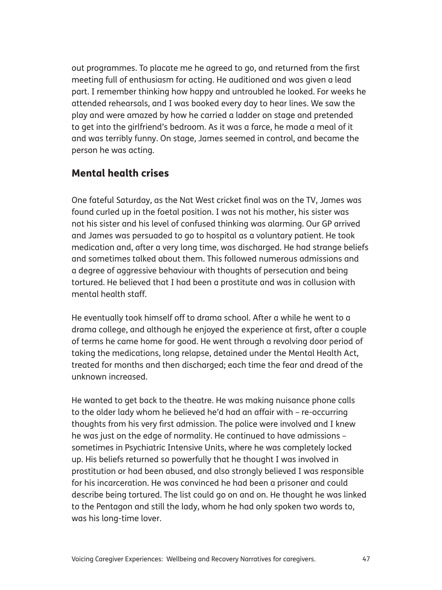out programmes. To placate me he agreed to go, and returned from the first meeting full of enthusiasm for acting. He auditioned and was given a lead part. I remember thinking how happy and untroubled he looked. For weeks he attended rehearsals, and I was booked every day to hear lines. We saw the play and were amazed by how he carried a ladder on stage and pretended to get into the girlfriend's bedroom. As it was a farce, he made a meal of it and was terribly funny. On stage, James seemed in control, and became the person he was acting.

#### Mental health crises

One fateful Saturday, as the Nat West cricket final was on the TV, James was found curled up in the foetal position. I was not his mother, his sister was not his sister and his level of confused thinking was alarming. Our GP arrived and James was persuaded to go to hospital as a voluntary patient. He took medication and, after a very long time, was discharged. He had strange beliefs and sometimes talked about them. This followed numerous admissions and a degree of aggressive behaviour with thoughts of persecution and being tortured. He believed that I had been a prostitute and was in collusion with mental health staff.

He eventually took himself off to drama school. After a while he went to a drama college, and although he enjoyed the experience at first, after a couple of terms he came home for good. He went through a revolving door period of taking the medications, long relapse, detained under the Mental Health Act, treated for months and then discharged; each time the fear and dread of the unknown increased.

He wanted to get back to the theatre. He was making nuisance phone calls to the older lady whom he believed he'd had an affair with – re-occurring thoughts from his very first admission. The police were involved and I knew he was just on the edge of normality. He continued to have admissions – sometimes in Psychiatric Intensive Units, where he was completely locked up. His beliefs returned so powerfully that he thought I was involved in prostitution or had been abused, and also strongly believed I was responsible for his incarceration. He was convinced he had been a prisoner and could describe being tortured. The list could go on and on. He thought he was linked to the Pentagon and still the lady, whom he had only spoken two words to, was his long-time lover.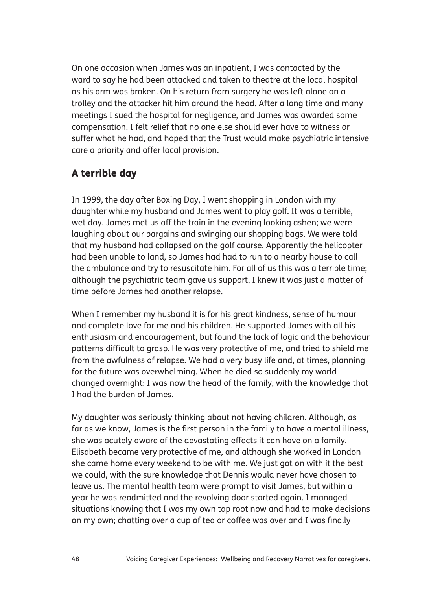On one occasion when James was an inpatient, I was contacted by the ward to say he had been attacked and taken to theatre at the local hospital as his arm was broken. On his return from surgery he was left alone on a trolley and the attacker hit him around the head. After a long time and many meetings I sued the hospital for negligence, and James was awarded some compensation. I felt relief that no one else should ever have to witness or suffer what he had, and hoped that the Trust would make psychiatric intensive care a priority and offer local provision.

## A terrible day

In 1999, the day after Boxing Day, I went shopping in London with my daughter while my husband and James went to play golf. It was a terrible, wet day. James met us off the train in the evening looking ashen; we were laughing about our bargains and swinging our shopping bags. We were told that my husband had collapsed on the golf course. Apparently the helicopter had been unable to land, so James had had to run to a nearby house to call the ambulance and try to resuscitate him. For all of us this was a terrible time; although the psychiatric team gave us support, I knew it was just a matter of time before James had another relapse.

When I remember my husband it is for his great kindness, sense of humour and complete love for me and his children. He supported James with all his enthusiasm and encouragement, but found the lack of logic and the behaviour patterns difficult to grasp. He was very protective of me, and tried to shield me from the awfulness of relapse. We had a very busy life and, at times, planning for the future was overwhelming. When he died so suddenly my world changed overnight: I was now the head of the family, with the knowledge that I had the burden of James.

My daughter was seriously thinking about not having children. Although, as far as we know, James is the first person in the family to have a mental illness, she was acutely aware of the devastating effects it can have on a family. Elisabeth became very protective of me, and although she worked in London she came home every weekend to be with me. We just got on with it the best we could, with the sure knowledge that Dennis would never have chosen to leave us. The mental health team were prompt to visit James, but within a year he was readmitted and the revolving door started again. I managed situations knowing that I was my own tap root now and had to make decisions on my own; chatting over a cup of tea or coffee was over and I was finally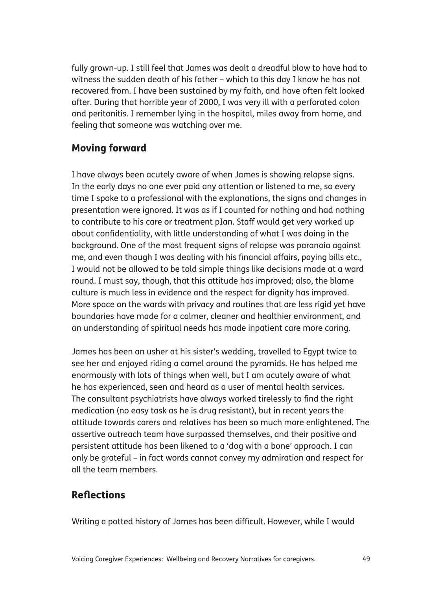fully grown-up. I still feel that James was dealt a dreadful blow to have had to witness the sudden death of his father – which to this day I know he has not recovered from. I have been sustained by my faith, and have often felt looked after. During that horrible year of 2000, I was very ill with a perforated colon and peritonitis. I remember lying in the hospital, miles away from home, and feeling that someone was watching over me.

## Moving forward

I have always been acutely aware of when James is showing relapse signs. In the early days no one ever paid any attention or listened to me, so every time I spoke to a professional with the explanations, the signs and changes in presentation were ignored. It was as if I counted for nothing and had nothing to contribute to his care or treatment pIan. Staff would get very worked up about confidentiality, with little understanding of what I was doing in the background. One of the most frequent signs of relapse was paranoia against me, and even though I was dealing with his financial affairs, paying bills etc., I would not be allowed to be told simple things like decisions made at a ward round. I must say, though, that this attitude has improved; also, the blame culture is much less in evidence and the respect for dignity has improved. More space on the wards with privacy and routines that are less rigid yet have boundaries have made for a calmer, cleaner and healthier environment, and an understanding of spiritual needs has made inpatient care more caring.

James has been an usher at his sister's wedding, travelled to Egypt twice to see her and enjoyed riding a camel around the pyramids. He has helped me enormously with lots of things when well, but I am acutely aware of what he has experienced, seen and heard as a user of mental health services. The consultant psychiatrists have always worked tirelessly to find the right medication (no easy task as he is drug resistant), but in recent years the attitude towards carers and relatives has been so much more enlightened. The assertive outreach team have surpassed themselves, and their positive and persistent attitude has been likened to a 'dog with a bone' approach. I can only be grateful – in fact words cannot convey my admiration and respect for all the team members.

## Reflections

Writing a potted history of James has been difficult. However, while I would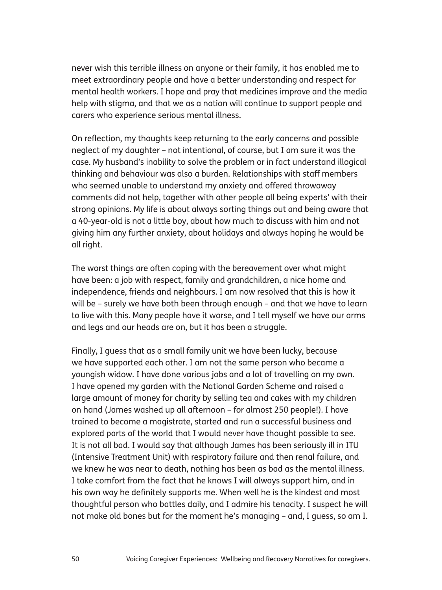never wish this terrible illness on anyone or their family, it has enabled me to meet extraordinary people and have a better understanding and respect for mental health workers. I hope and pray that medicines improve and the media help with stigma, and that we as a nation will continue to support people and carers who experience serious mental illness.

On reflection, my thoughts keep returning to the early concerns and possible neglect of my daughter – not intentional, of course, but I am sure it was the case. My husband's inability to solve the problem or in fact understand illogical thinking and behaviour was also a burden. Relationships with staff members who seemed unable to understand my anxiety and offered throwaway comments did not help, together with other people all being experts' with their strong opinions. My life is about always sorting things out and being aware that a 40-year-old is not a little boy, about how much to discuss with him and not giving him any further anxiety, about holidays and always hoping he would be all right.

The worst things are often coping with the bereavement over what might have been: a job with respect, family and grandchildren, a nice home and independence, friends and neighbours. I am now resolved that this is how it will be – surely we have both been through enough – and that we have to learn to live with this. Many people have it worse, and I tell myself we have our arms and legs and our heads are on, but it has been a struggle.

Finally, I guess that as a small family unit we have been lucky, because we have supported each other. I am not the same person who became a youngish widow. I have done various jobs and a lot of travelling on my own. I have opened my garden with the National Garden Scheme and raised a large amount of money for charity by selling tea and cakes with my children on hand (James washed up all afternoon – for almost 250 people!). I have trained to become a magistrate, started and run a successful business and explored parts of the world that I would never have thought possible to see. It is not all bad. I would say that although James has been seriously ill in ITU (Intensive Treatment Unit) with respiratory failure and then renal failure, and we knew he was near to death, nothing has been as bad as the mental illness. I take comfort from the fact that he knows I will always support him, and in his own way he definitely supports me. When well he is the kindest and most thoughtful person who battles daily, and I admire his tenacity. I suspect he will not make old bones but for the moment he's managing – and, I guess, so am I.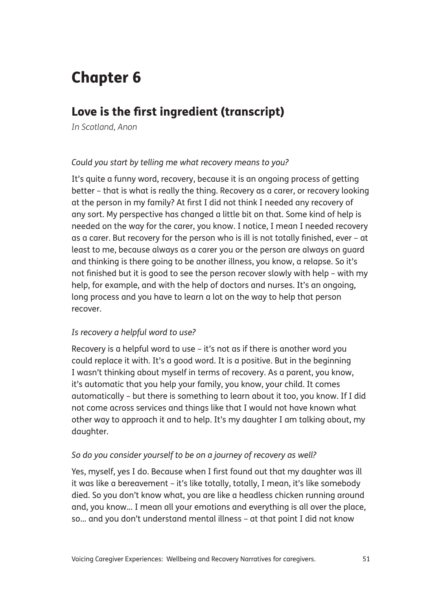# Chapter 6

# Love is the first ingredient (transcript)

*In Scotland, Anon*

#### *Could you start by telling me what recovery means to you?*

It's quite a funny word, recovery, because it is an ongoing process of getting better – that is what is really the thing. Recovery as a carer, or recovery looking at the person in my family? At first I did not think I needed any recovery of any sort. My perspective has changed a little bit on that. Some kind of help is needed on the way for the carer, you know. I notice, I mean I needed recovery as a carer. But recovery for the person who is ill is not totally finished, ever – at least to me, because always as a carer you or the person are always on guard and thinking is there going to be another illness, you know, a relapse. So it's not finished but it is good to see the person recover slowly with help – with my help, for example, and with the help of doctors and nurses. It's an ongoing, long process and you have to learn a lot on the way to help that person recover.

#### *Is recovery a helpful word to use?*

Recovery is a helpful word to use – it's not as if there is another word you could replace it with. It's a good word. It is a positive. But in the beginning I wasn't thinking about myself in terms of recovery. As a parent, you know, it's automatic that you help your family, you know, your child. It comes automatically – but there is something to learn about it too, you know. If I did not come across services and things like that I would not have known what other way to approach it and to help. It's my daughter I am talking about, my daughter.

#### *So do you consider yourself to be on a journey of recovery as well?*

Yes, myself, yes I do. Because when I first found out that my daughter was ill it was like a bereavement – it's like totally, totally, I mean, it's like somebody died. So you don't know what, you are like a headless chicken running around and, you know... I mean all your emotions and everything is all over the place, so... and you don't understand mental illness – at that point I did not know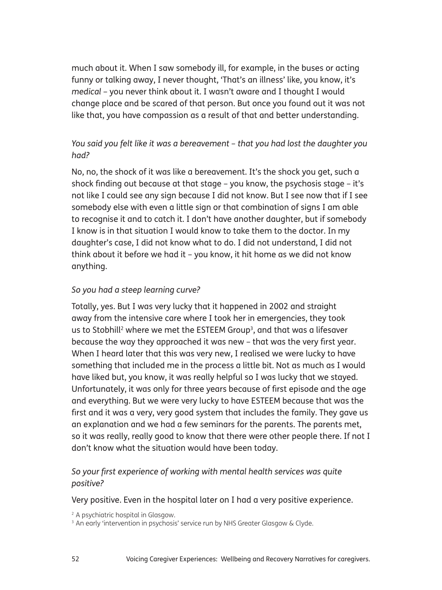much about it. When I saw somebody ill, for example, in the buses or acting funny or talking away, I never thought, 'That's an illness' like, you know, it's *medical* – you never think about it. I wasn't aware and I thought I would change place and be scared of that person. But once you found out it was not like that, you have compassion as a result of that and better understanding.

#### *You said you felt like it was a bereavement – that you had lost the daughter you had?*

No, no, the shock of it was like a bereavement. It's the shock you get, such a shock finding out because at that stage – you know, the psychosis stage – it's not like I could see any sign because I did not know. But I see now that if I see somebody else with even a little sign or that combination of signs I am able to recognise it and to catch it. I don't have another daughter, but if somebody I know is in that situation I would know to take them to the doctor. In my daughter's case, I did not know what to do. I did not understand, I did not think about it before we had it – you know, it hit home as we did not know anything.

#### *So you had a steep learning curve?*

Totally, yes. But I was very lucky that it happened in 2002 and straight away from the intensive care where I took her in emergencies, they took us to Stobhill<sup>2</sup> where we met the ESTEEM Group<sup>3</sup>, and that was a lifesaver because the way they approached it was new – that was the very first year. When I heard later that this was very new, I realised we were lucky to have something that included me in the process a little bit. Not as much as I would have liked but, you know, it was really helpful so I was lucky that we stayed. Unfortunately, it was only for three years because of first episode and the age and everything. But we were very lucky to have ESTEEM because that was the first and it was a very, very good system that includes the family. They gave us an explanation and we had a few seminars for the parents. The parents met, so it was really, really good to know that there were other people there. If not I don't know what the situation would have been today.

#### *So your first experience of working with mental health services was quite positive?*

Very positive. Even in the hospital later on I had a very positive experience.

<sup>2</sup> A psychiatric hospital in Glasgow.

<sup>3</sup> An early 'intervention in psychosis' service run by NHS Greater Glasgow & Clyde.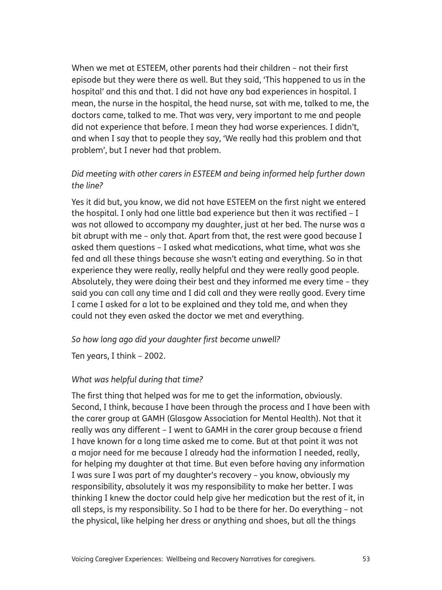When we met at ESTEEM, other parents had their children – not their first episode but they were there as well. But they said, 'This happened to us in the hospital' and this and that. I did not have any bad experiences in hospital. I mean, the nurse in the hospital, the head nurse, sat with me, talked to me, the doctors came, talked to me. That was very, very important to me and people did not experience that before. I mean they had worse experiences. I didn't, and when I say that to people they say, 'We really had this problem and that problem', but I never had that problem.

#### *Did meeting with other carers in ESTEEM and being informed help further down the line?*

Yes it did but, you know, we did not have ESTEEM on the first night we entered the hospital. I only had one little bad experience but then it was rectified – I was not allowed to accompany my daughter, just at her bed. The nurse was a bit abrupt with me – only that. Apart from that, the rest were good because I asked them questions – I asked what medications, what time, what was she fed and all these things because she wasn't eating and everything. So in that experience they were really, really helpful and they were really good people. Absolutely, they were doing their best and they informed me every time – they said you can call any time and I did call and they were really good. Every time I came I asked for a lot to be explained and they told me, and when they could not they even asked the doctor we met and everything.

#### *So how long ago did your daughter first become unwell?*

Ten years, I think – 2002.

#### *What was helpful during that time?*

The first thing that helped was for me to get the information, obviously. Second, I think, because I have been through the process and I have been with the carer group at GAMH (Glasgow Association for Mental Health). Not that it really was any different – I went to GAMH in the carer group because a friend I have known for a long time asked me to come. But at that point it was not a major need for me because I already had the information I needed, really, for helping my daughter at that time. But even before having any information I was sure I was part of my daughter's recovery – you know, obviously my responsibility, absolutely it was my responsibility to make her better. I was thinking I knew the doctor could help give her medication but the rest of it, in all steps, is my responsibility. So I had to be there for her. Do everything – not the physical, like helping her dress or anything and shoes, but all the things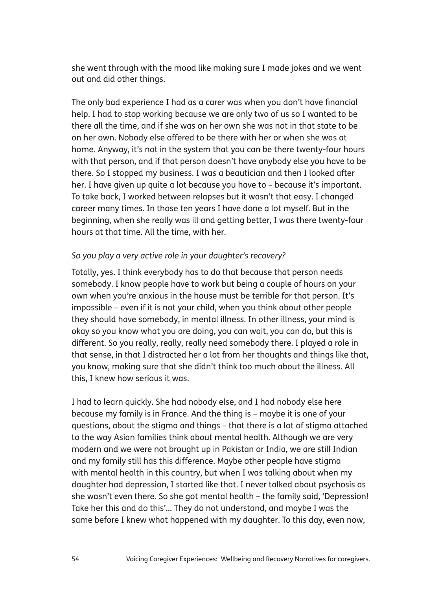she went through with the mood like making sure I made jokes and we went out and did other things.

The only bad experience I had as a carer was when you don't have financial help. I had to stop working because we are only two of us so I wanted to be there all the time, and if she was on her own she was not in that state to be on her own. Nobody else offered to be there with her or when she was at home. Anyway, it's not in the system that you can be there twenty-four hours with that person, and if that person doesn't have anybody else you have to be there. So I stopped my business. I was a beautician and then I looked after her. I have given up quite a lot because you have to – because it's important. To take back, I worked between relapses but it wasn't that easy. I changed career many times. In those ten years I have done a lot myself. But in the beginning, when she really was ill and getting better, I was there twenty-four hours at that time. All the time, with her.

#### *So you play a very active role in your daughter's recovery?*

Totally, yes. I think everybody has to do that because that person needs somebody. I know people have to work but being a couple of hours on your own when you're anxious in the house must be terrible for that person. It's impossible – even if it is not your child, when you think about other people they should have somebody, in mental illness. In other illness, your mind is okay so you know what you are doing, you can wait, you can do, but this is different. So you really, really, really need somebody there. I played a role in that sense, in that I distracted her a lot from her thoughts and things like that, you know, making sure that she didn't think too much about the illness. All this, I knew how serious it was.

I had to learn quickly. She had nobody else, and I had nobody else here because my family is in France. And the thing is – maybe it is one of your questions, about the stigma and things – that there is a lot of stigma attached to the way Asian families think about mental health. Although we are very modern and we were not brought up in Pakistan or India, we are still Indian and my family still has this difference. Maybe other people have stigma with mental health in this country, but when I was talking about when my daughter had depression, I started like that. I never talked about psychosis as she wasn't even there. So she got mental health – the family said, 'Depression! Take her this and do this'... They do not understand, and maybe I was the same before I knew what happened with my daughter. To this day, even now,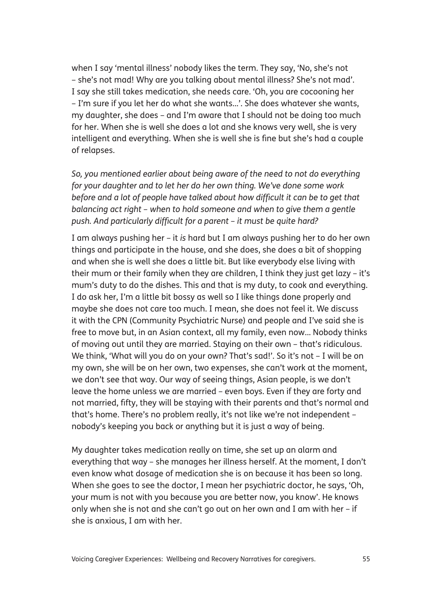when I say 'mental illness' nobody likes the term. They say, 'No, she's not – she's not mad! Why are you talking about mental illness? She's not mad'. I say she still takes medication, she needs care. 'Oh, you are cocooning her – I'm sure if you let her do what she wants...'. She does whatever she wants, my daughter, she does – and I'm aware that I should not be doing too much for her. When she is well she does a lot and she knows very well, she is very intelligent and everything. When she is well she is fine but she's had a couple of relapses.

*So, you mentioned earlier about being aware of the need to not do everything for your daughter and to let her do her own thing. We've done some work before and a lot of people have talked about how difficult it can be to get that balancing act right – when to hold someone and when to give them a gentle push. And particularly difficult for a parent – it must be quite hard?*

I am always pushing her – it *is* hard but I am always pushing her to do her own things and participate in the house, and she does, she does a bit of shopping and when she is well she does a little bit. But like everybody else living with their mum or their family when they are children, I think they just get lazy – it's mum's duty to do the dishes. This and that is my duty, to cook and everything. I do ask her, I'm a little bit bossy as well so I like things done properly and maybe she does not care too much. I mean, she does not feel it. We discuss it with the CPN (Community Psychiatric Nurse) and people and I've said she is free to move but, in an Asian context, all my family, even now... Nobody thinks of moving out until they are married. Staying on their own – that's ridiculous. We think, 'What will you do on your own? That's sad!'. So it's not – I will be on my own, she will be on her own, two expenses, she can't work at the moment, we don't see that way. Our way of seeing things, Asian people, is we don't leave the home unless we are married – even boys. Even if they are forty and not married, fifty, they will be staying with their parents and that's normal and that's home. There's no problem really, it's not like we're not independent – nobody's keeping you back or anything but it is just a way of being.

My daughter takes medication really on time, she set up an alarm and everything that way – she manages her illness herself. At the moment, I don't even know what dosage of medication she is on because it has been so long. When she goes to see the doctor, I mean her psychiatric doctor, he says, 'Oh, your mum is not with you because you are better now, you know'. He knows only when she is not and she can't go out on her own and I am with her – if she is anxious, I am with her.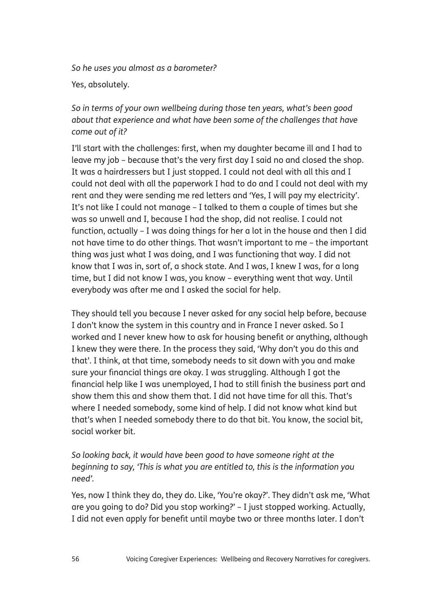*So he uses you almost as a barometer?*

Yes, absolutely.

*So in terms of your own wellbeing during those ten years, what's been good about that experience and what have been some of the challenges that have come out of it?*

I'll start with the challenges: first, when my daughter became ill and I had to leave my job – because that's the very first day I said no and closed the shop. It was a hairdressers but I just stopped. I could not deal with all this and I could not deal with all the paperwork I had to do and I could not deal with my rent and they were sending me red letters and 'Yes, I will pay my electricity'. It's not like I could not manage – I talked to them a couple of times but she was so unwell and I, because I had the shop, did not realise. I could not function, actually – I was doing things for her a lot in the house and then I did not have time to do other things. That wasn't important to me – the important thing was just what I was doing, and I was functioning that way. I did not know that I was in, sort of, a shock state. And I was, I knew I was, for a long time, but I did not know I was, you know – everything went that way. Until everybody was after me and I asked the social for help.

They should tell you because I never asked for any social help before, because I don't know the system in this country and in France I never asked. So I worked and I never knew how to ask for housing benefit or anything, although I knew they were there. In the process they said, 'Why don't you do this and that'. I think, at that time, somebody needs to sit down with you and make sure your financial things are okay. I was struggling. Although I got the financial help like I was unemployed, I had to still finish the business part and show them this and show them that. I did not have time for all this. That's where I needed somebody, some kind of help. I did not know what kind but that's when I needed somebody there to do that bit. You know, the social bit, social worker bit.

*So looking back, it would have been good to have someone right at the beginning to say, 'This is what you are entitled to, this is the information you need'.*

Yes, now I think they do, they do. Like, 'You're okay?'. They didn't ask me, 'What are you going to do? Did you stop working?' – I just stopped working. Actually, I did not even apply for benefit until maybe two or three months later. I don't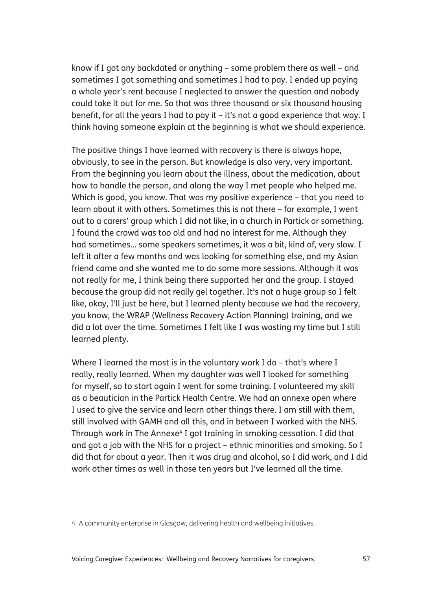know if I got any backdated or anything – some problem there as well – and sometimes I got something and sometimes I had to pay. I ended up paying a whole year's rent because I neglected to answer the question and nobody could take it out for me. So that was three thousand or six thousand housing benefit, for all the years I had to pay it – it's not a good experience that way. I think having someone explain at the beginning is what we should experience.

The positive things I have learned with recovery is there is always hope, obviously, to see in the person. But knowledge is also very, very important. From the beginning you learn about the illness, about the medication, about how to handle the person, and along the way I met people who helped me. Which is good, you know. That was my positive experience – that you need to learn about it with others. Sometimes this is not there – for example, I went out to a carers' group which I did not like, in a church in Partick or something. I found the crowd was too old and had no interest for me. Although they had sometimes... some speakers sometimes, it was a bit, kind of, very slow. I left it after a few months and was looking for something else, and my Asian friend came and she wanted me to do some more sessions. Although it was not really for me, I think being there supported her and the group. I stayed because the group did not really gel together. It's not a huge group so I felt like, okay, I'll just be here, but I learned plenty because we had the recovery, you know, the WRAP (Wellness Recovery Action Planning) training, and we did a lot over the time. Sometimes I felt like I was wasting my time but I still learned plenty.

Where I learned the most is in the voluntary work I do - that's where I really, really learned. When my daughter was well I looked for something for myself, so to start again I went for some training. I volunteered my skill as a beautician in the Partick Health Centre. We had an annexe open where I used to give the service and learn other things there. I am still with them, still involved with GAMH and all this, and in between I worked with the NHS. Through work in The Annexe<sup>4</sup> I got training in smoking cessation. I did that and got a job with the NHS for a project – ethnic minorities and smoking. So I did that for about a year. Then it was drug and alcohol, so I did work, and I did work other times as well in those ten years but I've learned all the time.

4 A community enterprise in Glasgow, delivering health and wellbeing initiatives.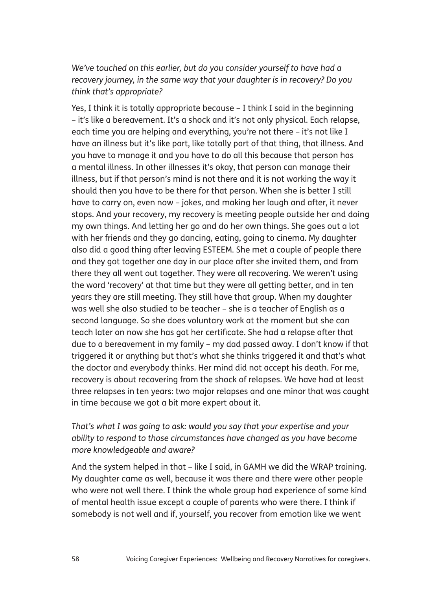*We've touched on this earlier, but do you consider yourself to have had a recovery journey, in the same way that your daughter is in recovery? Do you think that's appropriate?*

Yes, I think it is totally appropriate because – I think I said in the beginning – it's like a bereavement. It's a shock and it's not only physical. Each relapse, each time you are helping and everything, you're not there – it's not like I have an illness but it's like part, like totally part of that thing, that illness. And you have to manage it and you have to do all this because that person has a mental illness. In other illnesses it's okay, that person can manage their illness, but if that person's mind is not there and it is not working the way it should then you have to be there for that person. When she is better I still have to carry on, even now – jokes, and making her laugh and after, it never stops. And your recovery, my recovery is meeting people outside her and doing my own things. And letting her go and do her own things. She goes out a lot with her friends and they go dancing, eating, going to cinema. My daughter also did a good thing after leaving ESTEEM. She met a couple of people there and they got together one day in our place after she invited them, and from there they all went out together. They were all recovering. We weren't using the word 'recovery' at that time but they were all getting better, and in ten years they are still meeting. They still have that group. When my daughter was well she also studied to be teacher – she is a teacher of English as a second language. So she does voluntary work at the moment but she can teach later on now she has got her certificate. She had a relapse after that due to a bereavement in my family – my dad passed away. I don't know if that triggered it or anything but that's what she thinks triggered it and that's what the doctor and everybody thinks. Her mind did not accept his death. For me, recovery is about recovering from the shock of relapses. We have had at least three relapses in ten years: two major relapses and one minor that was caught in time because we got a bit more expert about it.

#### *That's what I was going to ask: would you say that your expertise and your ability to respond to those circumstances have changed as you have become more knowledgeable and aware?*

And the system helped in that – like I said, in GAMH we did the WRAP training. My daughter came as well, because it was there and there were other people who were not well there. I think the whole group had experience of some kind of mental health issue except a couple of parents who were there. I think if somebody is not well and if, yourself, you recover from emotion like we went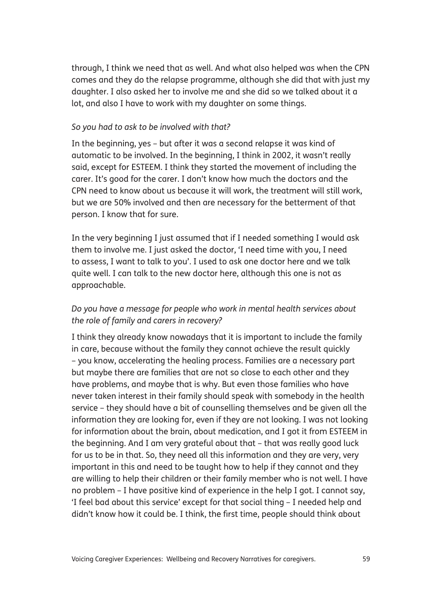through, I think we need that as well. And what also helped was when the CPN comes and they do the relapse programme, although she did that with just my daughter. I also asked her to involve me and she did so we talked about it a lot, and also I have to work with my daughter on some things.

#### *So you had to ask to be involved with that?*

In the beginning, yes – but after it was a second relapse it was kind of automatic to be involved. In the beginning, I think in 2002, it wasn't really said, except for ESTEEM. I think they started the movement of including the carer. It's good for the carer. I don't know how much the doctors and the CPN need to know about us because it will work, the treatment will still work, but we are 50% involved and then are necessary for the betterment of that person. I know that for sure.

In the very beginning I just assumed that if I needed something I would ask them to involve me. I just asked the doctor, 'I need time with you, I need to assess, I want to talk to you'. I used to ask one doctor here and we talk quite well. I can talk to the new doctor here, although this one is not as approachable.

#### *Do you have a message for people who work in mental health services about the role of family and carers in recovery?*

I think they already know nowadays that it is important to include the family in care, because without the family they cannot achieve the result quickly – you know, accelerating the healing process. Families are a necessary part but maybe there are families that are not so close to each other and they have problems, and maybe that is why. But even those families who have never taken interest in their family should speak with somebody in the health service – they should have a bit of counselling themselves and be given all the information they are looking for, even if they are not looking. I was not looking for information about the brain, about medication, and I got it from ESTEEM in the beginning. And I am very grateful about that – that was really good luck for us to be in that. So, they need all this information and they are very, very important in this and need to be taught how to help if they cannot and they are willing to help their children or their family member who is not well. I have no problem – I have positive kind of experience in the help I got. I cannot say, 'I feel bad about this service' except for that social thing – I needed help and didn't know how it could be. I think, the first time, people should think about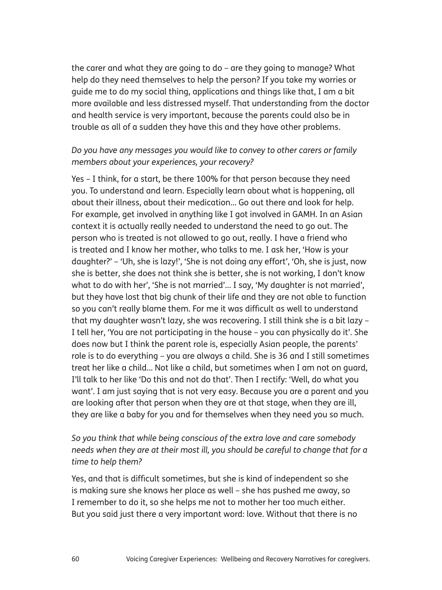the carer and what they are going to do – are they going to manage? What help do they need themselves to help the person? If you take my worries or guide me to do my social thing, applications and things like that, I am a bit more available and less distressed myself. That understanding from the doctor and health service is very important, because the parents could also be in trouble as all of a sudden they have this and they have other problems.

#### *Do you have any messages you would like to convey to other carers or family members about your experiences, your recovery?*

Yes – I think, for a start, be there 100% for that person because they need you. To understand and learn. Especially learn about what is happening, all about their illness, about their medication... Go out there and look for help. For example, get involved in anything like I got involved in GAMH. In an Asian context it is actually really needed to understand the need to go out. The person who is treated is not allowed to go out, really. I have a friend who is treated and I know her mother, who talks to me. I ask her, 'How is your daughter?' – 'Uh, she is lazy!', 'She is not doing any effort', 'Oh, she is just, now she is better, she does not think she is better, she is not working, I don't know what to do with her', 'She is not married'... I say, 'My daughter is not married', but they have lost that big chunk of their life and they are not able to function so you can't really blame them. For me it was difficult as well to understand that my daughter wasn't lazy, she was recovering. I still think she is a bit lazy – I tell her, 'You are not participating in the house – you can physically do it'. She does now but I think the parent role is, especially Asian people, the parents' role is to do everything – you are always a child. She is 36 and I still sometimes treat her like a child... Not like a child, but sometimes when I am not on guard, I'll talk to her like 'Do this and not do that'. Then I rectify: 'Well, do what you want'. I am just saying that is not very easy. Because you are a parent and you are looking after that person when they are at that stage, when they are ill, they are like a baby for you and for themselves when they need you so much.

#### *So you think that while being conscious of the extra love and care somebody needs when they are at their most ill, you should be careful to change that for a time to help them?*

Yes, and that is difficult sometimes, but she is kind of independent so she is making sure she knows her place as well – she has pushed me away, so I remember to do it, so she helps me not to mother her too much either. But you said just there a very important word: love. Without that there is no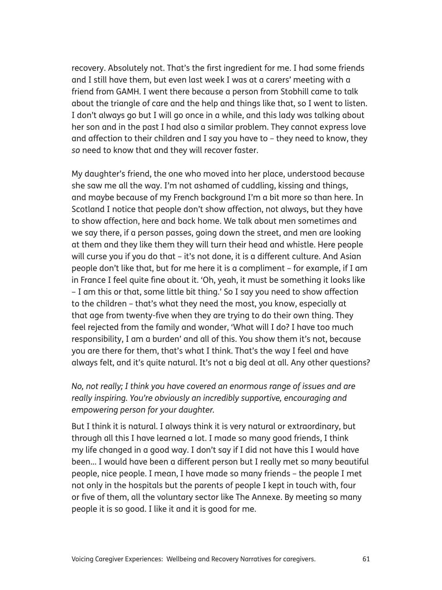recovery. Absolutely not. That's the first ingredient for me. I had some friends and I still have them, but even last week I was at a carers' meeting with a friend from GAMH. I went there because a person from Stobhill came to talk about the triangle of care and the help and things like that, so I went to listen. I don't always go but I will go once in a while, and this lady was talking about her son and in the past I had also a similar problem. They cannot express love and affection to their children and I say you have to – they need to know, they *so* need to know that and they will recover faster.

My daughter's friend, the one who moved into her place, understood because she saw me all the way. I'm not ashamed of cuddling, kissing and things, and maybe because of my French background I'm a bit more so than here. In Scotland I notice that people don't show affection, not always, but they have to show affection, here and back home. We talk about men sometimes and we say there, if a person passes, going down the street, and men are looking at them and they like them they will turn their head and whistle. Here people will curse you if you do that – it's not done, it is a different culture. And Asian people don't like that, but for me here it is a compliment – for example, if I am in France I feel quite fine about it. 'Oh, yeah, it must be something it looks like – I am this or that, some little bit thing.' So I say you need to show affection to the children – that's what they need the most, you know, especially at that age from twenty-five when they are trying to do their own thing. They feel rejected from the family and wonder, 'What will I do? I have too much responsibility, I am a burden' and all of this. You show them it's not, because you are there for them, that's what I think. That's the way I feel and have always felt, and it's quite natural. It's not a big deal at all. Any other questions?

*No, not really; I think you have covered an enormous range of issues and are really inspiring. You're obviously an incredibly supportive, encouraging and empowering person for your daughter.*

But I think it is natural. I always think it is very natural or extraordinary, but through all this I have learned a lot. I made so many good friends, I think my life changed in a good way. I don't say if I did not have this I would have been... I would have been a different person but I really met so many beautiful people, nice people. I mean, I have made so many friends – the people I met not only in the hospitals but the parents of people I kept in touch with, four or five of them, all the voluntary sector like The Annexe. By meeting so many people it is so good. I like it and it is good for me.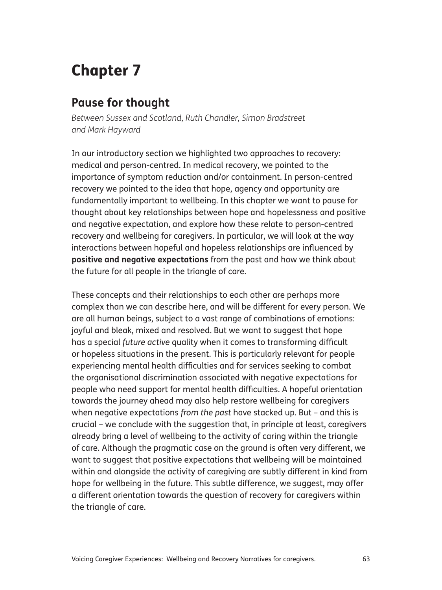# Chapter 7

# **Pause for thought**

*Between Sussex and Scotland, Ruth Chandler, Simon Bradstreet and Mark Hayward*

In our introductory section we highlighted two approaches to recovery: medical and person-centred. In medical recovery, we pointed to the importance of symptom reduction and/or containment. In person-centred recovery we pointed to the idea that hope, agency and opportunity are fundamentally important to wellbeing. In this chapter we want to pause for thought about key relationships between hope and hopelessness and positive and negative expectation, and explore how these relate to person-centred recovery and wellbeing for caregivers. In particular, we will look at the way interactions between hopeful and hopeless relationships are influenced by **positive and negative expectations** from the past and how we think about the future for all people in the triangle of care.

These concepts and their relationships to each other are perhaps more complex than we can describe here, and will be different for every person. We are all human beings, subject to a vast range of combinations of emotions: joyful and bleak, mixed and resolved. But we want to suggest that hope has a special *future active* quality when it comes to transforming difficult or hopeless situations in the present. This is particularly relevant for people experiencing mental health difficulties and for services seeking to combat the organisational discrimination associated with negative expectations for people who need support for mental health difficulties. A hopeful orientation towards the journey ahead may also help restore wellbeing for caregivers when negative expectations *from the past* have stacked up. But – and this is crucial – we conclude with the suggestion that, in principle at least, caregivers already bring a level of wellbeing to the activity of caring within the triangle of care. Although the pragmatic case on the ground is often very different, we want to suggest that positive expectations that wellbeing will be maintained within and alongside the activity of caregiving are subtly different in kind from hope for wellbeing in the future. This subtle difference, we suggest, may offer a different orientation towards the question of recovery for caregivers within the triangle of care.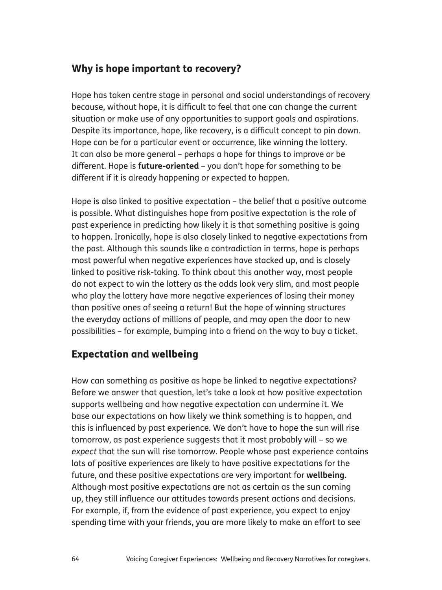## Why is hope important to recovery?

Hope has taken centre stage in personal and social understandings of recovery because, without hope, it is difficult to feel that one can change the current situation or make use of any opportunities to support goals and aspirations. Despite its importance, hope, like recovery, is a difficult concept to pin down. Hope can be for a particular event or occurrence, like winning the lottery. It can also be more general – perhaps a hope for things to improve or be different. Hope is **future-oriented** – you don't hope for something to be different if it is already happening or expected to happen.

Hope is also linked to positive expectation – the belief that a positive outcome is possible. What distinguishes hope from positive expectation is the role of past experience in predicting how likely it is that something positive is going to happen. Ironically, hope is also closely linked to negative expectations from the past. Although this sounds like a contradiction in terms, hope is perhaps most powerful when negative experiences have stacked up, and is closely linked to positive risk-taking. To think about this another way, most people do not expect to win the lottery as the odds look very slim, and most people who play the lottery have more negative experiences of losing their money than positive ones of seeing a return! But the hope of winning structures the everyday actions of millions of people, and may open the door to new possibilities – for example, bumping into a friend on the way to buy a ticket.

## Expectation and wellbeing

How can something as positive as hope be linked to negative expectations? Before we answer that question, let's take a look at how positive expectation supports wellbeing and how negative expectation can undermine it. We base our expectations on how likely we think something is to happen, and this is influenced by past experience. We don't have to hope the sun will rise tomorrow, as past experience suggests that it most probably will – so we *expect* that the sun will rise tomorrow. People whose past experience contains lots of positive experiences are likely to have positive expectations for the future, and these positive expectations are very important for **wellbeing.** Although most positive expectations are not as certain as the sun coming up, they still influence our attitudes towards present actions and decisions. For example, if, from the evidence of past experience, you expect to enjoy spending time with your friends, you are more likely to make an effort to see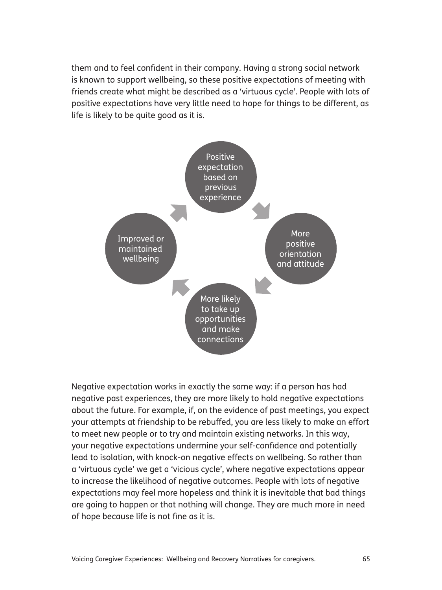them and to feel confident in their company. Having a strong social network is known to support wellbeing, so these positive expectations of meeting with friends create what might be described as a 'virtuous cycle'. People with lots of positive expectations have very little need to hope for things to be different, as life is likely to be quite good as it is.



Negative expectation works in exactly the same way: if a person has had negative past experiences, they are more likely to hold negative expectations about the future. For example, if, on the evidence of past meetings, you expect your attempts at friendship to be rebuffed, you are less likely to make an effort to meet new people or to try and maintain existing networks. In this way, your negative expectations undermine your self-confidence and potentially lead to isolation, with knock-on negative effects on wellbeing. So rather than a 'virtuous cycle' we get a 'vicious cycle', where negative expectations appear to increase the likelihood of negative outcomes. People with lots of negative expectations may feel more hopeless and think it is inevitable that bad things are going to happen or that nothing will change. They are much more in need of hope because life is not fine as it is.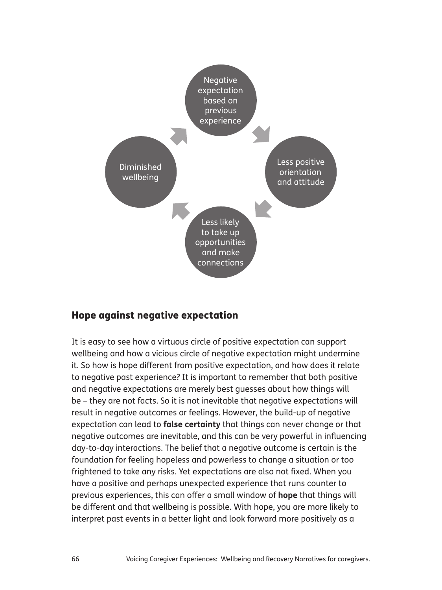

#### Hope against negative expectation

It is easy to see how a virtuous circle of positive expectation can support wellbeing and how a vicious circle of negative expectation might undermine it. So how is hope different from positive expectation, and how does it relate to negative past experience? It is important to remember that both positive and negative expectations are merely best guesses about how things will be – they are not facts. So it is not inevitable that negative expectations will result in negative outcomes or feelings. However, the build-up of negative expectation can lead to **false certainty** that things can never change or that negative outcomes are inevitable, and this can be very powerful in influencing day-to-day interactions. The belief that a negative outcome is certain is the foundation for feeling hopeless and powerless to change a situation or too frightened to take any risks. Yet expectations are also not fixed. When you have a positive and perhaps unexpected experience that runs counter to previous experiences, this can offer a small window of **hope** that things will be different and that wellbeing is possible. With hope, you are more likely to interpret past events in a better light and look forward more positively as a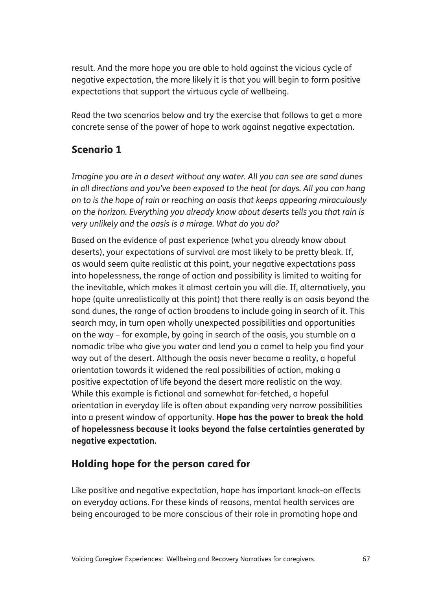result. And the more hope you are able to hold against the vicious cycle of negative expectation, the more likely it is that you will begin to form positive expectations that support the virtuous cycle of wellbeing.

Read the two scenarios below and try the exercise that follows to get a more concrete sense of the power of hope to work against negative expectation.

#### Scenario 1

*Imagine you are in a desert without any water. All you can see are sand dunes in all directions and you've been exposed to the heat for days. All you can hang on to is the hope of rain or reaching an oasis that keeps appearing miraculously on the horizon. Everything you already know about deserts tells you that rain is very unlikely and the oasis is a mirage. What do you do?*

Based on the evidence of past experience (what you already know about deserts), your expectations of survival are most likely to be pretty bleak. If, as would seem quite realistic at this point, your negative expectations pass into hopelessness, the range of action and possibility is limited to waiting for the inevitable, which makes it almost certain you will die. If, alternatively, you hope (quite unrealistically at this point) that there really is an oasis beyond the sand dunes, the range of action broadens to include going in search of it. This search may, in turn open wholly unexpected possibilities and opportunities on the way – for example, by going in search of the oasis, you stumble on a nomadic tribe who give you water and lend you a camel to help you find your way out of the desert. Although the oasis never became a reality, a hopeful orientation towards it widened the real possibilities of action, making a positive expectation of life beyond the desert more realistic on the way. While this example is fictional and somewhat far-fetched, a hopeful orientation in everyday life is often about expanding very narrow possibilities into a present window of opportunity. **Hope has the power to break the hold of hopelessness because it looks beyond the false certainties generated by negative expectation.**

#### Holding hope for the person cared for

Like positive and negative expectation, hope has important knock-on effects on everyday actions. For these kinds of reasons, mental health services are being encouraged to be more conscious of their role in promoting hope and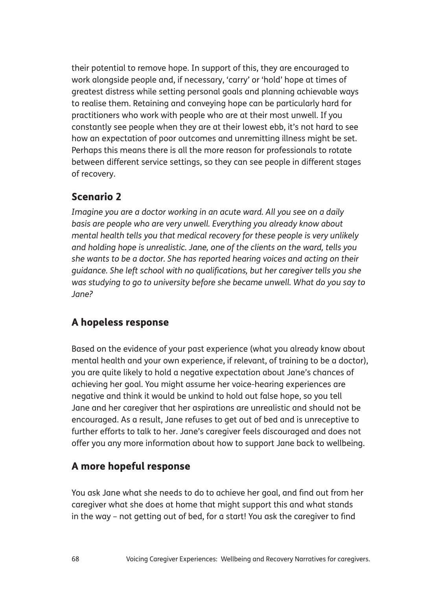their potential to remove hope. In support of this, they are encouraged to work alongside people and, if necessary, 'carry' or 'hold' hope at times of greatest distress while setting personal goals and planning achievable ways to realise them. Retaining and conveying hope can be particularly hard for practitioners who work with people who are at their most unwell. If you constantly see people when they are at their lowest ebb, it's not hard to see how an expectation of poor outcomes and unremitting illness might be set. Perhaps this means there is all the more reason for professionals to rotate between different service settings, so they can see people in different stages of recovery.

## Scenario 2

*Imagine you are a doctor working in an acute ward. All you see on a daily basis are people who are very unwell. Everything you already know about mental health tells you that medical recovery for these people is very unlikely and holding hope is unrealistic. Jane, one of the clients on the ward, tells you she wants to be a doctor. She has reported hearing voices and acting on their guidance. She left school with no qualifications, but her caregiver tells you she was studying to go to university before she became unwell. What do you say to Jane?*

## A hopeless response

Based on the evidence of your past experience (what you already know about mental health and your own experience, if relevant, of training to be a doctor), you are quite likely to hold a negative expectation about Jane's chances of achieving her goal. You might assume her voice-hearing experiences are negative and think it would be unkind to hold out false hope, so you tell Jane and her caregiver that her aspirations are unrealistic and should not be encouraged. As a result, Jane refuses to get out of bed and is unreceptive to further efforts to talk to her. Jane's caregiver feels discouraged and does not offer you any more information about how to support Jane back to wellbeing.

## A more hopeful response

You ask Jane what she needs to do to achieve her goal, and find out from her caregiver what she does at home that might support this and what stands in the way – not getting out of bed, for a start! You ask the caregiver to find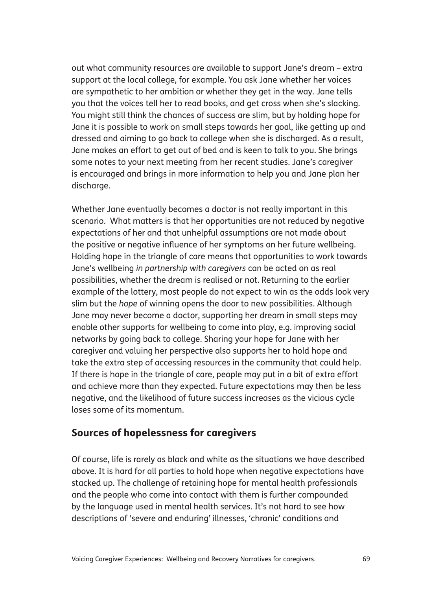out what community resources are available to support Jane's dream – extra support at the local college, for example. You ask Jane whether her voices are sympathetic to her ambition or whether they get in the way. Jane tells you that the voices tell her to read books, and get cross when she's slacking. You might still think the chances of success are slim, but by holding hope for Jane it is possible to work on small steps towards her goal, like getting up and dressed and aiming to go back to college when she is discharged. As a result, Jane makes an effort to get out of bed and is keen to talk to you. She brings some notes to your next meeting from her recent studies. Jane's caregiver is encouraged and brings in more information to help you and Jane plan her discharge.

Whether Jane eventually becomes a doctor is not really important in this scenario. What matters is that her opportunities are not reduced by negative expectations of her and that unhelpful assumptions are not made about the positive or negative influence of her symptoms on her future wellbeing. Holding hope in the triangle of care means that opportunities to work towards Jane's wellbeing *in partnership with caregivers* can be acted on as real possibilities, whether the dream is realised or not. Returning to the earlier example of the lottery, most people do not expect to win as the odds look very slim but the *hope* of winning opens the door to new possibilities. Although Jane may never become a doctor, supporting her dream in small steps may enable other supports for wellbeing to come into play, e.g. improving social networks by going back to college. Sharing your hope for Jane with her caregiver and valuing her perspective also supports her to hold hope and take the extra step of accessing resources in the community that could help. If there is hope in the triangle of care, people may put in a bit of extra effort and achieve more than they expected. Future expectations may then be less negative, and the likelihood of future success increases as the vicious cycle loses some of its momentum.

#### Sources of hopelessness for caregivers

Of course, life is rarely as black and white as the situations we have described above. It is hard for all parties to hold hope when negative expectations have stacked up. The challenge of retaining hope for mental health professionals and the people who come into contact with them is further compounded by the language used in mental health services. It's not hard to see how descriptions of 'severe and enduring' illnesses, 'chronic' conditions and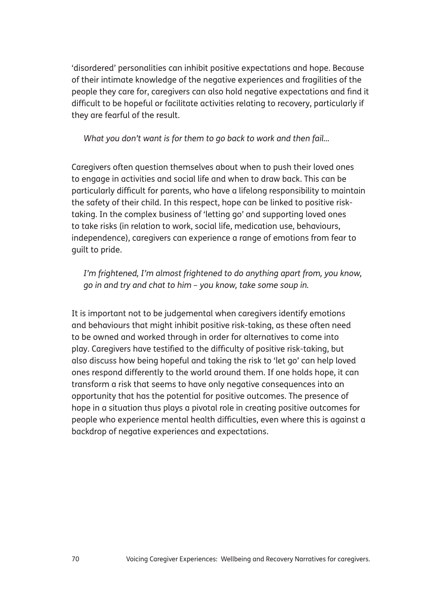'disordered' personalities can inhibit positive expectations and hope. Because of their intimate knowledge of the negative experiences and fragilities of the people they care for, caregivers can also hold negative expectations and find it difficult to be hopeful or facilitate activities relating to recovery, particularly if they are fearful of the result.

*What you don't want is for them to go back to work and then fail...*

Caregivers often question themselves about when to push their loved ones to engage in activities and social life and when to draw back. This can be particularly difficult for parents, who have a lifelong responsibility to maintain the safety of their child. In this respect, hope can be linked to positive risktaking. In the complex business of 'letting go' and supporting loved ones to take risks (in relation to work, social life, medication use, behaviours, independence), caregivers can experience a range of emotions from fear to guilt to pride.

*I'm frightened, I'm almost frightened to do anything apart from, you know, go in and try and chat to him – you know, take some soup in.*

It is important not to be judgemental when caregivers identify emotions and behaviours that might inhibit positive risk-taking, as these often need to be owned and worked through in order for alternatives to come into play. Caregivers have testified to the difficulty of positive risk-taking, but also discuss how being hopeful and taking the risk to 'let go' can help loved ones respond differently to the world around them. If one holds hope, it can transform a risk that seems to have only negative consequences into an opportunity that has the potential for positive outcomes. The presence of hope in a situation thus plays a pivotal role in creating positive outcomes for people who experience mental health difficulties, even where this is against a backdrop of negative experiences and expectations.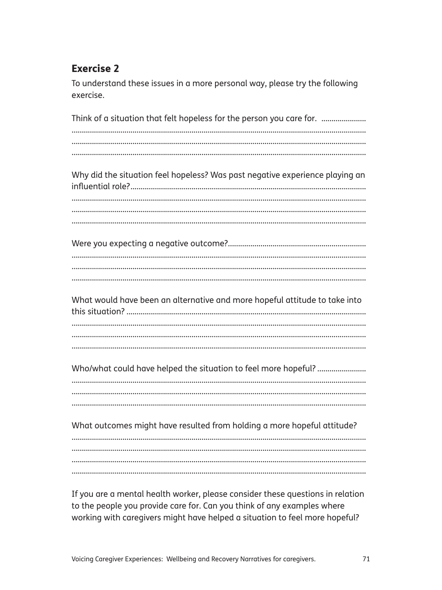## **Exercise 2**

To understand these issues in a more personal way, please try the following exercise.

Think of a situation that felt hopeless for the person you care for. ............................... Why did the situation feel hopeless? Was past negative experience playing an What would have been an alternative and more hopeful attitude to take into What outcomes might have resulted from holding a more hopeful attitude? 

If you are a mental health worker, please consider these questions in relation to the people you provide care for. Can you think of any examples where working with caregivers might have helped a situation to feel more hopeful?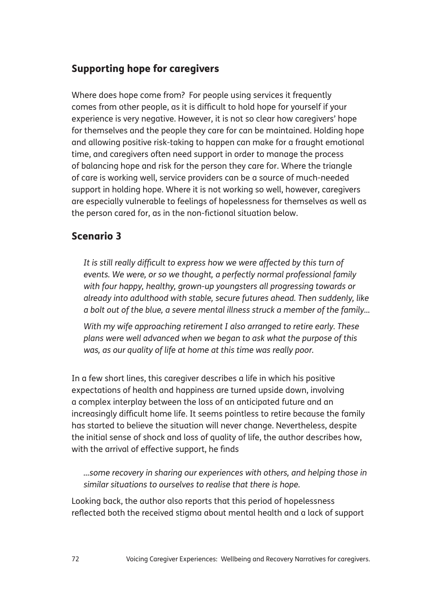## Supporting hope for caregivers

Where does hope come from? For people using services it frequently comes from other people, as it is difficult to hold hope for yourself if your experience is very negative. However, it is not so clear how caregivers' hope for themselves and the people they care for can be maintained. Holding hope and allowing positive risk-taking to happen can make for a fraught emotional time, and caregivers often need support in order to manage the process of balancing hope and risk for the person they care for. Where the triangle of care is working well, service providers can be a source of much-needed support in holding hope. Where it is not working so well, however, caregivers are especially vulnerable to feelings of hopelessness for themselves as well as the person cared for, as in the non-fictional situation below.

#### Scenario 3

*It is still really difficult to express how we were affected by this turn of events. We were, or so we thought, a perfectly normal professional family with four happy, healthy, grown-up youngsters all progressing towards or already into adulthood with stable, secure futures ahead. Then suddenly, like a bolt out of the blue, a severe mental illness struck a member of the family...*

*With my wife approaching retirement I also arranged to retire early. These plans were well advanced when we began to ask what the purpose of this was, as our quality of life at home at this time was really poor.* 

In a few short lines, this caregiver describes a life in which his positive expectations of health and happiness are turned upside down, involving a complex interplay between the loss of an anticipated future and an increasingly difficult home life. It seems pointless to retire because the family has started to believe the situation will never change. Nevertheless, despite the initial sense of shock and loss of quality of life, the author describes how, with the arrival of effective support, he finds

*...some recovery in sharing our experiences with others, and helping those in similar situations to ourselves to realise that there is hope.* 

Looking back, the author also reports that this period of hopelessness reflected both the received stigma about mental health and a lack of support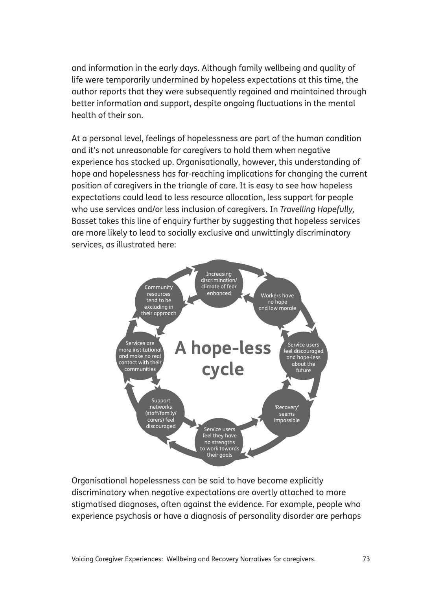and information in the early days. Although family wellbeing and quality of life were temporarily undermined by hopeless expectations at this time, the author reports that they were subsequently regained and maintained through better information and support, despite ongoing fluctuations in the mental health of their son.

At a personal level, feelings of hopelessness are part of the human condition and it's not unreasonable for caregivers to hold them when negative experience has stacked up. Organisationally, however, this understanding of hope and hopelessness has far-reaching implications for changing the current position of caregivers in the triangle of care. It is easy to see how hopeless expectations could lead to less resource allocation, less support for people who use services and/or less inclusion of caregivers. In *Travelling Hopefully,* Basset takes this line of enquiry further by suggesting that hopeless services are more likely to lead to socially exclusive and unwittingly discriminatory services, as illustrated here:



Organisational hopelessness can be said to have become explicitly discriminatory when negative expectations are overtly attached to more stigmatised diagnoses, often against the evidence. For example, people who experience psychosis or have a diagnosis of personality disorder are perhaps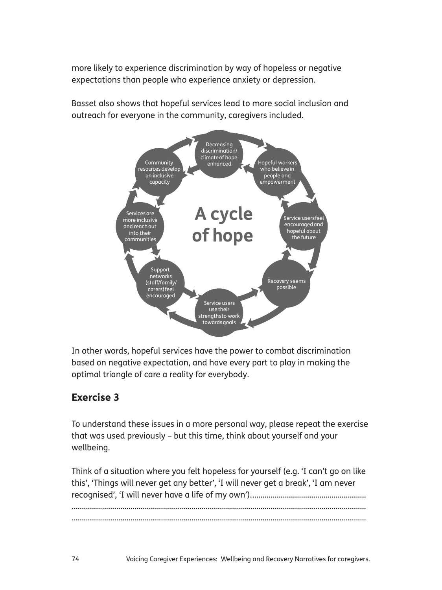more likely to experience discrimination by way of hopeless or negative expectations than people who experience anxiety or depression.

Basset also shows that hopeful services lead to more social inclusion and outreach for everyone in the community, caregivers included.



In other words, hopeful services have the power to combat discrimination based on negative expectation, and have every part to play in making the optimal triangle of care a reality for everybody.

## Exercise 3

To understand these issues in a more personal way, please repeat the exercise that was used previously – but this time, think about yourself and your wellbeing.

Think of a situation where you felt hopeless for yourself (e.g. 'I can't go on like this', 'Things will never get any better', 'I will never get a break', 'I am never recognised', 'I will never have a life of my own'). ........................................................ .................................................................................................................................................

.................................................................................................................................................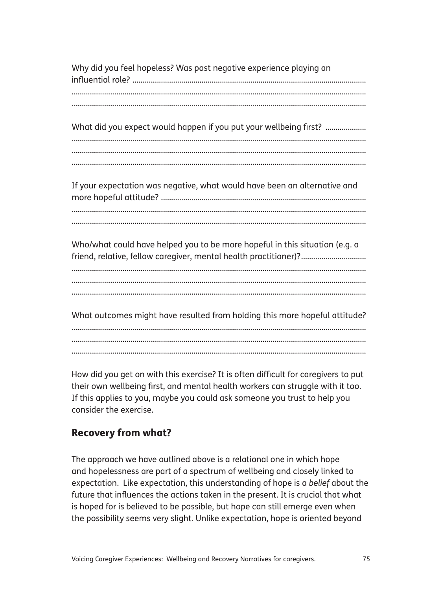Why did you feel hopeless? Was past negative experience playing an influential role? ................................................................................................................... ................................................................................................................................................. ................................................................................................................................................. What did you expect would happen if you put your wellbeing first? .................... ................................................................................................................................................. ................................................................................................................................................. ................................................................................................................................................. If your expectation was negative, what would have been an alternative and more hopeful attitude? ..................................................................................................... ................................................................................................................................................. ................................................................................................................................................. Who/what could have helped you to be more hopeful in this situation (e.g. a friend, relative, fellow caregiver, mental health practitioner)? .................................. ................................................................................................................................................. ................................................................................................................................................. ................................................................................................................................................. What outcomes might have resulted from holding this more hopeful attitude? ................................................................................................................................................. .................................................................................................................................................

How did you get on with this exercise? It is often difficult for caregivers to put their own wellbeing first, and mental health workers can struggle with it too. If this applies to you, maybe you could ask someone you trust to help you consider the exercise.

.................................................................................................................................................

## Recovery from what?

The approach we have outlined above is a relational one in which hope and hopelessness are part of a spectrum of wellbeing and closely linked to expectation. Like expectation, this understanding of hope is a *belief* about the future that influences the actions taken in the present. It is crucial that what is hoped for is believed to be possible, but hope can still emerge even when the possibility seems very slight. Unlike expectation, hope is oriented beyond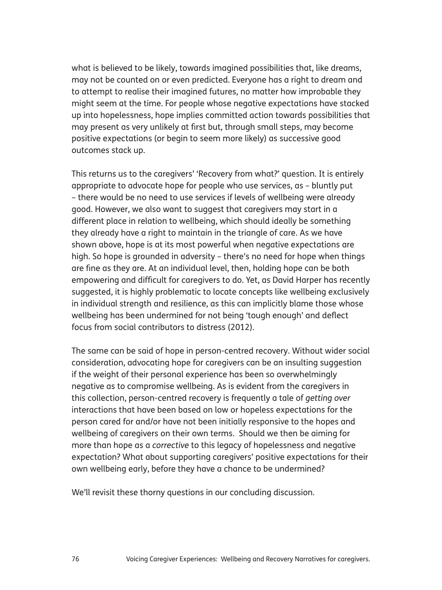what is believed to be likely, towards imagined possibilities that, like dreams, may not be counted on or even predicted. Everyone has a right to dream and to attempt to realise their imagined futures, no matter how improbable they might seem at the time. For people whose negative expectations have stacked up into hopelessness, hope implies committed action towards possibilities that may present as very unlikely at first but, through small steps, may become positive expectations (or begin to seem more likely) as successive good outcomes stack up.

This returns us to the caregivers' 'Recovery from what?' question. It is entirely appropriate to advocate hope for people who use services, as – bluntly put – there would be no need to use services if levels of wellbeing were already good. However, we also want to suggest that caregivers may start in a different place in relation to wellbeing, which should ideally be something they already have a right to maintain in the triangle of care. As we have shown above, hope is at its most powerful when negative expectations are high. So hope is grounded in adversity – there's no need for hope when things are fine as they are. At an individual level, then, holding hope can be both empowering and difficult for caregivers to do. Yet, as David Harper has recently suggested, it is highly problematic to locate concepts like wellbeing exclusively in individual strength and resilience, as this can implicitly blame those whose wellbeing has been undermined for not being 'tough enough' and deflect focus from social contributors to distress (2012).

The same can be said of hope in person-centred recovery. Without wider social consideration, advocating hope for caregivers can be an insulting suggestion if the weight of their personal experience has been so overwhelmingly negative as to compromise wellbeing. As is evident from the caregivers in this collection, person-centred recovery is frequently a tale of *getting over* interactions that have been based on low or hopeless expectations for the person cared for and/or have not been initially responsive to the hopes and wellbeing of caregivers on their own terms. Should we then be aiming for more than hope as a *corrective* to this legacy of hopelessness and negative expectation? What about supporting caregivers' positive expectations for their own wellbeing early, before they have a chance to be undermined?

We'll revisit these thorny questions in our concluding discussion.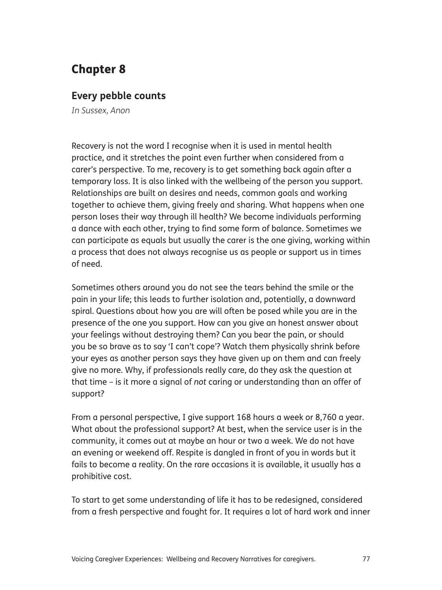# Chapter 8

#### **Every pebble counts**

*In Sussex, Anon*

Recovery is not the word I recognise when it is used in mental health practice, and it stretches the point even further when considered from a carer's perspective. To me, recovery is to get something back again after a temporary loss. It is also linked with the wellbeing of the person you support. Relationships are built on desires and needs, common goals and working together to achieve them, giving freely and sharing. What happens when one person loses their way through ill health? We become individuals performing a dance with each other, trying to find some form of balance. Sometimes we can participate as equals but usually the carer is the one giving, working within a process that does not always recognise us as people or support us in times of need.

Sometimes others around you do not see the tears behind the smile or the pain in your life; this leads to further isolation and, potentially, a downward spiral. Questions about how you are will often be posed while you are in the presence of the one you support. How can you give an honest answer about your feelings without destroying them? Can you bear the pain, or should you be so brave as to say 'I can't cope'? Watch them physically shrink before your eyes as another person says they have given up on them and can freely give no more. Why, if professionals really care, do they ask the question at that time – is it more a signal of *not* caring or understanding than an offer of support?

From a personal perspective, I give support 168 hours a week or 8,760 a year. What about the professional support? At best, when the service user is in the community, it comes out at maybe an hour or two a week. We do not have an evening or weekend off. Respite is dangled in front of you in words but it fails to become a reality. On the rare occasions it is available, it usually has a prohibitive cost.

To start to get some understanding of life it has to be redesigned, considered from a fresh perspective and fought for. It requires a lot of hard work and inner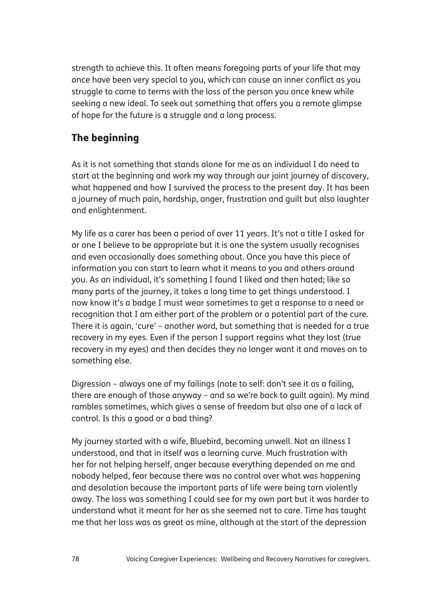strength to achieve this. It often means foregoing parts of your life that may once have been very special to you, which can cause an inner conflict as you struggle to come to terms with the loss of the person you once knew while seeking a new ideal. To seek out something that offers you a remote glimpse of hope for the future is a struggle and a long process.

## The beginning

As it is not something that stands alone for me as an individual I do need to start at the beginning and work my way through our joint journey of discovery, what happened and how I survived the process to the present day. It has been a journey of much pain, hardship, anger, frustration and guilt but also laughter and enlightenment.

My life as a carer has been a period of over 11 years. It's not a title I asked for or one I believe to be appropriate but it is one the system usually recognises and even occasionally does something about. Once you have this piece of information you can start to learn what it means to you and others around you. As an individual, it's something I found I liked and then hated; like so many parts of the journey, it takes a long time to get things understood. I now know it's a badge I must wear sometimes to get a response to a need or recognition that I am either part of the problem or a potential part of the cure. There it is again, 'cure' – another word, but something that is needed for a true recovery in my eyes. Even if the person I support regains what they lost (true recovery in my eyes) and then decides they no longer want it and moves on to something else.

Digression – always one of my failings (note to self: don't see it as a failing, there are enough of those anyway – and so we're back to guilt again). My mind rambles sometimes, which gives a sense of freedom but also one of a lack of control. Is this a good or a bad thing?

My journey started with a wife, Bluebird, becoming unwell. Not an illness I understood, and that in itself was a learning curve. Much frustration with her for not helping herself, anger because everything depended on me and nobody helped, fear because there was no control over what was happening and desolation because the important parts of life were being torn violently away. The loss was something I could see for my own part but it was harder to understand what it meant for her as she seemed not to care. Time has taught me that her loss was as great as mine, although at the start of the depression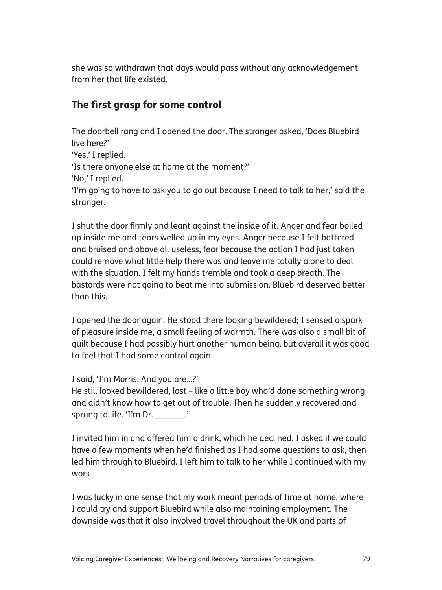she was so withdrawn that days would pass without any acknowledgement from her that life existed.

## The first grasp for some control

The doorbell rang and I opened the door. The stranger asked, 'Does Bluebird live here?' 'Yes,' I replied. 'Is there anyone else at home at the moment?' 'No,' I replied. 'I'm going to have to ask you to go out because I need to talk to her,' said the stranger.

I shut the door firmly and leant against the inside of it. Anger and fear boiled up inside me and tears welled up in my eyes. Anger because I felt battered and bruised and above all useless, fear because the action I had just taken could remove what little help there was and leave me totally alone to deal with the situation. I felt my hands tremble and took a deep breath. The bastards were not going to beat me into submission. Bluebird deserved better than this.

I opened the door again. He stood there looking bewildered; I sensed a spark of pleasure inside me, a small feeling of warmth. There was also a small bit of guilt because I had possibly hurt another human being, but overall it was good to feel that I had some control again.

I said, 'I'm Morris. And you are...?'

He still looked bewildered, lost – like a little boy who'd done something wrong and didn't know how to get out of trouble. Then he suddenly recovered and sprung to life. 'I'm Dr.  $\blacksquare$ 

I invited him in and offered him a drink, which he declined. I asked if we could have a few moments when he'd finished as I had some questions to ask, then led him through to Bluebird. I left him to talk to her while I continued with my work.

I was lucky in one sense that my work meant periods of time at home, where I could try and support Bluebird while also maintaining employment. The downside was that it also involved travel throughout the UK and parts of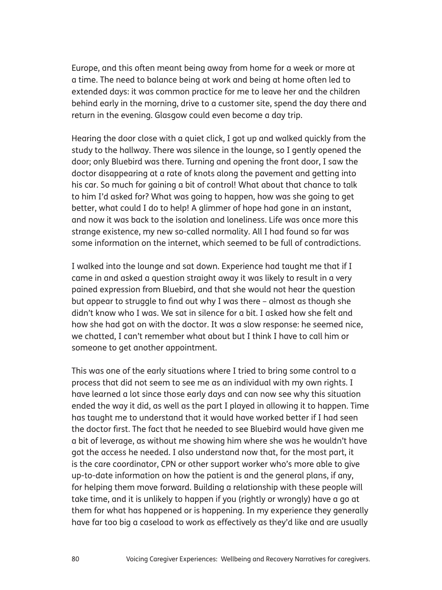Europe, and this often meant being away from home for a week or more at a time. The need to balance being at work and being at home often led to extended days: it was common practice for me to leave her and the children behind early in the morning, drive to a customer site, spend the day there and return in the evening. Glasgow could even become a day trip.

Hearing the door close with a quiet click, I got up and walked quickly from the study to the hallway. There was silence in the lounge, so I gently opened the door; only Bluebird was there. Turning and opening the front door, I saw the doctor disappearing at a rate of knots along the pavement and getting into his car. So much for gaining a bit of control! What about that chance to talk to him I'd asked for? What was going to happen, how was she going to get better, what could I do to help! A glimmer of hope had gone in an instant, and now it was back to the isolation and loneliness. Life was once more this strange existence, my new so-called normality. All I had found so far was some information on the internet, which seemed to be full of contradictions.

I walked into the lounge and sat down. Experience had taught me that if I came in and asked a question straight away it was likely to result in a very pained expression from Bluebird, and that she would not hear the question but appear to struggle to find out why I was there – almost as though she didn't know who I was. We sat in silence for a bit. I asked how she felt and how she had got on with the doctor. It was a slow response: he seemed nice, we chatted, I can't remember what about but I think I have to call him or someone to get another appointment.

This was one of the early situations where I tried to bring some control to a process that did not seem to see me as an individual with my own rights. I have learned a lot since those early days and can now see why this situation ended the way it did, as well as the part I played in allowing it to happen. Time has taught me to understand that it would have worked better if I had seen the doctor first. The fact that he needed to see Bluebird would have given me a bit of leverage, as without me showing him where she was he wouldn't have got the access he needed. I also understand now that, for the most part, it is the care coordinator, CPN or other support worker who's more able to give up-to-date information on how the patient is and the general plans, if any, for helping them move forward. Building a relationship with these people will take time, and it is unlikely to happen if you (rightly or wrongly) have a go at them for what has happened or is happening. In my experience they generally have far too big a caseload to work as effectively as they'd like and are usually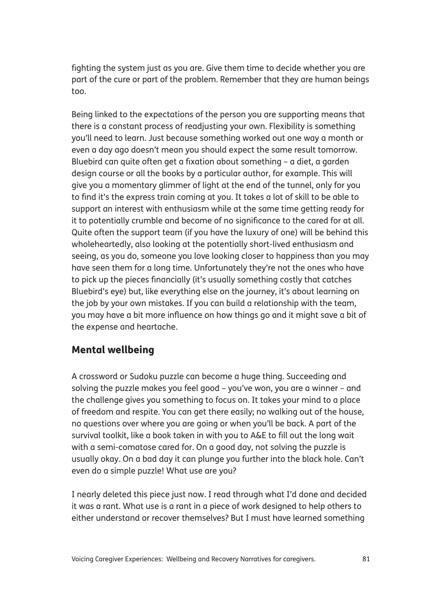fighting the system just as you are. Give them time to decide whether you are part of the cure or part of the problem. Remember that they are human beings too.

Being linked to the expectations of the person you are supporting means that there is a constant process of readjusting your own. Flexibility is something you'll need to learn. Just because something worked out one way a month or even a day ago doesn't mean you should expect the same result tomorrow. Bluebird can quite often get a fixation about something – a diet, a garden design course or all the books by a particular author, for example. This will give you a momentary glimmer of light at the end of the tunnel, only for you to find it's the express train coming at you. It takes a lot of skill to be able to support an interest with enthusiasm while at the same time getting ready for it to potentially crumble and become of no significance to the cared for at all. Quite often the support team (if you have the luxury of one) will be behind this wholeheartedly, also looking at the potentially short-lived enthusiasm and seeing, as you do, someone you love looking closer to happiness than you may have seen them for a long time. Unfortunately they're not the ones who have to pick up the pieces financially (it's usually something costly that catches Bluebird's eye) but, like everything else on the journey, it's about learning on the job by your own mistakes. If you can build a relationship with the team, you may have a bit more influence on how things go and it might save a bit of the expense and heartache.

#### Mental wellbeing

A crossword or Sudoku puzzle can become a huge thing. Succeeding and solving the puzzle makes you feel good – you've won, you are a winner – and the challenge gives you something to focus on. It takes your mind to a place of freedom and respite. You can get there easily; no walking out of the house, no questions over where you are going or when you'll be back. A part of the survival toolkit, like a book taken in with you to A&E to fill out the long wait with a semi-comatose cared for. On a good day, not solving the puzzle is usually okay. On a bad day it can plunge you further into the black hole. Can't even do a simple puzzle! What use are you?

I nearly deleted this piece just now. I read through what I'd done and decided it was a rant. What use is a rant in a piece of work designed to help others to either understand or recover themselves? But I must have learned something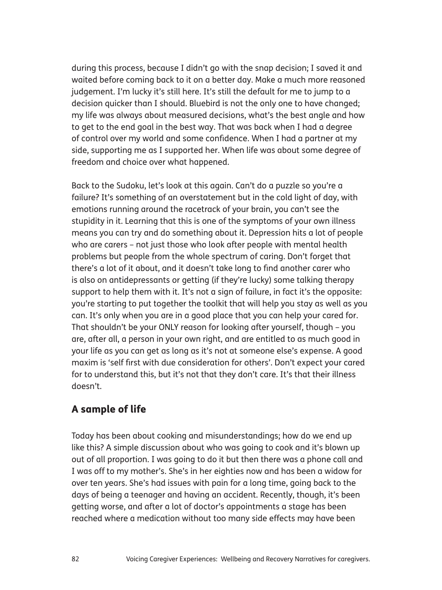during this process, because I didn't go with the snap decision; I saved it and waited before coming back to it on a better day. Make a much more reasoned judgement. I'm lucky it's still here. It's still the default for me to jump to a decision quicker than I should. Bluebird is not the only one to have changed; my life was always about measured decisions, what's the best angle and how to get to the end goal in the best way. That was back when I had a degree of control over my world and some confidence. When I had a partner at my side, supporting me as I supported her. When life was about some degree of freedom and choice over what happened.

Back to the Sudoku, let's look at this again. Can't do a puzzle so you're a failure? It's something of an overstatement but in the cold light of day, with emotions running around the racetrack of your brain, you can't see the stupidity in it. Learning that this is one of the symptoms of your own illness means you can try and do something about it. Depression hits a lot of people who are carers – not just those who look after people with mental health problems but people from the whole spectrum of caring. Don't forget that there's a lot of it about, and it doesn't take long to find another carer who is also on antidepressants or getting (if they're lucky) some talking therapy support to help them with it. It's not a sign of failure, in fact it's the opposite: you're starting to put together the toolkit that will help you stay as well as you can. It's only when you are in a good place that you can help your cared for. That shouldn't be your ONLY reason for looking after yourself, though – you are, after all, a person in your own right, and are entitled to as much good in your life as you can get as long as it's not at someone else's expense. A good maxim is 'self first with due consideration for others'. Don't expect your cared for to understand this, but it's not that they don't care. It's that their illness doesn't.

## A sample of life

Today has been about cooking and misunderstandings; how do we end up like this? A simple discussion about who was going to cook and it's blown up out of all proportion. I was going to do it but then there was a phone call and I was off to my mother's. She's in her eighties now and has been a widow for over ten years. She's had issues with pain for a long time, going back to the days of being a teenager and having an accident. Recently, though, it's been getting worse, and after a lot of doctor's appointments a stage has been reached where a medication without too many side effects may have been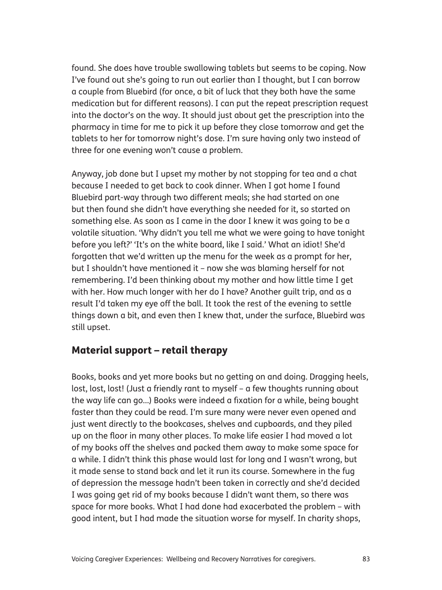found. She does have trouble swallowing tablets but seems to be coping. Now I've found out she's going to run out earlier than I thought, but I can borrow a couple from Bluebird (for once, a bit of luck that they both have the same medication but for different reasons). I can put the repeat prescription request into the doctor's on the way. It should just about get the prescription into the pharmacy in time for me to pick it up before they close tomorrow and get the tablets to her for tomorrow night's dose. I'm sure having only two instead of three for one evening won't cause a problem.

Anyway, job done but I upset my mother by not stopping for tea and a chat because I needed to get back to cook dinner. When I got home I found Bluebird part-way through two different meals; she had started on one but then found she didn't have everything she needed for it, so started on something else. As soon as I came in the door I knew it was going to be a volatile situation. 'Why didn't you tell me what we were going to have tonight before you left?' 'It's on the white board, like I said.' What an idiot! She'd forgotten that we'd written up the menu for the week as a prompt for her, but I shouldn't have mentioned it – now she was blaming herself for not remembering. I'd been thinking about my mother and how little time I get with her. How much longer with her do I have? Another guilt trip, and as a result I'd taken my eye off the ball. It took the rest of the evening to settle things down a bit, and even then I knew that, under the surface, Bluebird was still upset.

#### Material support – retail therapy

Books, books and yet more books but no getting on and doing. Dragging heels, lost, lost, lost! (Just a friendly rant to myself - a few thoughts running about the way life can go...) Books were indeed a fixation for a while, being bought faster than they could be read. I'm sure many were never even opened and just went directly to the bookcases, shelves and cupboards, and they piled up on the floor in many other places. To make life easier I had moved a lot of my books off the shelves and packed them away to make some space for a while. I didn't think this phase would last for long and I wasn't wrong, but it made sense to stand back and let it run its course. Somewhere in the fug of depression the message hadn't been taken in correctly and she'd decided I was going get rid of my books because I didn't want them, so there was space for more books. What I had done had exacerbated the problem – with good intent, but I had made the situation worse for myself. In charity shops,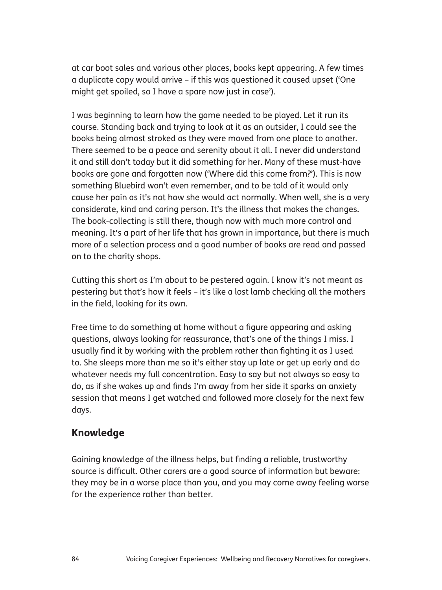at car boot sales and various other places, books kept appearing. A few times a duplicate copy would arrive – if this was questioned it caused upset ('One might get spoiled, so I have a spare now just in case').

I was beginning to learn how the game needed to be played. Let it run its course. Standing back and trying to look at it as an outsider, I could see the books being almost stroked as they were moved from one place to another. There seemed to be a peace and serenity about it all. I never did understand it and still don't today but it did something for her. Many of these must-have books are gone and forgotten now ('Where did this come from?'). This is now something Bluebird won't even remember, and to be told of it would only cause her pain as it's not how she would act normally. When well, she is a very considerate, kind and caring person. It's the illness that makes the changes. The book-collecting is still there, though now with much more control and meaning. It's a part of her life that has grown in importance, but there is much more of a selection process and a good number of books are read and passed on to the charity shops.

Cutting this short as I'm about to be pestered again. I know it's not meant as pestering but that's how it feels – it's like a lost lamb checking all the mothers in the field, looking for its own.

Free time to do something at home without a figure appearing and asking questions, always looking for reassurance, that's one of the things I miss. I usually find it by working with the problem rather than fighting it as I used to. She sleeps more than me so it's either stay up late or get up early and do whatever needs my full concentration. Easy to say but not always so easy to do, as if she wakes up and finds I'm away from her side it sparks an anxiety session that means I get watched and followed more closely for the next few days.

#### Knowledge

Gaining knowledge of the illness helps, but finding a reliable, trustworthy source is difficult. Other carers are a good source of information but beware: they may be in a worse place than you, and you may come away feeling worse for the experience rather than better.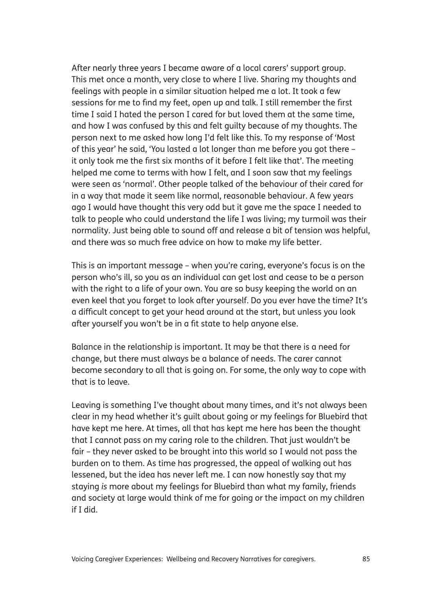After nearly three years I became aware of a local carers' support group. This met once a month, very close to where I live. Sharing my thoughts and feelings with people in a similar situation helped me a lot. It took a few sessions for me to find my feet, open up and talk. I still remember the first time I said I hated the person I cared for but loved them at the same time, and how I was confused by this and felt guilty because of my thoughts. The person next to me asked how long I'd felt like this. To my response of 'Most of this year' he said, 'You lasted a lot longer than me before you got there – it only took me the first six months of it before I felt like that'. The meeting helped me come to terms with how I felt, and I soon saw that my feelings were seen as 'normal'. Other people talked of the behaviour of their cared for in a way that made it seem like normal, reasonable behaviour. A few years ago I would have thought this very odd but it gave me the space I needed to talk to people who could understand the life I was living; my turmoil was their normality. Just being able to sound off and release a bit of tension was helpful, and there was so much free advice on how to make my life better.

This is an important message – when you're caring, everyone's focus is on the person who's ill, so you as an individual can get lost and cease to be a person with the right to a life of your own. You are so busy keeping the world on an even keel that you forget to look after yourself. Do you ever have the time? It's a difficult concept to get your head around at the start, but unless you look after yourself you won't be in a fit state to help anyone else.

Balance in the relationship is important. It may be that there is a need for change, but there must always be a balance of needs. The carer cannot become secondary to all that is going on. For some, the only way to cope with that is to leave.

Leaving is something I've thought about many times, and it's not always been clear in my head whether it's guilt about going or my feelings for Bluebird that have kept me here. At times, all that has kept me here has been the thought that I cannot pass on my caring role to the children. That just wouldn't be fair – they never asked to be brought into this world so I would not pass the burden on to them. As time has progressed, the appeal of walking out has lessened, but the idea has never left me. I can now honestly say that my staying *is* more about my feelings for Bluebird than what my family, friends and society at large would think of me for going or the impact on my children if I did.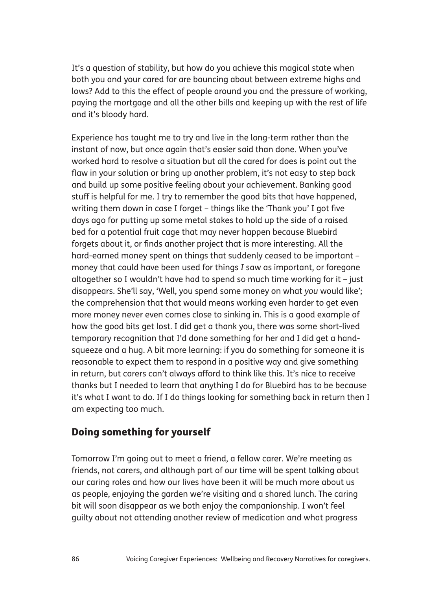It's a question of stability, but how do you achieve this magical state when both you and your cared for are bouncing about between extreme highs and lows? Add to this the effect of people around you and the pressure of working, paying the mortgage and all the other bills and keeping up with the rest of life and it's bloody hard.

Experience has taught me to try and live in the long-term rather than the instant of now, but once again that's easier said than done. When you've worked hard to resolve a situation but all the cared for does is point out the flaw in your solution or bring up another problem, it's not easy to step back and build up some positive feeling about your achievement. Banking good stuff is helpful for me. I try to remember the good bits that have happened, writing them down in case I forget – things like the 'Thank you' I got five days ago for putting up some metal stakes to hold up the side of a raised bed for a potential fruit cage that may never happen because Bluebird forgets about it, or finds another project that is more interesting. All the hard-earned money spent on things that suddenly ceased to be important – money that could have been used for things *I* saw as important, or foregone altogether so I wouldn't have had to spend so much time working for it – just disappears. She'll say, 'Well, you spend some money on what *you* would like'; the comprehension that that would means working even harder to get even more money never even comes close to sinking in. This is a good example of how the good bits get lost. I did get a thank you, there was some short-lived temporary recognition that I'd done something for her and I did get a handsqueeze and a hug. A bit more learning: if you do something for someone it is reasonable to expect them to respond in a positive way and give something in return, but carers can't always afford to think like this. It's nice to receive thanks but I needed to learn that anything I do for Bluebird has to be because it's what I want to do. If I do things looking for something back in return then I am expecting too much.

## Doing something for yourself

Tomorrow I'm going out to meet a friend, a fellow carer. We're meeting as friends, not carers, and although part of our time will be spent talking about our caring roles and how our lives have been it will be much more about us as people, enjoying the garden we're visiting and a shared lunch. The caring bit will soon disappear as we both enjoy the companionship. I won't feel guilty about not attending another review of medication and what progress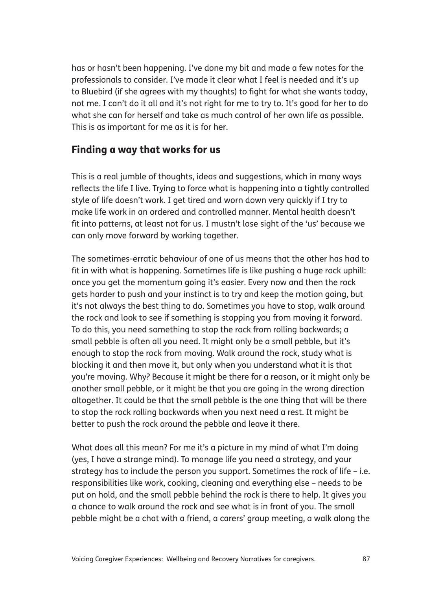has or hasn't been happening. I've done my bit and made a few notes for the professionals to consider. I've made it clear what I feel is needed and it's up to Bluebird (if she agrees with my thoughts) to fight for what she wants today, not me. I can't do it all and it's not right for me to try to. It's good for her to do what she can for herself and take as much control of her own life as possible. This is as important for me as it is for her.

#### Finding a way that works for us

This is a real jumble of thoughts, ideas and suggestions, which in many ways reflects the life I live. Trying to force what is happening into a tightly controlled style of life doesn't work. I get tired and worn down very quickly if I try to make life work in an ordered and controlled manner. Mental health doesn't fit into patterns, at least not for us. I mustn't lose sight of the 'us' because we can only move forward by working together.

The sometimes-erratic behaviour of one of us means that the other has had to fit in with what is happening. Sometimes life is like pushing a huge rock uphill: once you get the momentum going it's easier. Every now and then the rock gets harder to push and your instinct is to try and keep the motion going, but it's not always the best thing to do. Sometimes you have to stop, walk around the rock and look to see if something is stopping you from moving it forward. To do this, you need something to stop the rock from rolling backwards; a small pebble is often all you need. It might only be a small pebble, but it's enough to stop the rock from moving. Walk around the rock, study what is blocking it and then move it, but only when you understand what it is that you're moving. Why? Because it might be there for a reason, or it might only be another small pebble, or it might be that you are going in the wrong direction altogether. It could be that the small pebble is the one thing that will be there to stop the rock rolling backwards when you next need a rest. It might be better to push the rock around the pebble and leave it there.

What does all this mean? For me it's a picture in my mind of what I'm doing (yes, I have a strange mind). To manage life you need a strategy, and your strategy has to include the person you support. Sometimes the rock of life – i.e. responsibilities like work, cooking, cleaning and everything else – needs to be put on hold, and the small pebble behind the rock is there to help. It gives you a chance to walk around the rock and see what is in front of you. The small pebble might be a chat with a friend, a carers' group meeting, a walk along the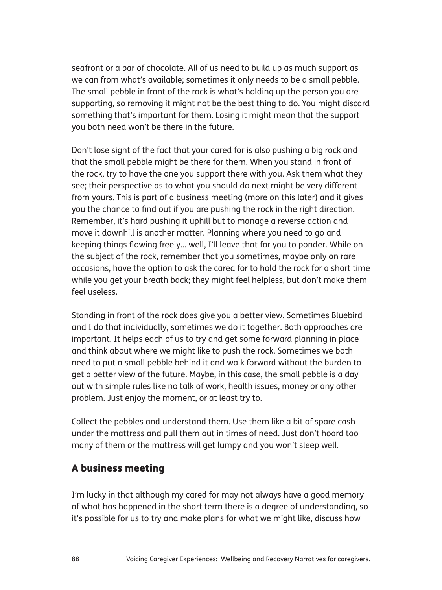seafront or a bar of chocolate. All of us need to build up as much support as we can from what's available; sometimes it only needs to be a small pebble. The small pebble in front of the rock is what's holding up the person you are supporting, so removing it might not be the best thing to do. You might discard something that's important for them. Losing it might mean that the support you both need won't be there in the future.

Don't lose sight of the fact that your cared for is also pushing a big rock and that the small pebble might be there for them. When you stand in front of the rock, try to have the one you support there with you. Ask them what they see; their perspective as to what you should do next might be very different from yours. This is part of a business meeting (more on this later) and it gives you the chance to find out if you are pushing the rock in the right direction. Remember, it's hard pushing it uphill but to manage a reverse action and move it downhill is another matter. Planning where you need to go and keeping things flowing freely... well, I'll leave that for you to ponder. While on the subject of the rock, remember that you sometimes, maybe only on rare occasions, have the option to ask the cared for to hold the rock for a short time while you get your breath back; they might feel helpless, but don't make them feel useless.

Standing in front of the rock does give you a better view. Sometimes Bluebird and I do that individually, sometimes we do it together. Both approaches are important. It helps each of us to try and get some forward planning in place and think about where we might like to push the rock. Sometimes we both need to put a small pebble behind it and walk forward without the burden to get a better view of the future. Maybe, in this case, the small pebble is a day out with simple rules like no talk of work, health issues, money or any other problem. Just enjoy the moment, or at least try to.

Collect the pebbles and understand them. Use them like a bit of spare cash under the mattress and pull them out in times of need. Just don't hoard too many of them or the mattress will get lumpy and you won't sleep well.

#### A business meeting

I'm lucky in that although my cared for may not always have a good memory of what has happened in the short term there is a degree of understanding, so it's possible for us to try and make plans for what we might like, discuss how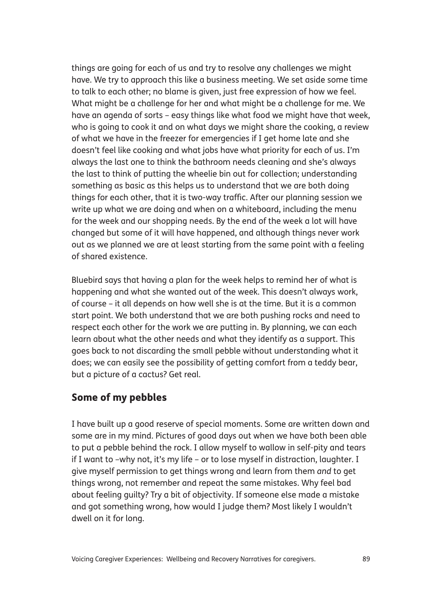things are going for each of us and try to resolve any challenges we might have. We try to approach this like a business meeting. We set aside some time to talk to each other; no blame is given, just free expression of how we feel. What might be a challenge for her and what might be a challenge for me. We have an agenda of sorts – easy things like what food we might have that week, who is going to cook it and on what days we might share the cooking, a review of what we have in the freezer for emergencies if I get home late and she doesn't feel like cooking and what jobs have what priority for each of us. I'm always the last one to think the bathroom needs cleaning and she's always the last to think of putting the wheelie bin out for collection; understanding something as basic as this helps us to understand that we are both doing things for each other, that it is two-way traffic. After our planning session we write up what we are doing and when on a whiteboard, including the menu for the week and our shopping needs. By the end of the week a lot will have changed but some of it will have happened, and although things never work out as we planned we are at least starting from the same point with a feeling of shared existence.

Bluebird says that having a plan for the week helps to remind her of what is happening and what she wanted out of the week. This doesn't always work, of course – it all depends on how well she is at the time. But it is a common start point. We both understand that we are both pushing rocks and need to respect each other for the work we are putting in. By planning, we can each learn about what the other needs and what they identify as a support. This goes back to not discarding the small pebble without understanding what it does; we can easily see the possibility of getting comfort from a teddy bear, but a picture of a cactus? Get real.

#### Some of my pebbles

I have built up a good reserve of special moments. Some are written down and some are in my mind. Pictures of good days out when we have both been able to put a pebble behind the rock. I allow myself to wallow in self-pity and tears if I want to –why not, it's my life – or to lose myself in distraction, laughter. I give myself permission to get things wrong and learn from them *and* to get things wrong, not remember and repeat the same mistakes. Why feel bad about feeling guilty? Try a bit of objectivity. If someone else made a mistake and got something wrong, how would I judge them? Most likely I wouldn't dwell on it for long.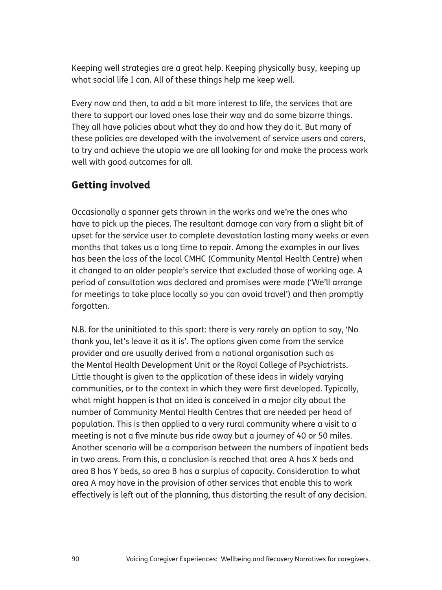Keeping well strategies are a great help. Keeping physically busy, keeping up what social life I can. All of these things help me keep well.

Every now and then, to add a bit more interest to life, the services that are there to support our loved ones lose their way and do some bizarre things. They all have policies about what they do and how they do it. But many of these policies are developed with the involvement of service users and carers, to try and achieve the utopia we are all looking for and make the process work well with good outcomes for all.

## Getting involved

Occasionally a spanner gets thrown in the works and we're the ones who have to pick up the pieces. The resultant damage can vary from a slight bit of upset for the service user to complete devastation lasting many weeks or even months that takes us a long time to repair. Among the examples in our lives has been the loss of the local CMHC (Community Mental Health Centre) when it changed to an older people's service that excluded those of working age. A period of consultation was declared and promises were made ('We'll arrange for meetings to take place locally so you can avoid travel') and then promptly forgotten.

N.B. for the uninitiated to this sport: there is very rarely an option to say, 'No thank you, let's leave it as it is'. The options given come from the service provider and are usually derived from a national organisation such as the Mental Health Development Unit or the Royal College of Psychiatrists. Little thought is given to the application of these ideas in widely varying communities, or to the context in which they were first developed. Typically, what might happen is that an idea is conceived in a major city about the number of Community Mental Health Centres that are needed per head of population. This is then applied to a very rural community where a visit to a meeting is not a five minute bus ride away but a journey of 40 or 50 miles. Another scenario will be a comparison between the numbers of inpatient beds in two areas. From this, a conclusion is reached that area A has X beds and area B has Y beds, so area B has a surplus of capacity. Consideration to what area A may have in the provision of other services that enable this to work effectively is left out of the planning, thus distorting the result of any decision.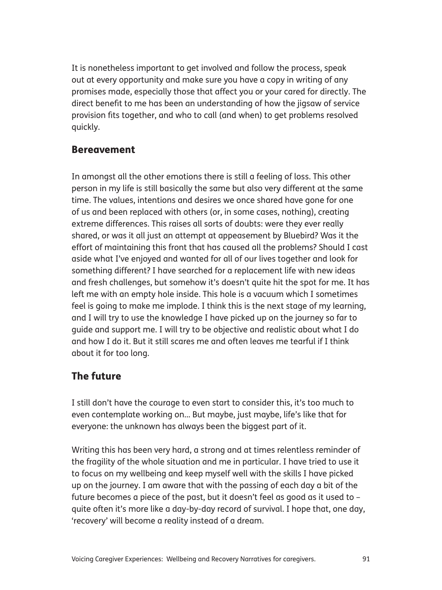It is nonetheless important to get involved and follow the process, speak out at every opportunity and make sure you have a copy in writing of any promises made, especially those that affect you or your cared for directly. The direct benefit to me has been an understanding of how the jigsaw of service provision fits together, and who to call (and when) to get problems resolved quickly.

#### Bereavement

In amongst all the other emotions there is still a feeling of loss. This other person in my life is still basically the same but also very different at the same time. The values, intentions and desires we once shared have gone for one of us and been replaced with others (or, in some cases, nothing), creating extreme differences. This raises all sorts of doubts: were they ever really shared, or was it all just an attempt at appeasement by Bluebird? Was it the effort of maintaining this front that has caused all the problems? Should I cast aside what I've enjoyed and wanted for all of our lives together and look for something different? I have searched for a replacement life with new ideas and fresh challenges, but somehow it's doesn't quite hit the spot for me. It has left me with an empty hole inside. This hole is a vacuum which I sometimes feel is going to make me implode. I think this is the next stage of my learning, and I will try to use the knowledge I have picked up on the journey so far to guide and support me. I will try to be objective and realistic about what I do and how I do it. But it still scares me and often leaves me tearful if I think about it for too long.

#### The future

I still don't have the courage to even start to consider this, it's too much to even contemplate working on... But maybe, just maybe, life's like that for everyone: the unknown has always been the biggest part of it.

Writing this has been very hard, a strong and at times relentless reminder of the fragility of the whole situation and me in particular. I have tried to use it to focus on my wellbeing and keep myself well with the skills I have picked up on the journey. I am aware that with the passing of each day a bit of the future becomes a piece of the past, but it doesn't feel as good as it used to – quite often it's more like a day-by-day record of survival. I hope that, one day, 'recovery' will become a reality instead of a dream.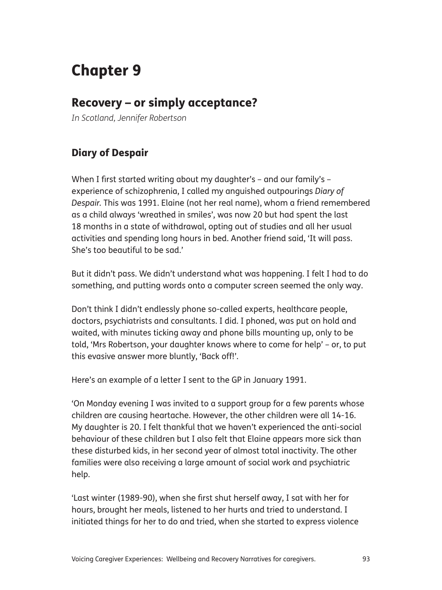# Chapter 9

# Recovery – or simply acceptance?

*In Scotland, Jennifer Robertson*

## Diary of Despair

When I first started writing about my daughter's – and our family's – experience of schizophrenia, I called my anguished outpourings *Diary of Despair.* This was 1991. Elaine (not her real name), whom a friend remembered as a child always 'wreathed in smiles', was now 20 but had spent the last 18 months in a state of withdrawal, opting out of studies and all her usual activities and spending long hours in bed. Another friend said, 'It will pass. She's too beautiful to be sad.'

But it didn't pass. We didn't understand what was happening. I felt I had to do something, and putting words onto a computer screen seemed the only way.

Don't think I didn't endlessly phone so-called experts, healthcare people, doctors, psychiatrists and consultants. I did. I phoned, was put on hold and waited, with minutes ticking away and phone bills mounting up, only to be told, 'Mrs Robertson, your daughter knows where to come for help' – or, to put this evasive answer more bluntly, 'Back off!'.

Here's an example of a letter I sent to the GP in January 1991.

'On Monday evening I was invited to a support group for a few parents whose children are causing heartache. However, the other children were all 14-16. My daughter is 20. I felt thankful that we haven't experienced the anti-social behaviour of these children but I also felt that Elaine appears more sick than these disturbed kids, in her second year of almost total inactivity. The other families were also receiving a large amount of social work and psychiatric help.

'Last winter (1989-90), when she first shut herself away, I sat with her for hours, brought her meals, listened to her hurts and tried to understand. I initiated things for her to do and tried, when she started to express violence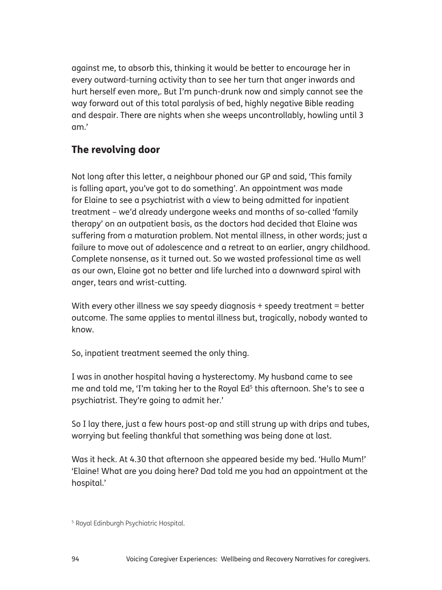against me, to absorb this, thinking it would be better to encourage her in every outward-turning activity than to see her turn that anger inwards and hurt herself even more,. But I'm punch-drunk now and simply cannot see the way forward out of this total paralysis of bed, highly negative Bible reading and despair. There are nights when she weeps uncontrollably, howling until 3 am.'

#### The revolving door

Not long after this letter, a neighbour phoned our GP and said, 'This family is falling apart, you've got to do something'. An appointment was made for Elaine to see a psychiatrist with a view to being admitted for inpatient treatment – we'd already undergone weeks and months of so-called 'family therapy' on an outpatient basis, as the doctors had decided that Elaine was suffering from a maturation problem. Not mental illness, in other words; just a failure to move out of adolescence and a retreat to an earlier, angry childhood. Complete nonsense, as it turned out. So we wasted professional time as well as our own, Elaine got no better and life lurched into a downward spiral with anger, tears and wrist-cutting.

With every other illness we say speedy diagnosis + speedy treatment = better outcome. The same applies to mental illness but, tragically, nobody wanted to know.

So, inpatient treatment seemed the only thing.

I was in another hospital having a hysterectomy. My husband came to see me and told me, 'I'm taking her to the Royal Ed<sup>5</sup> this afternoon. She's to see a psychiatrist. They're going to admit her.'

So I lay there, just a few hours post-op and still strung up with drips and tubes, worrying but feeling thankful that something was being done at last.

Was it heck. At 4.30 that afternoon she appeared beside my bed. 'Hullo Mum!' 'Elaine! What are you doing here? Dad told me you had an appointment at the hospital.'

<sup>5</sup> Royal Edinburgh Psychiatric Hospital.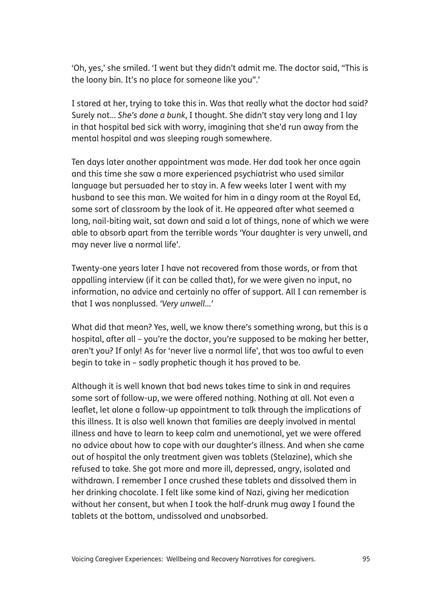'Oh, yes,' she smiled. 'I went but they didn't admit me. The doctor said, "This is the loony bin. It's no place for someone like you".'

I stared at her, trying to take this in. Was that really what the doctor had said? Surely not... *She's done a bunk*, I thought. She didn't stay very long and I lay in that hospital bed sick with worry, imagining that she'd run away from the mental hospital and was sleeping rough somewhere.

Ten days later another appointment was made. Her dad took her once again and this time she saw a more experienced psychiatrist who used similar language but persuaded her to stay in. A few weeks later I went with my husband to see this man. We waited for him in a dingy room at the Royal Ed, some sort of classroom by the look of it. He appeared after what seemed a long, nail-biting wait, sat down and said a lot of things, none of which we were able to absorb apart from the terrible words 'Your daughter is very unwell, and may never live a normal life'.

Twenty-one years later I have not recovered from those words, or from that appalling interview (if it can be called that), for we were given no input, no information, no advice and certainly no offer of support. All I can remember is that I was nonplussed. *'Very unwell*…*'*

What did that mean? Yes, well, we know there's something wrong, but this is a hospital, after all – you're the doctor, you're supposed to be making her better, aren't you? If only! As for 'never live a normal life', that was too awful to even begin to take in – sadly prophetic though it has proved to be.

Although it is well known that bad news takes time to sink in and requires some sort of follow-up, we were offered nothing. Nothing at all. Not even a leaflet, let alone a follow-up appointment to talk through the implications of this illness. It is also well known that families are deeply involved in mental illness and have to learn to keep calm and unemotional, yet we were offered no advice about how to cope with our daughter's illness. And when she came out of hospital the only treatment given was tablets (Stelazine), which she refused to take. She got more and more ill, depressed, angry, isolated and withdrawn. I remember I once crushed these tablets and dissolved them in her drinking chocolate. I felt like some kind of Nazi, giving her medication without her consent, but when I took the half-drunk mug away I found the tablets at the bottom, undissolved and unabsorbed.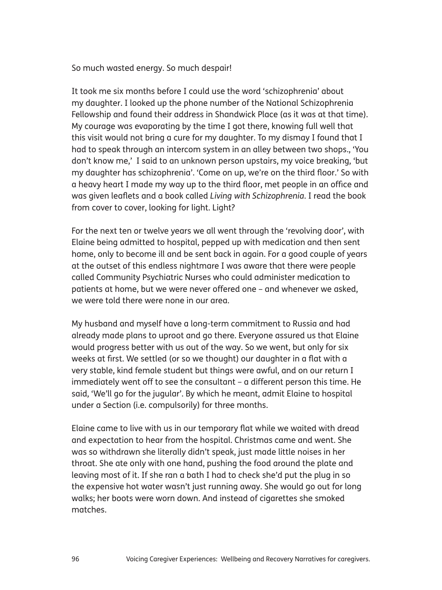So much wasted energy. So much despair!

It took me six months before I could use the word 'schizophrenia' about my daughter. I looked up the phone number of the National Schizophrenia Fellowship and found their address in Shandwick Place (as it was at that time). My courage was evaporating by the time I got there, knowing full well that this visit would not bring a cure for my daughter. To my dismay I found that I had to speak through an intercom system in an alley between two shops., 'You don't know me,' I said to an unknown person upstairs, my voice breaking, 'but my daughter has schizophrenia'. 'Come on up, we're on the third floor.' So with a heavy heart I made my way up to the third floor, met people in an office and was given leaflets and a book called *Living with Schizophrenia*. I read the book from cover to cover, looking for light. Light?

For the next ten or twelve years we all went through the 'revolving door', with Elaine being admitted to hospital, pepped up with medication and then sent home, only to become ill and be sent back in again. For a good couple of years at the outset of this endless nightmare I was aware that there were people called Community Psychiatric Nurses who could administer medication to patients at home, but we were never offered one – and whenever we asked, we were told there were none in our area.

My husband and myself have a long-term commitment to Russia and had already made plans to uproot and go there. Everyone assured us that Elaine would progress better with us out of the way. So we went, but only for six weeks at first. We settled (or so we thought) our daughter in a flat with a very stable, kind female student but things were awful, and on our return I immediately went off to see the consultant – a different person this time. He said, 'We'll go for the jugular'. By which he meant, admit Elaine to hospital under a Section (i.e. compulsorily) for three months.

Elaine came to live with us in our temporary flat while we waited with dread and expectation to hear from the hospital. Christmas came and went. She was so withdrawn she literally didn't speak, just made little noises in her throat. She ate only with one hand, pushing the food around the plate and leaving most of it. If she ran a bath I had to check she'd put the plug in so the expensive hot water wasn't just running away. She would go out for long walks; her boots were worn down. And instead of cigarettes she smoked matches.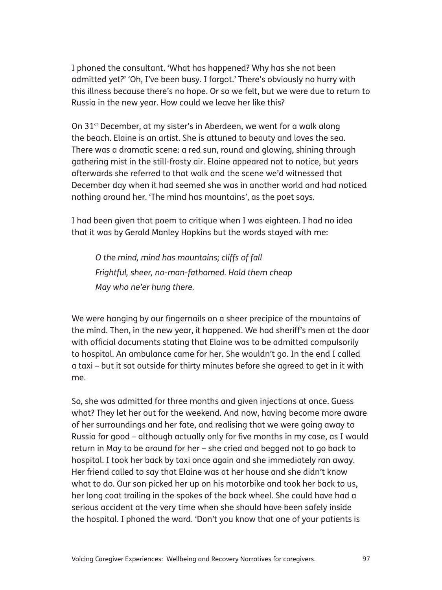I phoned the consultant. 'What has happened? Why has she not been admitted yet?' 'Oh, I've been busy. I forgot.' There's obviously no hurry with this illness because there's no hope. Or so we felt, but we were due to return to Russia in the new year. How could we leave her like this?

On 31<sup>st</sup> December, at my sister's in Aberdeen, we went for a walk along the beach. Elaine is an artist. She is attuned to beauty and loves the sea. There was a dramatic scene: a red sun, round and glowing, shining through gathering mist in the still-frosty air. Elaine appeared not to notice, but years afterwards she referred to that walk and the scene we'd witnessed that December day when it had seemed she was in another world and had noticed nothing around her. 'The mind has mountains', as the poet says.

I had been given that poem to critique when I was eighteen. I had no idea that it was by Gerald Manley Hopkins but the words stayed with me:

*O the mind, mind has mountains; cliffs of fall Frightful, sheer, no-man-fathomed. Hold them cheap May who ne'er hung there.*

We were hanging by our fingernails on a sheer precipice of the mountains of the mind. Then, in the new year, it happened. We had sheriff's men at the door with official documents stating that Elaine was to be admitted compulsorily to hospital. An ambulance came for her. She wouldn't go. In the end I called a taxi – but it sat outside for thirty minutes before she agreed to get in it with me.

So, she was admitted for three months and given injections at once. Guess what? They let her out for the weekend. And now, having become more aware of her surroundings and her fate, and realising that we were going away to Russia for good – although actually only for five months in my case, as I would return in May to be around for her – she cried and begged not to go back to hospital. I took her back by taxi once again and she immediately ran away. Her friend called to say that Elaine was at her house and she didn't know what to do. Our son picked her up on his motorbike and took her back to us, her long coat trailing in the spokes of the back wheel. She could have had a serious accident at the very time when she should have been safely inside the hospital. I phoned the ward. 'Don't you know that one of your patients is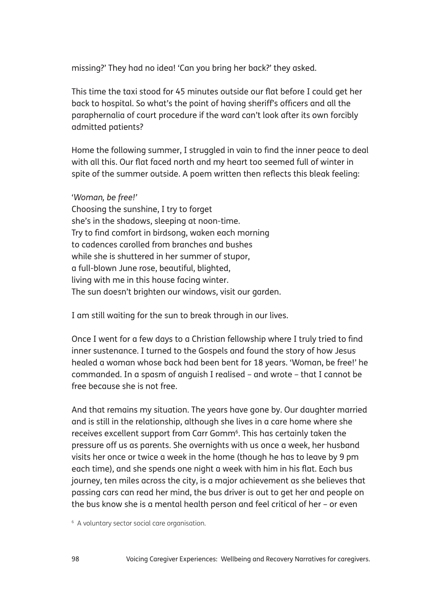missing?' They had no idea! 'Can you bring her back?' they asked.

This time the taxi stood for 45 minutes outside our flat before I could get her back to hospital. So what's the point of having sheriff's officers and all the paraphernalia of court procedure if the ward can't look after its own forcibly admitted patients?

Home the following summer, I struggled in vain to find the inner peace to deal with all this. Our flat faced north and my heart too seemed full of winter in spite of the summer outside. A poem written then reflects this bleak feeling:

'*Woman, be free!'* Choosing the sunshine, I try to forget she's in the shadows, sleeping at noon-time. Try to find comfort in birdsong, waken each morning to cadences carolled from branches and bushes while she is shuttered in her summer of stupor, a full-blown June rose, beautiful, blighted, living with me in this house facing winter. The sun doesn't brighten our windows, visit our garden.

I am still waiting for the sun to break through in our lives.

Once I went for a few days to a Christian fellowship where I truly tried to find inner sustenance. I turned to the Gospels and found the story of how Jesus healed a woman whose back had been bent for 18 years. 'Woman, be free!' he commanded. In a spasm of anguish I realised – and wrote – that I cannot be free because she is not free.

And that remains my situation. The years have gone by. Our daughter married and is still in the relationship, although she lives in a care home where she receives excellent support from Carr Gomm<sup>6</sup>. This has certainly taken the pressure off us as parents. She overnights with us once a week, her husband visits her once or twice a week in the home (though he has to leave by 9 pm each time), and she spends one night a week with him in his flat. Each bus journey, ten miles across the city, is a major achievement as she believes that passing cars can read her mind, the bus driver is out to get her and people on the bus know she is a mental health person and feel critical of her – or even

<sup>6</sup> A voluntary sector social care organisation.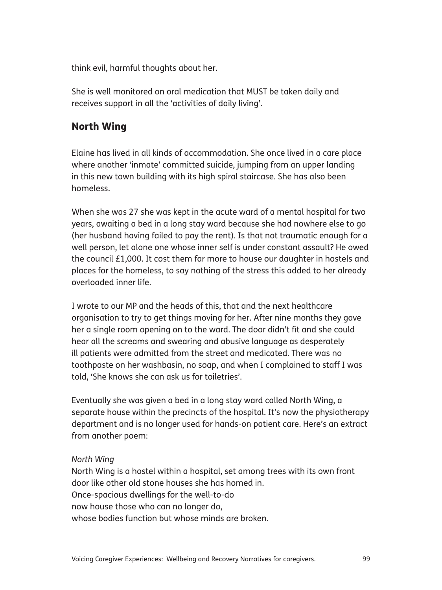think evil, harmful thoughts about her.

She is well monitored on oral medication that MUST be taken daily and receives support in all the 'activities of daily living'.

## North Wing

Elaine has lived in all kinds of accommodation. She once lived in a care place where another 'inmate' committed suicide, jumping from an upper landing in this new town building with its high spiral staircase. She has also been homeless.

When she was 27 she was kept in the acute ward of a mental hospital for two years, awaiting a bed in a long stay ward because she had nowhere else to go (her husband having failed to pay the rent). Is that not traumatic enough for a well person, let alone one whose inner self is under constant assault? He owed the council £1,000. It cost them far more to house our daughter in hostels and places for the homeless, to say nothing of the stress this added to her already overloaded inner life.

I wrote to our MP and the heads of this, that and the next healthcare organisation to try to get things moving for her. After nine months they gave her a single room opening on to the ward. The door didn't fit and she could hear all the screams and swearing and abusive language as desperately ill patients were admitted from the street and medicated. There was no toothpaste on her washbasin, no soap, and when I complained to staff I was told, 'She knows she can ask us for toiletries'.

Eventually she was given a bed in a long stay ward called North Wing, a separate house within the precincts of the hospital. It's now the physiotherapy department and is no longer used for hands-on patient care. Here's an extract from another poem:

#### *North Wing*

North Wing is a hostel within a hospital, set among trees with its own front door like other old stone houses she has homed in. Once-spacious dwellings for the well-to-do now house those who can no longer do, whose bodies function but whose minds are broken.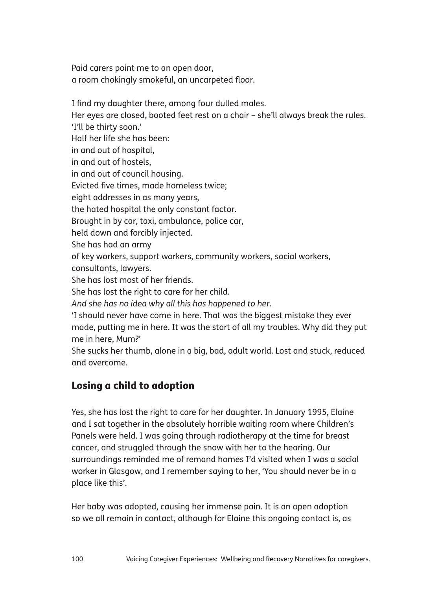Paid carers point me to an open door, a room chokingly smokeful, an uncarpeted floor.

I find my daughter there, among four dulled males.

Her eyes are closed, booted feet rest on a chair – she'll always break the rules.

'I'll be thirty soon.'

Half her life she has been:

in and out of hospital,

in and out of hostels,

in and out of council housing.

Evicted five times, made homeless twice;

eight addresses in as many years,

the hated hospital the only constant factor.

Brought in by car, taxi, ambulance, police car,

held down and forcibly injected.

She has had an army

of key workers, support workers, community workers, social workers,

consultants, lawyers.

She has lost most of her friends.

She has lost the right to care for her child.

*And she has no idea why all this has happened to her*.

'I should never have come in here. That was the biggest mistake they ever made, putting me in here. It was the start of all my troubles. Why did they put me in here, Mum?'

She sucks her thumb, alone in a big, bad, adult world. Lost and stuck, reduced and overcome.

## Losing a child to adoption

Yes, she has lost the right to care for her daughter. In January 1995, Elaine and I sat together in the absolutely horrible waiting room where Children's Panels were held. I was going through radiotherapy at the time for breast cancer, and struggled through the snow with her to the hearing. Our surroundings reminded me of remand homes I'd visited when I was a social worker in Glasgow, and I remember saying to her, 'You should never be in a place like this'.

Her baby was adopted, causing her immense pain. It is an open adoption so we all remain in contact, although for Elaine this ongoing contact is, as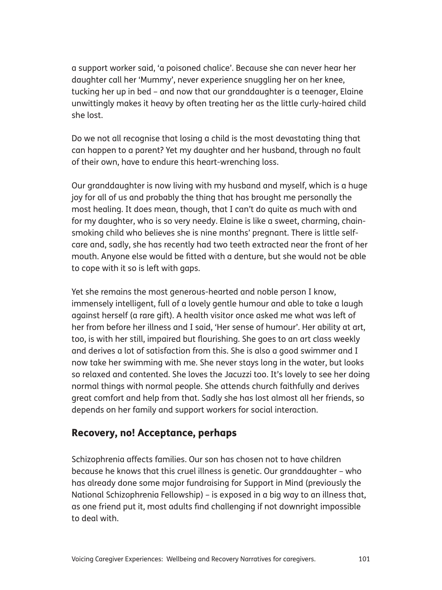a support worker said, 'a poisoned chalice'. Because she can never hear her daughter call her 'Mummy', never experience snuggling her on her knee, tucking her up in bed – and now that our granddaughter is a teenager, Elaine unwittingly makes it heavy by often treating her as the little curly-haired child she lost.

Do we not all recognise that losing a child is the most devastating thing that can happen to a parent? Yet my daughter and her husband, through no fault of their own, have to endure this heart-wrenching loss.

Our granddaughter is now living with my husband and myself, which is a huge joy for all of us and probably the thing that has brought me personally the most healing. It does mean, though, that I can't do quite as much with and for my daughter, who is so very needy. Elaine is like a sweet, charming, chainsmoking child who believes she is nine months' pregnant. There is little selfcare and, sadly, she has recently had two teeth extracted near the front of her mouth. Anyone else would be fitted with a denture, but she would not be able to cope with it so is left with gaps.

Yet she remains the most generous-hearted and noble person I know, immensely intelligent, full of a lovely gentle humour and able to take a laugh against herself (a rare gift). A health visitor once asked me what was left of her from before her illness and I said, 'Her sense of humour'. Her ability at art, too, is with her still, impaired but flourishing. She goes to an art class weekly and derives a lot of satisfaction from this. She is also a good swimmer and I now take her swimming with me. She never stays long in the water, but looks so relaxed and contented. She loves the Jacuzzi too. It's lovely to see her doing normal things with normal people. She attends church faithfully and derives great comfort and help from that. Sadly she has lost almost all her friends, so depends on her family and support workers for social interaction.

#### Recovery, no! Acceptance, perhaps

Schizophrenia affects families. Our son has chosen not to have children because he knows that this cruel illness is genetic. Our granddaughter – who has already done some major fundraising for Support in Mind (previously the National Schizophrenia Fellowship) – is exposed in a big way to an illness that, as one friend put it, most adults find challenging if not downright impossible to deal with.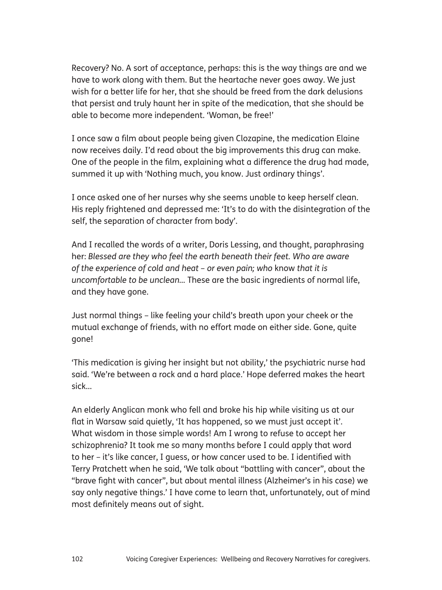Recovery? No. A sort of acceptance, perhaps: this is the way things are and we have to work along with them. But the heartache never goes away. We just wish for a better life for her, that she should be freed from the dark delusions that persist and truly haunt her in spite of the medication, that she should be able to become more independent. 'Woman, be free!'

I once saw a film about people being given Clozapine, the medication Elaine now receives daily. I'd read about the big improvements this drug can make. One of the people in the film, explaining what a difference the drug had made, summed it up with 'Nothing much, you know. Just ordinary things'.

I once asked one of her nurses why she seems unable to keep herself clean. His reply frightened and depressed me: 'It's to do with the disintegration of the self, the separation of character from body'.

And I recalled the words of a writer, Doris Lessing, and thought, paraphrasing her: *Blessed are they who feel the earth beneath their feet. Who are aware of the experience of cold and heat – or even pain; who* know *that it is uncomfortable to be unclean…* These are the basic ingredients of normal life, and they have gone.

Just normal things – like feeling your child's breath upon your cheek or the mutual exchange of friends, with no effort made on either side. Gone, quite gone!

'This medication is giving her insight but not ability,' the psychiatric nurse had said. 'We're between a rock and a hard place.' Hope deferred makes the heart sick…

An elderly Anglican monk who fell and broke his hip while visiting us at our flat in Warsaw said quietly, 'It has happened, so we must just accept it'. What wisdom in those simple words! Am I wrong to refuse to accept her schizophrenia? It took me so many months before I could apply that word to her – it's like cancer, I guess, or how cancer used to be. I identified with Terry Pratchett when he said, 'We talk about "battling with cancer", about the "brave fight with cancer", but about mental illness (Alzheimer's in his case) we say only negative things.' I have come to learn that, unfortunately, out of mind most definitely means out of sight.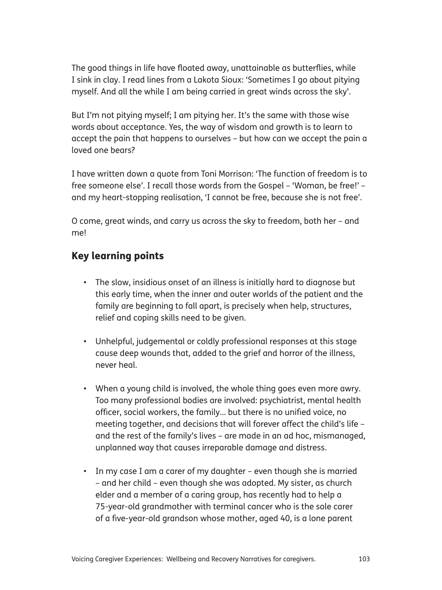The good things in life have floated away, unattainable as butterflies, while I sink in clay. I read lines from a Lakota Sioux: 'Sometimes I go about pitying myself. And all the while I am being carried in great winds across the sky'.

But I'm not pitying myself; I am pitying her. It's the same with those wise words about acceptance. Yes, the way of wisdom and growth is to learn to accept the pain that happens to ourselves – but how can we accept the pain a loved one bears?

I have written down a quote from Toni Morrison: 'The function of freedom is to free someone else'. I recall those words from the Gospel – 'Woman, be free!' – and my heart-stopping realisation, 'I cannot be free, because she is not free'.

O come, great winds, and carry us across the sky to freedom, both her – and me!

## Key learning points

- The slow, insidious onset of an illness is initially hard to diagnose but this early time, when the inner and outer worlds of the patient and the family are beginning to fall apart, is precisely when help, structures, relief and coping skills need to be given.
- Unhelpful, judgemental or coldly professional responses at this stage cause deep wounds that, added to the grief and horror of the illness, never heal.
- When a young child is involved, the whole thing goes even more awry. Too many professional bodies are involved: psychiatrist, mental health officer, social workers, the family... but there is no unified voice, no meeting together, and decisions that will forever affect the child's life – and the rest of the family's lives – are made in an ad hoc, mismanaged, unplanned way that causes irreparable damage and distress.
- In my case I am a carer of my daughter even though she is married – and her child – even though she was adopted. My sister, as church elder and a member of a caring group, has recently had to help a 75-year-old grandmother with terminal cancer who is the sole carer of a five-year-old grandson whose mother, aged 40, is a lone parent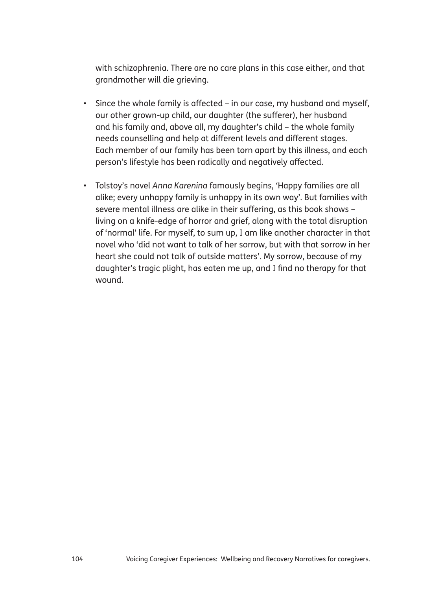with schizophrenia. There are no care plans in this case either, and that grandmother will die grieving.

- Since the whole family is affected in our case, my husband and myself, our other grown-up child, our daughter (the sufferer), her husband and his family and, above all, my daughter's child – the whole family needs counselling and help at different levels and different stages. Each member of our family has been torn apart by this illness, and each person's lifestyle has been radically and negatively affected.
- Tolstoy's novel Anna Karenina famously begins, 'Happy families are all alike; every unhappy family is unhappy in its own way'. But families with severe mental illness are alike in their suffering, as this book shows – living on a knife-edge of horror and grief, along with the total disruption of 'normal' life. For myself, to sum up, I am like another character in that novel who 'did not want to talk of her sorrow, but with that sorrow in her heart she could not talk of outside matters'. My sorrow, because of my daughter's tragic plight, has eaten me up, and I find no therapy for that wound.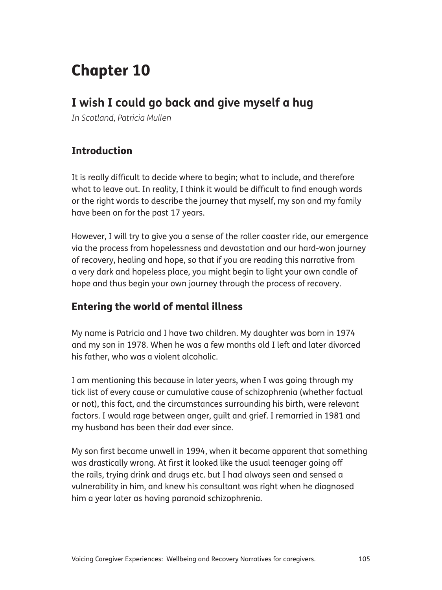# Chapter 10

## **I wish I could go back and give myself a hug**

*In Scotland, Patricia Mullen*

## Introduction

It is really difficult to decide where to begin; what to include, and therefore what to leave out. In reality, I think it would be difficult to find enough words or the right words to describe the journey that myself, my son and my family have been on for the past 17 years.

However, I will try to give you a sense of the roller coaster ride, our emergence via the process from hopelessness and devastation and our hard-won journey of recovery, healing and hope, so that if you are reading this narrative from a very dark and hopeless place, you might begin to light your own candle of hope and thus begin your own journey through the process of recovery.

## Entering the world of mental illness

My name is Patricia and I have two children. My daughter was born in 1974 and my son in 1978. When he was a few months old I left and later divorced his father, who was a violent alcoholic.

I am mentioning this because in later years, when I was going through my tick list of every cause or cumulative cause of schizophrenia (whether factual or not), this fact, and the circumstances surrounding his birth, were relevant factors. I would rage between anger, guilt and grief. I remarried in 1981 and my husband has been their dad ever since.

My son first became unwell in 1994, when it became apparent that something was drastically wrong. At first it looked like the usual teenager going off the rails, trying drink and drugs etc. but I had always seen and sensed a vulnerability in him, and knew his consultant was right when he diagnosed him a year later as having paranoid schizophrenia.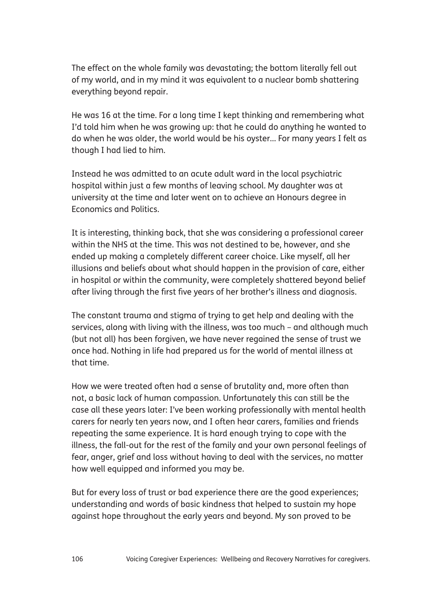The effect on the whole family was devastating; the bottom literally fell out of my world, and in my mind it was equivalent to a nuclear bomb shattering everything beyond repair.

He was 16 at the time. For a long time I kept thinking and remembering what I'd told him when he was growing up: that he could do anything he wanted to do when he was older, the world would be his oyster... For many years I felt as though I had lied to him.

Instead he was admitted to an acute adult ward in the local psychiatric hospital within just a few months of leaving school. My daughter was at university at the time and later went on to achieve an Honours degree in Economics and Politics.

It is interesting, thinking back, that she was considering a professional career within the NHS at the time. This was not destined to be, however, and she ended up making a completely different career choice. Like myself, all her illusions and beliefs about what should happen in the provision of care, either in hospital or within the community, were completely shattered beyond belief after living through the first five years of her brother's illness and diagnosis.

The constant trauma and stigma of trying to get help and dealing with the services, along with living with the illness, was too much – and although much (but not all) has been forgiven, we have never regained the sense of trust we once had. Nothing in life had prepared us for the world of mental illness at that time.

How we were treated often had a sense of brutality and, more often than not, a basic lack of human compassion. Unfortunately this can still be the case all these years later: I've been working professionally with mental health carers for nearly ten years now, and I often hear carers, families and friends repeating the same experience. It is hard enough trying to cope with the illness, the fall-out for the rest of the family and your own personal feelings of fear, anger, grief and loss without having to deal with the services, no matter how well equipped and informed you may be.

But for every loss of trust or bad experience there are the good experiences; understanding and words of basic kindness that helped to sustain my hope against hope throughout the early years and beyond. My son proved to be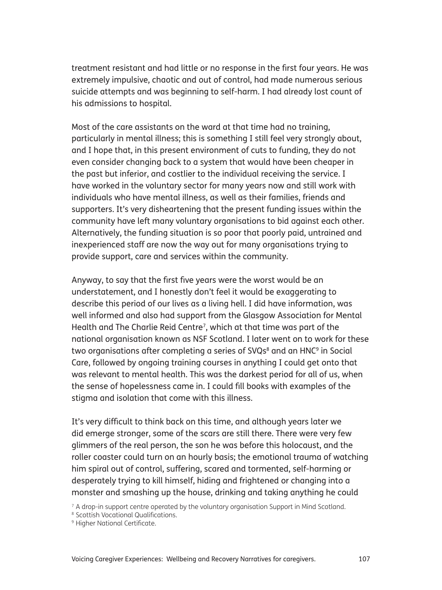treatment resistant and had little or no response in the first four years. He was extremely impulsive, chaotic and out of control, had made numerous serious suicide attempts and was beginning to self-harm. I had already lost count of his admissions to hospital.

Most of the care assistants on the ward at that time had no training, particularly in mental illness; this is something I still feel very strongly about, and I hope that, in this present environment of cuts to funding, they do not even consider changing back to a system that would have been cheaper in the past but inferior, and costlier to the individual receiving the service. I have worked in the voluntary sector for many years now and still work with individuals who have mental illness, as well as their families, friends and supporters. It's very disheartening that the present funding issues within the community have left many voluntary organisations to bid against each other. Alternatively, the funding situation is so poor that poorly paid, untrained and inexperienced staff are now the way out for many organisations trying to provide support, care and services within the community.

Anyway, to say that the first five years were the worst would be an understatement, and I honestly don't feel it would be exaggerating to describe this period of our lives as a living hell. I did have information, was well informed and also had support from the Glasgow Association for Mental Health and The Charlie Reid Centre<sup>7</sup>, which at that time was part of the national organisation known as NSF Scotland. I later went on to work for these two organisations after completing a series of SVQs<sup>8</sup> and an HNC<sup>9</sup> in Social Care, followed by ongoing training courses in anything I could get onto that was relevant to mental health. This was the darkest period for all of us, when the sense of hopelessness came in. I could fill books with examples of the stigma and isolation that come with this illness.

It's very difficult to think back on this time, and although years later we did emerge stronger, some of the scars are still there. There were very few glimmers of the real person, the son he was before this holocaust, and the roller coaster could turn on an hourly basis; the emotional trauma of watching him spiral out of control, suffering, scared and tormented, self-harming or desperately trying to kill himself, hiding and frightened or changing into a monster and smashing up the house, drinking and taking anything he could

 $7$  A drop-in support centre operated by the voluntary organisation Support in Mind Scotland.

8 Scottish Vocational Qualifications.

Voicing Caregiver Experiences: Wellbeing and Recovery Narratives for caregivers. 107

<sup>&</sup>lt;sup>9</sup> Higher National Certificate.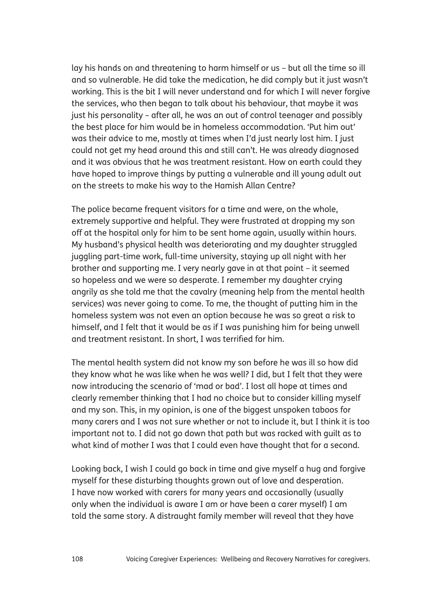lay his hands on and threatening to harm himself or us – but all the time so ill and so vulnerable. He did take the medication, he did comply but it just wasn't working. This is the bit I will never understand and for which I will never forgive the services, who then began to talk about his behaviour, that maybe it was just his personality – after all, he was an out of control teenager and possibly the best place for him would be in homeless accommodation. 'Put him out' was their advice to me, mostly at times when I'd just nearly lost him. I just could not get my head around this and still can't. He was already diagnosed and it was obvious that he was treatment resistant. How on earth could they have hoped to improve things by putting a vulnerable and ill young adult out on the streets to make his way to the Hamish Allan Centre?

The police became frequent visitors for a time and were, on the whole, extremely supportive and helpful. They were frustrated at dropping my son off at the hospital only for him to be sent home again, usually within hours. My husband's physical health was deteriorating and my daughter struggled juggling part-time work, full-time university, staying up all night with her brother and supporting me. I very nearly gave in at that point – it seemed so hopeless and we were so desperate. I remember my daughter crying angrily as she told me that the cavalry (meaning help from the mental health services) was never going to come. To me, the thought of putting him in the homeless system was not even an option because he was so great a risk to himself, and I felt that it would be as if I was punishing him for being unwell and treatment resistant. In short, I was terrified for him.

The mental health system did not know my son before he was ill so how did they know what he was like when he was well? I did, but I felt that they were now introducing the scenario of 'mad or bad'. I lost all hope at times and clearly remember thinking that I had no choice but to consider killing myself and my son. This, in my opinion, is one of the biggest unspoken taboos for many carers and I was not sure whether or not to include it, but I think it is too important not to. I did not go down that path but was racked with guilt as to what kind of mother I was that I could even have thought that for a second.

Looking back, I wish I could go back in time and give myself a hug and forgive myself for these disturbing thoughts grown out of love and desperation. I have now worked with carers for many years and occasionally (usually only when the individual is aware I am or have been a carer myself) I am told the same story. A distraught family member will reveal that they have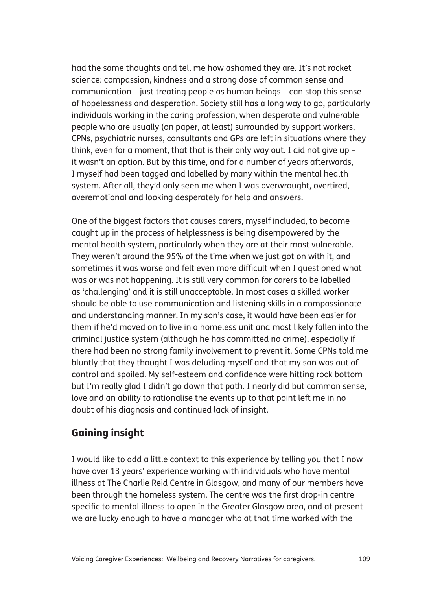had the same thoughts and tell me how ashamed they are. It's not rocket science: compassion, kindness and a strong dose of common sense and communication – just treating people as human beings – can stop this sense of hopelessness and desperation. Society still has a long way to go, particularly individuals working in the caring profession, when desperate and vulnerable people who are usually (on paper, at least) surrounded by support workers, CPNs, psychiatric nurses, consultants and GPs are left in situations where they think, even for a moment, that that is their only way out. I did not give up – it wasn't an option. But by this time, and for a number of years afterwards, I myself had been tagged and labelled by many within the mental health system. After all, they'd only seen me when I was overwrought, overtired, overemotional and looking desperately for help and answers.

One of the biggest factors that causes carers, myself included, to become caught up in the process of helplessness is being disempowered by the mental health system, particularly when they are at their most vulnerable. They weren't around the 95% of the time when we just got on with it, and sometimes it was worse and felt even more difficult when I questioned what was or was not happening. It is still very common for carers to be labelled as 'challenging' and it is still unacceptable. In most cases a skilled worker should be able to use communication and listening skills in a compassionate and understanding manner. In my son's case, it would have been easier for them if he'd moved on to live in a homeless unit and most likely fallen into the criminal justice system (although he has committed no crime), especially if there had been no strong family involvement to prevent it. Some CPNs told me bluntly that they thought I was deluding myself and that my son was out of control and spoiled. My self-esteem and confidence were hitting rock bottom but I'm really glad I didn't go down that path. I nearly did but common sense, love and an ability to rationalise the events up to that point left me in no doubt of his diagnosis and continued lack of insight.

### Gaining insight

I would like to add a little context to this experience by telling you that I now have over 13 years' experience working with individuals who have mental illness at The Charlie Reid Centre in Glasgow, and many of our members have been through the homeless system. The centre was the first drop-in centre specific to mental illness to open in the Greater Glasgow area, and at present we are lucky enough to have a manager who at that time worked with the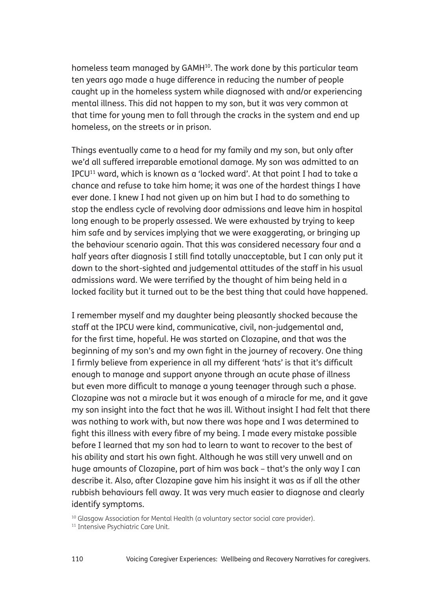homeless team managed by GAMH<sup>10</sup>. The work done by this particular team ten years ago made a huge difference in reducing the number of people caught up in the homeless system while diagnosed with and/or experiencing mental illness. This did not happen to my son, but it was very common at that time for young men to fall through the cracks in the system and end up homeless, on the streets or in prison.

Things eventually came to a head for my family and my son, but only after we'd all suffered irreparable emotional damage. My son was admitted to an IPCU11 ward, which is known as a 'locked ward'. At that point I had to take a chance and refuse to take him home; it was one of the hardest things I have ever done. I knew I had not given up on him but I had to do something to stop the endless cycle of revolving door admissions and leave him in hospital long enough to be properly assessed. We were exhausted by trying to keep him safe and by services implying that we were exaggerating, or bringing up the behaviour scenario again. That this was considered necessary four and a half years after diagnosis I still find totally unacceptable, but I can only put it down to the short-sighted and judgemental attitudes of the staff in his usual admissions ward. We were terrified by the thought of him being held in a locked facility but it turned out to be the best thing that could have happened.

I remember myself and my daughter being pleasantly shocked because the staff at the IPCU were kind, communicative, civil, non-judgemental and, for the first time, hopeful. He was started on Clozapine, and that was the beginning of my son's and my own fight in the journey of recovery. One thing I firmly believe from experience in all my different 'hats' is that it's difficult enough to manage and support anyone through an acute phase of illness but even more difficult to manage a young teenager through such a phase. Clozapine was not a miracle but it was enough of a miracle for me, and it gave my son insight into the fact that he was ill. Without insight I had felt that there was nothing to work with, but now there was hope and I was determined to fight this illness with every fibre of my being. I made every mistake possible before I learned that my son had to learn to want to recover to the best of his ability and start his own fight. Although he was still very unwell and on huge amounts of Clozapine, part of him was back – that's the only way I can describe it. Also, after Clozapine gave him his insight it was as if all the other rubbish behaviours fell away. It was very much easier to diagnose and clearly identify symptoms.

<sup>&</sup>lt;sup>10</sup> Glasgow Association for Mental Health (a voluntary sector social care provider).

<sup>&</sup>lt;sup>11</sup> Intensive Psychiatric Care Unit.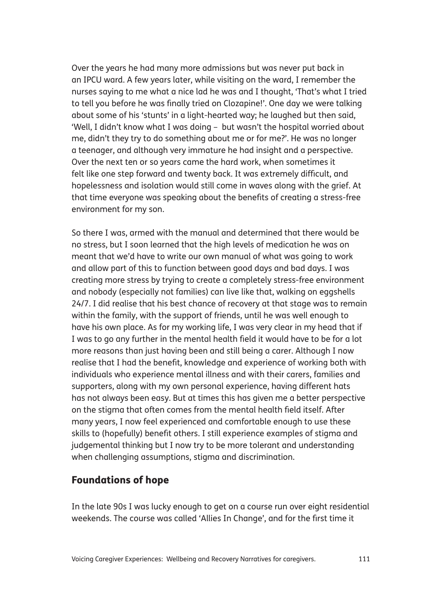Over the years he had many more admissions but was never put back in an IPCU ward. A few years later, while visiting on the ward, I remember the nurses saying to me what a nice lad he was and I thought, 'That's what I tried to tell you before he was finally tried on Clozapine!'. One day we were talking about some of his 'stunts' in a light-hearted way; he laughed but then said, 'Well, I didn't know what I was doing – but wasn't the hospital worried about me, didn't they try to do something about me or for me?'. He was no longer a teenager, and although very immature he had insight and a perspective. Over the next ten or so years came the hard work, when sometimes it felt like one step forward and twenty back. It was extremely difficult, and hopelessness and isolation would still come in waves along with the grief. At that time everyone was speaking about the benefits of creating a stress-free environment for my son.

So there I was, armed with the manual and determined that there would be no stress, but I soon learned that the high levels of medication he was on meant that we'd have to write our own manual of what was going to work and allow part of this to function between good days and bad days. I was creating more stress by trying to create a completely stress-free environment and nobody (especially not families) can live like that, walking on eggshells 24/7. I did realise that his best chance of recovery at that stage was to remain within the family, with the support of friends, until he was well enough to have his own place. As for my working life, I was very clear in my head that if I was to go any further in the mental health field it would have to be for a lot more reasons than just having been and still being a carer. Although I now realise that I had the benefit, knowledge and experience of working both with individuals who experience mental illness and with their carers, families and supporters, along with my own personal experience, having different hats has not always been easy. But at times this has given me a better perspective on the stigma that often comes from the mental health field itself. After many years, I now feel experienced and comfortable enough to use these skills to (hopefully) benefit others. I still experience examples of stigma and judgemental thinking but I now try to be more tolerant and understanding when challenging assumptions, stigma and discrimination.

#### Foundations of hope

In the late 90s I was lucky enough to get on a course run over eight residential weekends. The course was called 'Allies In Change', and for the first time it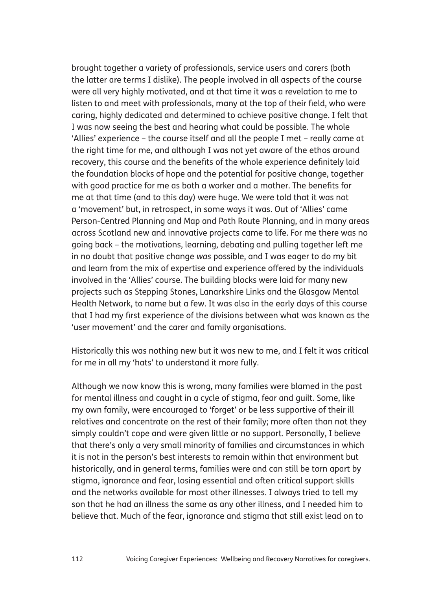brought together a variety of professionals, service users and carers (both the latter are terms I dislike). The people involved in all aspects of the course were all very highly motivated, and at that time it was a revelation to me to listen to and meet with professionals, many at the top of their field, who were caring, highly dedicated and determined to achieve positive change. I felt that I was now seeing the best and hearing what could be possible. The whole 'Allies' experience – the course itself and all the people I met – really came at the right time for me, and although I was not yet aware of the ethos around recovery, this course and the benefits of the whole experience definitely laid the foundation blocks of hope and the potential for positive change, together with good practice for me as both a worker and a mother. The benefits for me at that time (and to this day) were huge. We were told that it was not a 'movement' but, in retrospect, in some ways it was. Out of 'Allies' came Person-Centred Planning and Map and Path Route Planning, and in many areas across Scotland new and innovative projects came to life. For me there was no going back – the motivations, learning, debating and pulling together left me in no doubt that positive change *was* possible, and I was eager to do my bit and learn from the mix of expertise and experience offered by the individuals involved in the 'Allies' course. The building blocks were laid for many new projects such as Stepping Stones, Lanarkshire Links and the Glasgow Mental Health Network, to name but a few. It was also in the early days of this course that I had my first experience of the divisions between what was known as the 'user movement' and the carer and family organisations.

Historically this was nothing new but it was new to me, and I felt it was critical for me in all my 'hats' to understand it more fully.

Although we now know this is wrong, many families were blamed in the past for mental illness and caught in a cycle of stigma, fear and guilt. Some, like my own family, were encouraged to 'forget' or be less supportive of their ill relatives and concentrate on the rest of their family; more often than not they simply couldn't cope and were given little or no support. Personally, I believe that there's only a very small minority of families and circumstances in which it is not in the person's best interests to remain within that environment but historically, and in general terms, families were and can still be torn apart by stigma, ignorance and fear, losing essential and often critical support skills and the networks available for most other illnesses. I always tried to tell my son that he had an illness the same as any other illness, and I needed him to believe that. Much of the fear, ignorance and stigma that still exist lead on to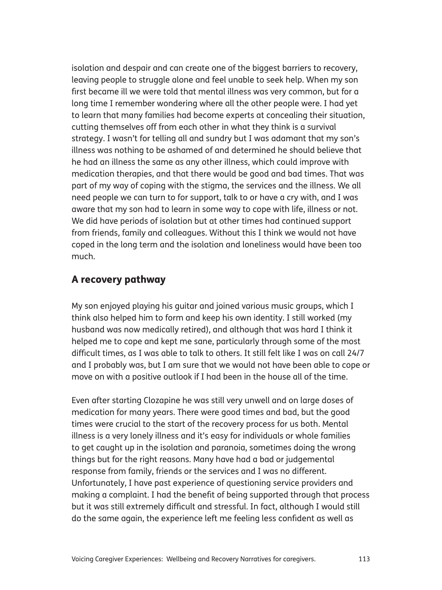isolation and despair and can create one of the biggest barriers to recovery, leaving people to struggle alone and feel unable to seek help. When my son first became ill we were told that mental illness was very common, but for a long time I remember wondering where all the other people were. I had yet to learn that many families had become experts at concealing their situation, cutting themselves off from each other in what they think is a survival strategy. I wasn't for telling all and sundry but I was adamant that my son's illness was nothing to be ashamed of and determined he should believe that he had an illness the same as any other illness, which could improve with medication therapies, and that there would be good and bad times. That was part of my way of coping with the stigma, the services and the illness. We all need people we can turn to for support, talk to or have a cry with, and I was aware that my son had to learn in some way to cope with life, illness or not. We did have periods of isolation but at other times had continued support from friends, family and colleagues. Without this I think we would not have coped in the long term and the isolation and loneliness would have been too much.

#### A recovery pathway

My son enjoyed playing his guitar and joined various music groups, which I think also helped him to form and keep his own identity. I still worked (my husband was now medically retired), and although that was hard I think it helped me to cope and kept me sane, particularly through some of the most difficult times, as I was able to talk to others. It still felt like I was on call 24/7 and I probably was, but I am sure that we would not have been able to cope or move on with a positive outlook if I had been in the house all of the time.

Even after starting Clozapine he was still very unwell and on large doses of medication for many years. There were good times and bad, but the good times were crucial to the start of the recovery process for us both. Mental illness is a very lonely illness and it's easy for individuals or whole families to get caught up in the isolation and paranoia, sometimes doing the wrong things but for the right reasons. Many have had a bad or judgemental response from family, friends or the services and I was no different. Unfortunately, I have past experience of questioning service providers and making a complaint. I had the benefit of being supported through that process but it was still extremely difficult and stressful. In fact, although I would still do the same again, the experience left me feeling less confident as well as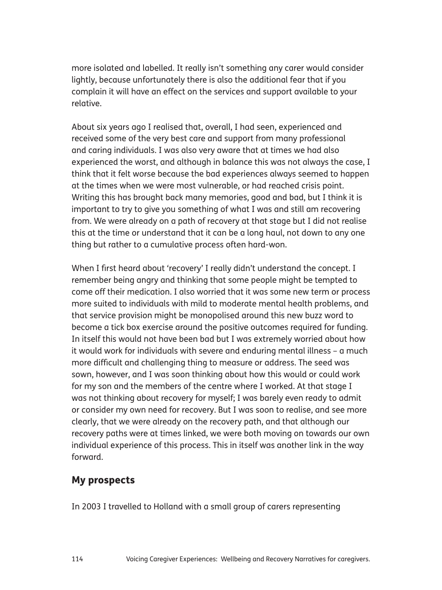more isolated and labelled. It really isn't something any carer would consider lightly, because unfortunately there is also the additional fear that if you complain it will have an effect on the services and support available to your relative.

About six years ago I realised that, overall, I had seen, experienced and received some of the very best care and support from many professional and caring individuals. I was also very aware that at times we had also experienced the worst, and although in balance this was not always the case, I think that it felt worse because the bad experiences always seemed to happen at the times when we were most vulnerable, or had reached crisis point. Writing this has brought back many memories, good and bad, but I think it is important to try to give you something of what I was and still am recovering from. We were already on a path of recovery at that stage but I did not realise this at the time or understand that it can be a long haul, not down to any one thing but rather to a cumulative process often hard-won.

When I first heard about 'recovery' I really didn't understand the concept. I remember being angry and thinking that some people might be tempted to come off their medication. I also worried that it was some new term or process more suited to individuals with mild to moderate mental health problems, and that service provision might be monopolised around this new buzz word to become a tick box exercise around the positive outcomes required for funding. In itself this would not have been bad but I was extremely worried about how it would work for individuals with severe and enduring mental illness – a much more difficult and challenging thing to measure or address. The seed was sown, however, and I was soon thinking about how this would or could work for my son and the members of the centre where I worked. At that stage I was not thinking about recovery for myself; I was barely even ready to admit or consider my own need for recovery. But I was soon to realise, and see more clearly, that we were already on the recovery path, and that although our recovery paths were at times linked, we were both moving on towards our own individual experience of this process. This in itself was another link in the way forward.

#### My prospects

In 2003 I travelled to Holland with a small group of carers representing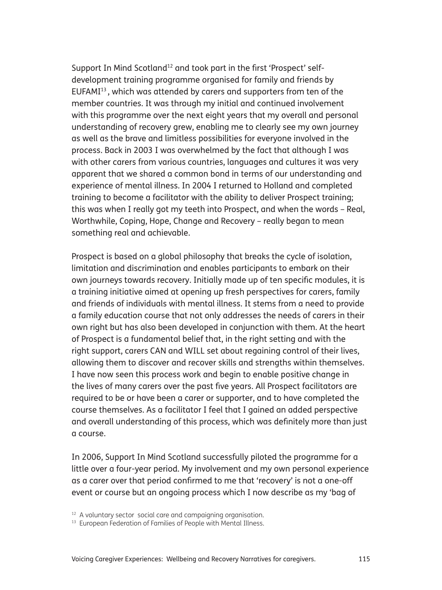Support In Mind Scotland<sup>12</sup> and took part in the first 'Prospect' selfdevelopment training programme organised for family and friends by EUFAMI13 , which was attended by carers and supporters from ten of the member countries. It was through my initial and continued involvement with this programme over the next eight years that my overall and personal understanding of recovery grew, enabling me to clearly see my own journey as well as the brave and limitless possibilities for everyone involved in the process. Back in 2003 I was overwhelmed by the fact that although I was with other carers from various countries, languages and cultures it was very apparent that we shared a common bond in terms of our understanding and experience of mental illness. In 2004 I returned to Holland and completed training to become a facilitator with the ability to deliver Prospect training; this was when I really got my teeth into Prospect, and when the words – Real, Worthwhile, Coping, Hope, Change and Recovery – really began to mean something real and achievable.

Prospect is based on a global philosophy that breaks the cycle of isolation, limitation and discrimination and enables participants to embark on their own journeys towards recovery. Initially made up of ten specific modules, it is a training initiative aimed at opening up fresh perspectives for carers, family and friends of individuals with mental illness. It stems from a need to provide a family education course that not only addresses the needs of carers in their own right but has also been developed in conjunction with them. At the heart of Prospect is a fundamental belief that, in the right setting and with the right support, carers CAN and WILL set about regaining control of their lives, allowing them to discover and recover skills and strengths within themselves. I have now seen this process work and begin to enable positive change in the lives of many carers over the past five years. All Prospect facilitators are required to be or have been a carer or supporter, and to have completed the course themselves. As a facilitator I feel that I gained an added perspective and overall understanding of this process, which was definitely more than just a course.

In 2006, Support In Mind Scotland successfully piloted the programme for a little over a four-year period. My involvement and my own personal experience as a carer over that period confirmed to me that 'recovery' is not a one-off event or course but an ongoing process which I now describe as my 'bag of

<sup>&</sup>lt;sup>12</sup> A voluntary sector social care and campaigning organisation.

<sup>&</sup>lt;sup>13</sup> European Federation of Families of People with Mental Illness.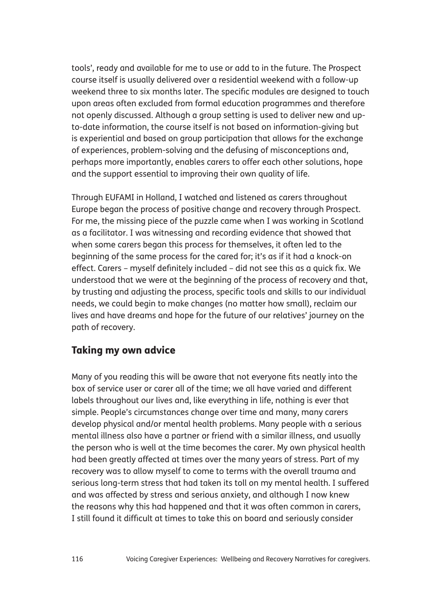tools', ready and available for me to use or add to in the future. The Prospect course itself is usually delivered over a residential weekend with a follow-up weekend three to six months later. The specific modules are designed to touch upon areas often excluded from formal education programmes and therefore not openly discussed. Although a group setting is used to deliver new and upto-date information, the course itself is not based on information-giving but is experiential and based on group participation that allows for the exchange of experiences, problem-solving and the defusing of misconceptions and, perhaps more importantly, enables carers to offer each other solutions, hope and the support essential to improving their own quality of life.

Through EUFAMI in Holland, I watched and listened as carers throughout Europe began the process of positive change and recovery through Prospect. For me, the missing piece of the puzzle came when I was working in Scotland as a facilitator. I was witnessing and recording evidence that showed that when some carers began this process for themselves, it often led to the beginning of the same process for the cared for; it's as if it had a knock-on effect. Carers – myself definitely included – did not see this as a quick fix. We understood that we were at the beginning of the process of recovery and that, by trusting and adjusting the process, specific tools and skills to our individual needs, we could begin to make changes (no matter how small), reclaim our lives and have dreams and hope for the future of our relatives' journey on the path of recovery.

#### Taking my own advice

Many of you reading this will be aware that not everyone fits neatly into the box of service user or carer all of the time; we all have varied and different labels throughout our lives and, like everything in life, nothing is ever that simple. People's circumstances change over time and many, many carers develop physical and/or mental health problems. Many people with a serious mental illness also have a partner or friend with a similar illness, and usually the person who is well at the time becomes the carer. My own physical health had been greatly affected at times over the many years of stress. Part of my recovery was to allow myself to come to terms with the overall trauma and serious long-term stress that had taken its toll on my mental health. I suffered and was affected by stress and serious anxiety, and although I now knew the reasons why this had happened and that it was often common in carers, I still found it difficult at times to take this on board and seriously consider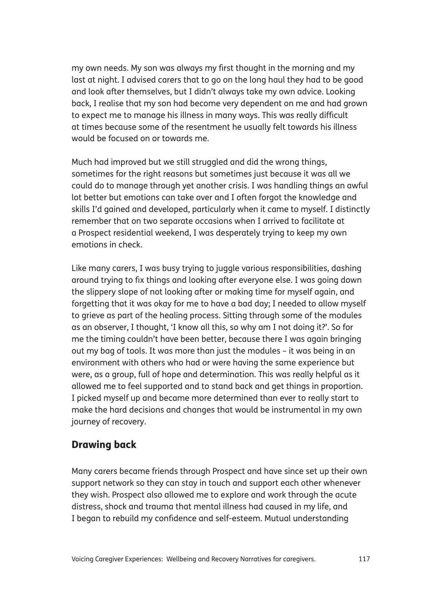my own needs. My son was always my first thought in the morning and my last at night. I advised carers that to go on the long haul they had to be good and look after themselves, but I didn't always take my own advice. Looking back, I realise that my son had become very dependent on me and had grown to expect me to manage his illness in many ways. This was really difficult at times because some of the resentment he usually felt towards his illness would be focused on or towards me.

Much had improved but we still struggled and did the wrong things, sometimes for the right reasons but sometimes just because it was all we could do to manage through yet another crisis. I was handling things an awful lot better but emotions can take over and I often forgot the knowledge and skills I'd gained and developed, particularly when it came to myself. I distinctly remember that on two separate occasions when I arrived to facilitate at a Prospect residential weekend, I was desperately trying to keep my own emotions in check.

Like many carers, I was busy trying to juggle various responsibilities, dashing around trying to fix things and looking after everyone else. I was going down the slippery slope of not looking after or making time for myself again, and forgetting that it was okay for me to have a bad day; I needed to allow myself to grieve as part of the healing process. Sitting through some of the modules as an observer, I thought, 'I know all this, so why am I not doing it?'. So for me the timing couldn't have been better, because there I was again bringing out my bag of tools. It was more than just the modules – it was being in an environment with others who had or were having the same experience but were, as a group, full of hope and determination. This was really helpful as it allowed me to feel supported and to stand back and get things in proportion. I picked myself up and became more determined than ever to really start to make the hard decisions and changes that would be instrumental in my own journey of recovery.

### Drawing back

Many carers became friends through Prospect and have since set up their own support network so they can stay in touch and support each other whenever they wish. Prospect also allowed me to explore and work through the acute distress, shock and trauma that mental illness had caused in my life, and I began to rebuild my confidence and self-esteem. Mutual understanding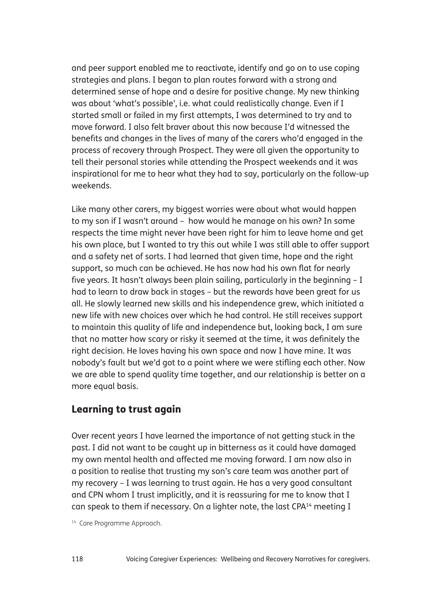and peer support enabled me to reactivate, identify and go on to use coping strategies and plans. I began to plan routes forward with a strong and determined sense of hope and a desire for positive change. My new thinking was about 'what's possible', i.e. what could realistically change. Even if I started small or failed in my first attempts, I was determined to try and to move forward. I also felt braver about this now because I'd witnessed the benefits and changes in the lives of many of the carers who'd engaged in the process of recovery through Prospect. They were all given the opportunity to tell their personal stories while attending the Prospect weekends and it was inspirational for me to hear what they had to say, particularly on the follow-up weekends.

Like many other carers, my biggest worries were about what would happen to my son if I wasn't around – how would he manage on his own? In some respects the time might never have been right for him to leave home and get his own place, but I wanted to try this out while I was still able to offer support and a safety net of sorts. I had learned that given time, hope and the right support, so much can be achieved. He has now had his own flat for nearly five years. It hasn't always been plain sailing, particularly in the beginning – I had to learn to draw back in stages – but the rewards have been great for us all. He slowly learned new skills and his independence grew, which initiated a new life with new choices over which he had control. He still receives support to maintain this quality of life and independence but, looking back, I am sure that no matter how scary or risky it seemed at the time, it was definitely the right decision. He loves having his own space and now I have mine. It was nobody's fault but we'd got to a point where we were stifling each other. Now we are able to spend quality time together, and our relationship is better on a more equal basis.

#### Learning to trust again

Over recent years I have learned the importance of not getting stuck in the past. I did not want to be caught up in bitterness as it could have damaged my own mental health and affected me moving forward. I am now also in a position to realise that trusting my son's care team was another part of my recovery – I was learning to trust again. He has a very good consultant and CPN whom I trust implicitly, and it is reassuring for me to know that I can speak to them if necessary. On a lighter note, the last CPA14 meeting I

<sup>14</sup> Care Programme Approach.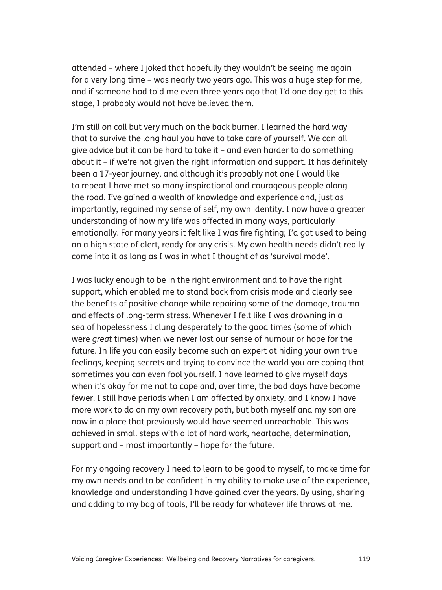attended – where I joked that hopefully they wouldn't be seeing me again for a very long time – was nearly two years ago. This was a huge step for me, and if someone had told me even three years ago that I'd one day get to this stage, I probably would not have believed them.

I'm still on call but very much on the back burner. I learned the hard way that to survive the long haul you have to take care of yourself. We can all give advice but it can be hard to take it – and even harder to do something about it – if we're not given the right information and support. It has definitely been a 17-year journey, and although it's probably not one I would like to repeat I have met so many inspirational and courageous people along the road. I've gained a wealth of knowledge and experience and, just as importantly, regained my sense of self, my own identity. I now have a greater understanding of how my life was affected in many ways, particularly emotionally. For many years it felt like I was fire fighting; I'd got used to being on a high state of alert, ready for any crisis. My own health needs didn't really come into it as long as I was in what I thought of as 'survival mode'.

I was lucky enough to be in the right environment and to have the right support, which enabled me to stand back from crisis mode and clearly see the benefits of positive change while repairing some of the damage, trauma and effects of long-term stress. Whenever I felt like I was drowning in a sea of hopelessness I clung desperately to the good times (some of which were *great* times) when we never lost our sense of humour or hope for the future. In life you can easily become such an expert at hiding your own true feelings, keeping secrets and trying to convince the world you are coping that sometimes you can even fool yourself. I have learned to give myself days when it's okay for me not to cope and, over time, the bad days have become fewer. I still have periods when I am affected by anxiety, and I know I have more work to do on my own recovery path, but both myself and my son are now in a place that previously would have seemed unreachable. This was achieved in small steps with a lot of hard work, heartache, determination, support and – most importantly – hope for the future.

For my ongoing recovery I need to learn to be good to myself, to make time for my own needs and to be confident in my ability to make use of the experience, knowledge and understanding I have gained over the years. By using, sharing and adding to my bag of tools, I'll be ready for whatever life throws at me.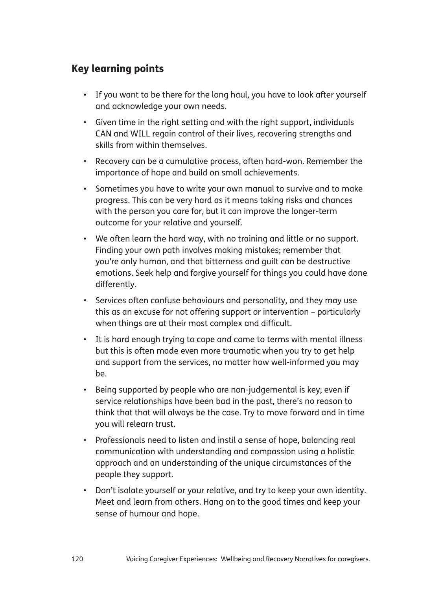## Key learning points

- If you want to be there for the long haul, you have to look after yourself and acknowledge your own needs.
- Given time in the right setting and with the right support, individuals CAN and WILL regain control of their lives, recovering strengths and skills from within themselves.
- Recovery can be a cumulative process, often hard-won. Remember the importance of hope and build on small achievements.
- Sometimes you have to write your own manual to survive and to make progress. This can be very hard as it means taking risks and chances with the person you care for, but it can improve the longer-term outcome for your relative and yourself.
- We often learn the hard way, with no training and little or no support. Finding your own path involves making mistakes; remember that you're only human, and that bitterness and guilt can be destructive emotions. Seek help and forgive yourself for things you could have done differently.
- Services often confuse behaviours and personality, and they may use this as an excuse for not offering support or intervention – particularly when things are at their most complex and difficult.
- It is hard enough trying to cope and come to terms with mental illness but this is often made even more traumatic when you try to get help and support from the services, no matter how well-informed you may be.
- Being supported by people who are non-judgemental is key; even if service relationships have been bad in the past, there's no reason to think that that will always be the case. Try to move forward and in time you will relearn trust.
- Professionals need to listen and instil a sense of hope, balancing real communication with understanding and compassion using a holistic approach and an understanding of the unique circumstances of the people they support.
- Don't isolate yourself or your relative, and try to keep your own identity. Meet and learn from others. Hang on to the good times and keep your sense of humour and hope.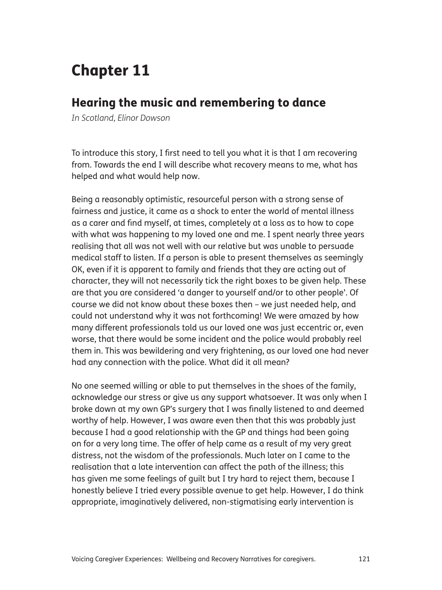## Chapter 11

## Hearing the music and remembering to dance

*In Scotland, Elinor Dowson*

To introduce this story, I first need to tell you what it is that I am recovering from. Towards the end I will describe what recovery means to me, what has helped and what would help now.

Being a reasonably optimistic, resourceful person with a strong sense of fairness and justice, it came as a shock to enter the world of mental illness as a carer and find myself, at times, completely at a loss as to how to cope with what was happening to my loved one and me. I spent nearly three years realising that all was not well with our relative but was unable to persuade medical staff to listen. If a person is able to present themselves as seemingly OK, even if it is apparent to family and friends that they are acting out of character, they will not necessarily tick the right boxes to be given help. These are that you are considered 'a danger to yourself and/or to other people'. Of course we did not know about these boxes then – we just needed help, and could not understand why it was not forthcoming! We were amazed by how many different professionals told us our loved one was just eccentric or, even worse, that there would be some incident and the police would probably reel them in. This was bewildering and very frightening, as our loved one had never had any connection with the police. What did it all mean?

No one seemed willing or able to put themselves in the shoes of the family, acknowledge our stress or give us any support whatsoever. It was only when I broke down at my own GP's surgery that I was finally listened to and deemed worthy of help. However, I was aware even then that this was probably just because I had a good relationship with the GP and things had been going on for a very long time. The offer of help came as a result of my very great distress, not the wisdom of the professionals. Much later on I came to the realisation that a late intervention can affect the path of the illness; this has given me some feelings of guilt but I try hard to reject them, because I honestly believe I tried every possible avenue to get help. However, I do think appropriate, imaginatively delivered, non-stigmatising early intervention is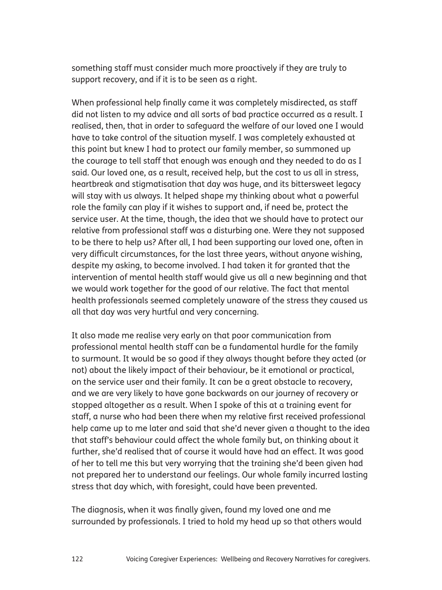something staff must consider much more proactively if they are truly to support recovery, and if it is to be seen as a right.

When professional help finally came it was completely misdirected, as staff did not listen to my advice and all sorts of bad practice occurred as a result. I realised, then, that in order to safeguard the welfare of our loved one I would have to take control of the situation myself. I was completely exhausted at this point but knew I had to protect our family member, so summoned up the courage to tell staff that enough was enough and they needed to do as I said. Our loved one, as a result, received help, but the cost to us all in stress, heartbreak and stigmatisation that day was huge, and its bittersweet legacy will stay with us always. It helped shape my thinking about what a powerful role the family can play if it wishes to support and, if need be, protect the service user. At the time, though, the idea that we should have to protect our relative from professional staff was a disturbing one. Were they not supposed to be there to help us? After all, I had been supporting our loved one, often in very difficult circumstances, for the last three years, without anyone wishing, despite my asking, to become involved. I had taken it for granted that the intervention of mental health staff would give us all a new beginning and that we would work together for the good of our relative. The fact that mental health professionals seemed completely unaware of the stress they caused us all that day was very hurtful and very concerning.

It also made me realise very early on that poor communication from professional mental health staff can be a fundamental hurdle for the family to surmount. It would be so good if they always thought before they acted (or not) about the likely impact of their behaviour, be it emotional or practical, on the service user and their family. It can be a great obstacle to recovery, and we are very likely to have gone backwards on our journey of recovery or stopped altogether as a result. When I spoke of this at a training event for staff, a nurse who had been there when my relative first received professional help came up to me later and said that she'd never given a thought to the idea that staff's behaviour could affect the whole family but, on thinking about it further, she'd realised that of course it would have had an effect. It was good of her to tell me this but very worrying that the training she'd been given had not prepared her to understand our feelings. Our whole family incurred lasting stress that day which, with foresight, could have been prevented.

The diagnosis, when it was finally given, found my loved one and me surrounded by professionals. I tried to hold my head up so that others would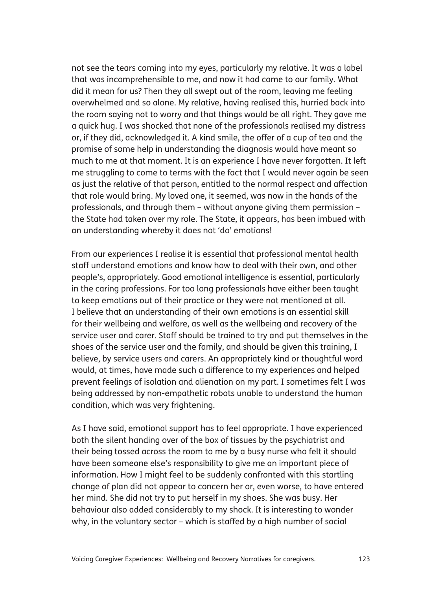not see the tears coming into my eyes, particularly my relative. It was a label that was incomprehensible to me, and now it had come to our family. What did it mean for us? Then they all swept out of the room, leaving me feeling overwhelmed and so alone. My relative, having realised this, hurried back into the room saying not to worry and that things would be all right. They gave me a quick hug. I was shocked that none of the professionals realised my distress or, if they did, acknowledged it. A kind smile, the offer of a cup of tea and the promise of some help in understanding the diagnosis would have meant so much to me at that moment. It is an experience I have never forgotten. It left me struggling to come to terms with the fact that I would never again be seen as just the relative of that person, entitled to the normal respect and affection that role would bring. My loved one, it seemed, was now in the hands of the professionals, and through them – without anyone giving them permission – the State had taken over my role. The State, it appears, has been imbued with an understanding whereby it does not 'do' emotions!

From our experiences I realise it is essential that professional mental health staff understand emotions and know how to deal with their own, and other people's, appropriately. Good emotional intelligence is essential, particularly in the caring professions. For too long professionals have either been taught to keep emotions out of their practice or they were not mentioned at all. I believe that an understanding of their own emotions is an essential skill for their wellbeing and welfare, as well as the wellbeing and recovery of the service user and carer. Staff should be trained to try and put themselves in the shoes of the service user and the family, and should be given this training, I believe, by service users and carers. An appropriately kind or thoughtful word would, at times, have made such a difference to my experiences and helped prevent feelings of isolation and alienation on my part. I sometimes felt I was being addressed by non-empathetic robots unable to understand the human condition, which was very frightening.

As I have said, emotional support has to feel appropriate. I have experienced both the silent handing over of the box of tissues by the psychiatrist and their being tossed across the room to me by a busy nurse who felt it should have been someone else's responsibility to give me an important piece of information. How I might feel to be suddenly confronted with this startling change of plan did not appear to concern her or, even worse, to have entered her mind. She did not try to put herself in my shoes. She was busy. Her behaviour also added considerably to my shock. It is interesting to wonder why, in the voluntary sector – which is staffed by a high number of social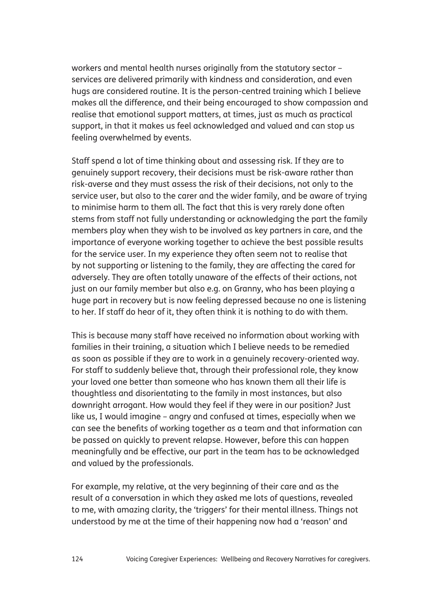workers and mental health nurses originally from the statutory sector – services are delivered primarily with kindness and consideration, and even hugs are considered routine. It is the person-centred training which I believe makes all the difference, and their being encouraged to show compassion and realise that emotional support matters, at times, just as much as practical support, in that it makes us feel acknowledged and valued and can stop us feeling overwhelmed by events.

Staff spend a lot of time thinking about and assessing risk. If they are to genuinely support recovery, their decisions must be risk-aware rather than risk-averse and they must assess the risk of their decisions, not only to the service user, but also to the carer and the wider family, and be aware of trying to minimise harm to them all. The fact that this is very rarely done often stems from staff not fully understanding or acknowledging the part the family members play when they wish to be involved as key partners in care, and the importance of everyone working together to achieve the best possible results for the service user. In my experience they often seem not to realise that by not supporting or listening to the family, they are affecting the cared for adversely. They are often totally unaware of the effects of their actions, not just on our family member but also e.g. on Granny, who has been playing a huge part in recovery but is now feeling depressed because no one is listening to her. If staff do hear of it, they often think it is nothing to do with them.

This is because many staff have received no information about working with families in their training, a situation which I believe needs to be remedied as soon as possible if they are to work in a genuinely recovery-oriented way. For staff to suddenly believe that, through their professional role, they know your loved one better than someone who has known them all their life is thoughtless and disorientating to the family in most instances, but also downright arrogant. How would they feel if they were in our position? Just like us, I would imagine – angry and confused at times, especially when we can see the benefits of working together as a team and that information can be passed on quickly to prevent relapse. However, before this can happen meaningfully and be effective, our part in the team has to be acknowledged and valued by the professionals.

For example, my relative, at the very beginning of their care and as the result of a conversation in which they asked me lots of questions, revealed to me, with amazing clarity, the 'triggers' for their mental illness. Things not understood by me at the time of their happening now had a 'reason' and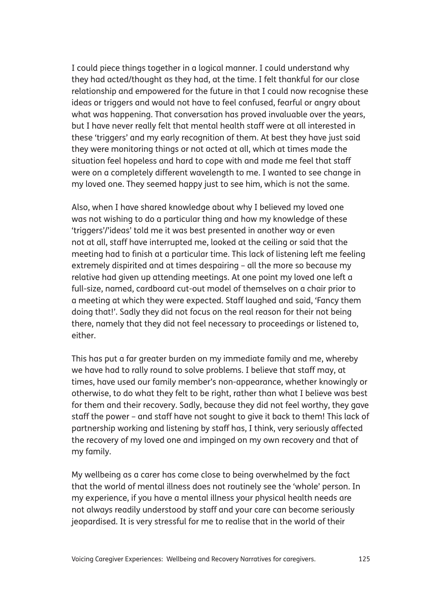I could piece things together in a logical manner. I could understand why they had acted/thought as they had, at the time. I felt thankful for our close relationship and empowered for the future in that I could now recognise these ideas or triggers and would not have to feel confused, fearful or angry about what was happening. That conversation has proved invaluable over the years, but I have never really felt that mental health staff were at all interested in these 'triggers' and my early recognition of them. At best they have just said they were monitoring things or not acted at all, which at times made the situation feel hopeless and hard to cope with and made me feel that staff were on a completely different wavelength to me. I wanted to see change in my loved one. They seemed happy just to see him, which is not the same.

Also, when I have shared knowledge about why I believed my loved one was not wishing to do a particular thing and how my knowledge of these 'triggers'/'ideas' told me it was best presented in another way or even not at all, staff have interrupted me, looked at the ceiling or said that the meeting had to finish at a particular time. This lack of listening left me feeling extremely dispirited and at times despairing – all the more so because my relative had given up attending meetings. At one point my loved one left a full-size, named, cardboard cut-out model of themselves on a chair prior to a meeting at which they were expected. Staff laughed and said, 'Fancy them doing that!'. Sadly they did not focus on the real reason for their not being there, namely that they did not feel necessary to proceedings or listened to, either.

This has put a far greater burden on my immediate family and me, whereby we have had to rally round to solve problems. I believe that staff may, at times, have used our family member's non-appearance, whether knowingly or otherwise, to do what they felt to be right, rather than what I believe was best for them and their recovery. Sadly, because they did not feel worthy, they gave staff the power – and staff have not sought to give it back to them! This lack of partnership working and listening by staff has, I think, very seriously affected the recovery of my loved one and impinged on my own recovery and that of my family.

My wellbeing as a carer has come close to being overwhelmed by the fact that the world of mental illness does not routinely see the 'whole' person. In my experience, if you have a mental illness your physical health needs are not always readily understood by staff and your care can become seriously jeopardised. It is very stressful for me to realise that in the world of their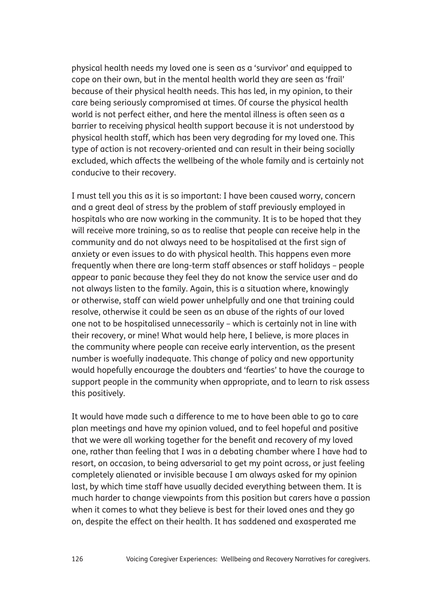physical health needs my loved one is seen as a 'survivor' and equipped to cope on their own, but in the mental health world they are seen as 'frail' because of their physical health needs. This has led, in my opinion, to their care being seriously compromised at times. Of course the physical health world is not perfect either, and here the mental illness is often seen as a barrier to receiving physical health support because it is not understood by physical health staff, which has been very degrading for my loved one. This type of action is not recovery-oriented and can result in their being socially excluded, which affects the wellbeing of the whole family and is certainly not conducive to their recovery.

I must tell you this as it is so important: I have been caused worry, concern and a great deal of stress by the problem of staff previously employed in hospitals who are now working in the community. It is to be hoped that they will receive more training, so as to realise that people can receive help in the community and do not always need to be hospitalised at the first sign of anxiety or even issues to do with physical health. This happens even more frequently when there are long-term staff absences or staff holidays – people appear to panic because they feel they do not know the service user and do not always listen to the family. Again, this is a situation where, knowingly or otherwise, staff can wield power unhelpfully and one that training could resolve, otherwise it could be seen as an abuse of the rights of our loved one not to be hospitalised unnecessarily – which is certainly not in line with their recovery, or mine! What would help here, I believe, is more places in the community where people can receive early intervention, as the present number is woefully inadequate. This change of policy and new opportunity would hopefully encourage the doubters and 'fearties' to have the courage to support people in the community when appropriate, and to learn to risk assess this positively.

It would have made such a difference to me to have been able to go to care plan meetings and have my opinion valued, and to feel hopeful and positive that we were all working together for the benefit and recovery of my loved one, rather than feeling that I was in a debating chamber where I have had to resort, on occasion, to being adversarial to get my point across, or just feeling completely alienated or invisible because I am always asked for my opinion last, by which time staff have usually decided everything between them. It is much harder to change viewpoints from this position but carers have a passion when it comes to what they believe is best for their loved ones and they go on, despite the effect on their health. It has saddened and exasperated me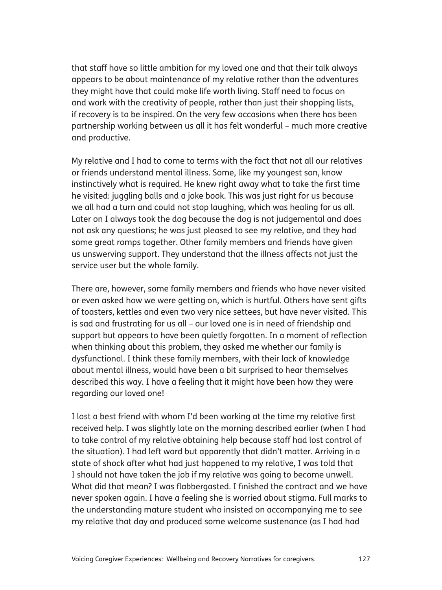that staff have so little ambition for my loved one and that their talk always appears to be about maintenance of my relative rather than the adventures they might have that could make life worth living. Staff need to focus on and work with the creativity of people, rather than just their shopping lists, if recovery is to be inspired. On the very few occasions when there has been partnership working between us all it has felt wonderful – much more creative and productive.

My relative and I had to come to terms with the fact that not all our relatives or friends understand mental illness. Some, like my youngest son, know instinctively what is required. He knew right away what to take the first time he visited: juggling balls and a joke book. This was just right for us because we all had a turn and could not stop laughing, which was healing for us all. Later on I always took the dog because the dog is not judgemental and does not ask any questions; he was just pleased to see my relative, and they had some great romps together. Other family members and friends have given us unswerving support. They understand that the illness affects not just the service user but the whole family.

There are, however, some family members and friends who have never visited or even asked how we were getting on, which is hurtful. Others have sent gifts of toasters, kettles and even two very nice settees, but have never visited. This is sad and frustrating for us all – our loved one is in need of friendship and support but appears to have been quietly forgotten. In a moment of reflection when thinking about this problem, they asked me whether our family is dysfunctional. I think these family members, with their lack of knowledge about mental illness, would have been a bit surprised to hear themselves described this way. I have a feeling that it might have been how they were regarding our loved one!

I lost a best friend with whom I'd been working at the time my relative first received help. I was slightly late on the morning described earlier (when I had to take control of my relative obtaining help because staff had lost control of the situation). I had left word but apparently that didn't matter. Arriving in a state of shock after what had just happened to my relative, I was told that I should not have taken the job if my relative was going to become unwell. What did that mean? I was flabbergasted. I finished the contract and we have never spoken again. I have a feeling she is worried about stigma. Full marks to the understanding mature student who insisted on accompanying me to see my relative that day and produced some welcome sustenance (as I had had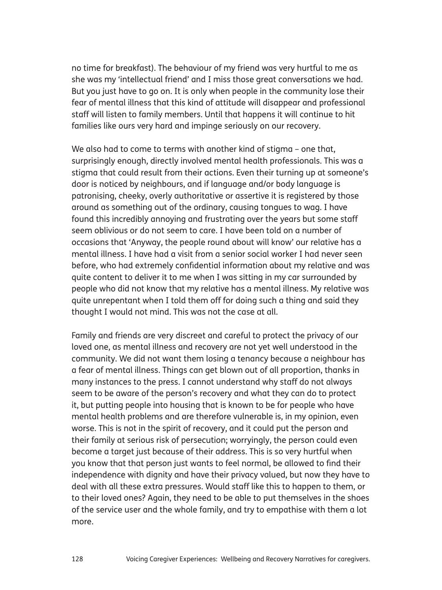no time for breakfast). The behaviour of my friend was very hurtful to me as she was my 'intellectual friend' and I miss those great conversations we had. But you just have to go on. It is only when people in the community lose their fear of mental illness that this kind of attitude will disappear and professional staff will listen to family members. Until that happens it will continue to hit families like ours very hard and impinge seriously on our recovery.

We also had to come to terms with another kind of stigma - one that, surprisingly enough, directly involved mental health professionals. This was a stigma that could result from their actions. Even their turning up at someone's door is noticed by neighbours, and if language and/or body language is patronising, cheeky, overly authoritative or assertive it is registered by those around as something out of the ordinary, causing tongues to wag. I have found this incredibly annoying and frustrating over the years but some staff seem oblivious or do not seem to care. I have been told on a number of occasions that 'Anyway, the people round about will know' our relative has a mental illness. I have had a visit from a senior social worker I had never seen before, who had extremely confidential information about my relative and was quite content to deliver it to me when I was sitting in my car surrounded by people who did not know that my relative has a mental illness. My relative was quite unrepentant when I told them off for doing such a thing and said they thought I would not mind. This was not the case at all.

Family and friends are very discreet and careful to protect the privacy of our loved one, as mental illness and recovery are not yet well understood in the community. We did not want them losing a tenancy because a neighbour has a fear of mental illness. Things can get blown out of all proportion, thanks in many instances to the press. I cannot understand why staff do not always seem to be aware of the person's recovery and what they can do to protect it, but putting people into housing that is known to be for people who have mental health problems and are therefore vulnerable is, in my opinion, even worse. This is not in the spirit of recovery, and it could put the person and their family at serious risk of persecution; worryingly, the person could even become a target just because of their address. This is so very hurtful when you know that that person just wants to feel normal, be allowed to find their independence with dignity and have their privacy valued, but now they have to deal with all these extra pressures. Would staff like this to happen to them, or to their loved ones? Again, they need to be able to put themselves in the shoes of the service user and the whole family, and try to empathise with them a lot more.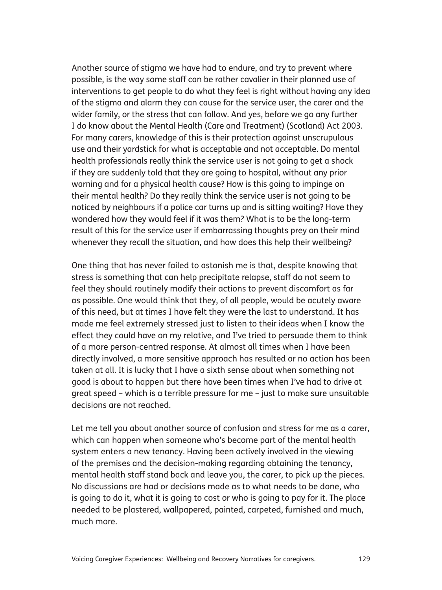Another source of stigma we have had to endure, and try to prevent where possible, is the way some staff can be rather cavalier in their planned use of interventions to get people to do what they feel is right without having any idea of the stigma and alarm they can cause for the service user, the carer and the wider family, or the stress that can follow. And yes, before we go any further I do know about the Mental Health (Care and Treatment) (Scotland) Act 2003. For many carers, knowledge of this is their protection against unscrupulous use and their yardstick for what is acceptable and not acceptable. Do mental health professionals really think the service user is not going to get a shock if they are suddenly told that they are going to hospital, without any prior warning and for a physical health cause? How is this going to impinge on their mental health? Do they really think the service user is not going to be noticed by neighbours if a police car turns up and is sitting waiting? Have they wondered how they would feel if it was them? What is to be the long-term result of this for the service user if embarrassing thoughts prey on their mind whenever they recall the situation, and how does this help their wellbeing?

One thing that has never failed to astonish me is that, despite knowing that stress is something that can help precipitate relapse, staff do not seem to feel they should routinely modify their actions to prevent discomfort as far as possible. One would think that they, of all people, would be acutely aware of this need, but at times I have felt they were the last to understand. It has made me feel extremely stressed just to listen to their ideas when I know the effect they could have on my relative, and I've tried to persuade them to think of a more person-centred response. At almost all times when I have been directly involved, a more sensitive approach has resulted or no action has been taken at all. It is lucky that I have a sixth sense about when something not good is about to happen but there have been times when I've had to drive at great speed – which is a terrible pressure for me – just to make sure unsuitable decisions are not reached.

Let me tell you about another source of confusion and stress for me as a carer, which can happen when someone who's become part of the mental health system enters a new tenancy. Having been actively involved in the viewing of the premises and the decision-making regarding obtaining the tenancy, mental health staff stand back and leave you, the carer, to pick up the pieces. No discussions are had or decisions made as to what needs to be done, who is going to do it, what it is going to cost or who is going to pay for it. The place needed to be plastered, wallpapered, painted, carpeted, furnished and much, much more.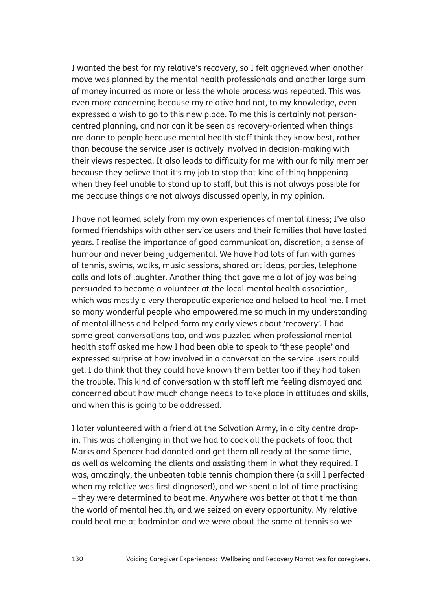I wanted the best for my relative's recovery, so I felt aggrieved when another move was planned by the mental health professionals and another large sum of money incurred as more or less the whole process was repeated. This was even more concerning because my relative had not, to my knowledge, even expressed a wish to go to this new place. To me this is certainly not personcentred planning, and nor can it be seen as recovery-oriented when things are done to people because mental health staff think they know best, rather than because the service user is actively involved in decision-making with their views respected. It also leads to difficulty for me with our family member because they believe that it's my job to stop that kind of thing happening when they feel unable to stand up to staff, but this is not always possible for me because things are not always discussed openly, in my opinion.

I have not learned solely from my own experiences of mental illness; I've also formed friendships with other service users and their families that have lasted years. I realise the importance of good communication, discretion, a sense of humour and never being judgemental. We have had lots of fun with games of tennis, swims, walks, music sessions, shared art ideas, parties, telephone calls and lots of laughter. Another thing that gave me a lot of joy was being persuaded to become a volunteer at the local mental health association, which was mostly a very therapeutic experience and helped to heal me. I met so many wonderful people who empowered me so much in my understanding of mental illness and helped form my early views about 'recovery'. I had some great conversations too, and was puzzled when professional mental health staff asked me how I had been able to speak to 'these people' and expressed surprise at how involved in a conversation the service users could get. I do think that they could have known them better too if they had taken the trouble. This kind of conversation with staff left me feeling dismayed and concerned about how much change needs to take place in attitudes and skills, and when this is going to be addressed.

I later volunteered with a friend at the Salvation Army, in a city centre dropin. This was challenging in that we had to cook all the packets of food that Marks and Spencer had donated and get them all ready at the same time, as well as welcoming the clients and assisting them in what they required. I was, amazingly, the unbeaten table tennis champion there (a skill I perfected when my relative was first diagnosed), and we spent a lot of time practising – they were determined to beat me. Anywhere was better at that time than the world of mental health, and we seized on every opportunity. My relative could beat me at badminton and we were about the same at tennis so we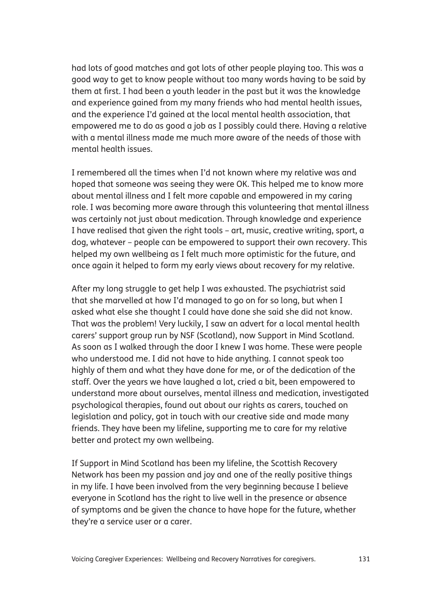had lots of good matches and got lots of other people playing too. This was a good way to get to know people without too many words having to be said by them at first. I had been a youth leader in the past but it was the knowledge and experience gained from my many friends who had mental health issues, and the experience I'd gained at the local mental health association, that empowered me to do as good a job as I possibly could there. Having a relative with a mental illness made me much more aware of the needs of those with mental health issues.

I remembered all the times when I'd not known where my relative was and hoped that someone was seeing they were OK. This helped me to know more about mental illness and I felt more capable and empowered in my caring role. I was becoming more aware through this volunteering that mental illness was certainly not just about medication. Through knowledge and experience I have realised that given the right tools – art, music, creative writing, sport, a dog, whatever – people can be empowered to support their own recovery. This helped my own wellbeing as I felt much more optimistic for the future, and once again it helped to form my early views about recovery for my relative.

After my long struggle to get help I was exhausted. The psychiatrist said that she marvelled at how I'd managed to go on for so long, but when I asked what else she thought I could have done she said she did not know. That was the problem! Very luckily, I saw an advert for a local mental health carers' support group run by NSF (Scotland), now Support in Mind Scotland. As soon as I walked through the door I knew I was home. These were people who understood me. I did not have to hide anything. I cannot speak too highly of them and what they have done for me, or of the dedication of the staff. Over the years we have laughed a lot, cried a bit, been empowered to understand more about ourselves, mental illness and medication, investigated psychological therapies, found out about our rights as carers, touched on legislation and policy, got in touch with our creative side and made many friends. They have been my lifeline, supporting me to care for my relative better and protect my own wellbeing.

If Support in Mind Scotland has been my lifeline, the Scottish Recovery Network has been my passion and joy and one of the really positive things in my life. I have been involved from the very beginning because I believe everyone in Scotland has the right to live well in the presence or absence of symptoms and be given the chance to have hope for the future, whether they're a service user or a carer.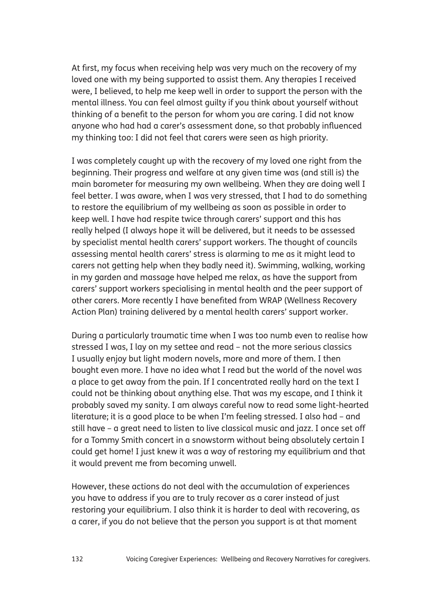At first, my focus when receiving help was very much on the recovery of my loved one with my being supported to assist them. Any therapies I received were, I believed, to help me keep well in order to support the person with the mental illness. You can feel almost guilty if you think about yourself without thinking of a benefit to the person for whom you are caring. I did not know anyone who had had a carer's assessment done, so that probably influenced my thinking too: I did not feel that carers were seen as high priority.

I was completely caught up with the recovery of my loved one right from the beginning. Their progress and welfare at any given time was (and still is) the main barometer for measuring my own wellbeing. When they are doing well I feel better. I was aware, when I was very stressed, that I had to do something to restore the equilibrium of my wellbeing as soon as possible in order to keep well. I have had respite twice through carers' support and this has really helped (I always hope it will be delivered, but it needs to be assessed by specialist mental health carers' support workers. The thought of councils assessing mental health carers' stress is alarming to me as it might lead to carers not getting help when they badly need it). Swimming, walking, working in my garden and massage have helped me relax, as have the support from carers' support workers specialising in mental health and the peer support of other carers. More recently I have benefited from WRAP (Wellness Recovery Action Plan) training delivered by a mental health carers' support worker.

During a particularly traumatic time when I was too numb even to realise how stressed I was, I lay on my settee and read – not the more serious classics I usually enjoy but light modern novels, more and more of them. I then bought even more. I have no idea what I read but the world of the novel was a place to get away from the pain. If I concentrated really hard on the text I could not be thinking about anything else. That was my escape, and I think it probably saved my sanity. I am always careful now to read some light-hearted literature; it is a good place to be when I'm feeling stressed. I also had – and still have – a great need to listen to live classical music and jazz. I once set off for a Tommy Smith concert in a snowstorm without being absolutely certain I could get home! I just knew it was a way of restoring my equilibrium and that it would prevent me from becoming unwell.

However, these actions do not deal with the accumulation of experiences you have to address if you are to truly recover as a carer instead of just restoring your equilibrium. I also think it is harder to deal with recovering, as a carer, if you do not believe that the person you support is at that moment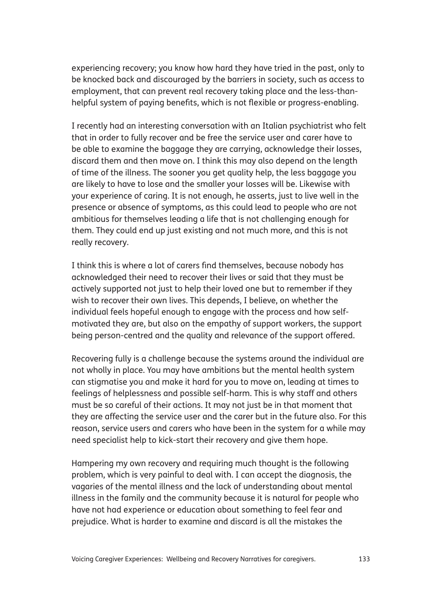experiencing recovery; you know how hard they have tried in the past, only to be knocked back and discouraged by the barriers in society, such as access to employment, that can prevent real recovery taking place and the less-thanhelpful system of paying benefits, which is not flexible or progress-enabling.

I recently had an interesting conversation with an Italian psychiatrist who felt that in order to fully recover and be free the service user and carer have to be able to examine the baggage they are carrying, acknowledge their losses, discard them and then move on. I think this may also depend on the length of time of the illness. The sooner you get quality help, the less baggage you are likely to have to lose and the smaller your losses will be. Likewise with your experience of caring. It is not enough, he asserts, just to live well in the presence or absence of symptoms, as this could lead to people who are not ambitious for themselves leading a life that is not challenging enough for them. They could end up just existing and not much more, and this is not really recovery.

I think this is where a lot of carers find themselves, because nobody has acknowledged their need to recover their lives or said that they must be actively supported not just to help their loved one but to remember if they wish to recover their own lives. This depends, I believe, on whether the individual feels hopeful enough to engage with the process and how selfmotivated they are, but also on the empathy of support workers, the support being person-centred and the quality and relevance of the support offered.

Recovering fully is a challenge because the systems around the individual are not wholly in place. You may have ambitions but the mental health system can stigmatise you and make it hard for you to move on, leading at times to feelings of helplessness and possible self-harm. This is why staff and others must be so careful of their actions. It may not just be in that moment that they are affecting the service user and the carer but in the future also. For this reason, service users and carers who have been in the system for a while may need specialist help to kick-start their recovery and give them hope.

Hampering my own recovery and requiring much thought is the following problem, which is very painful to deal with. I can accept the diagnosis, the vagaries of the mental illness and the lack of understanding about mental illness in the family and the community because it is natural for people who have not had experience or education about something to feel fear and prejudice. What is harder to examine and discard is all the mistakes the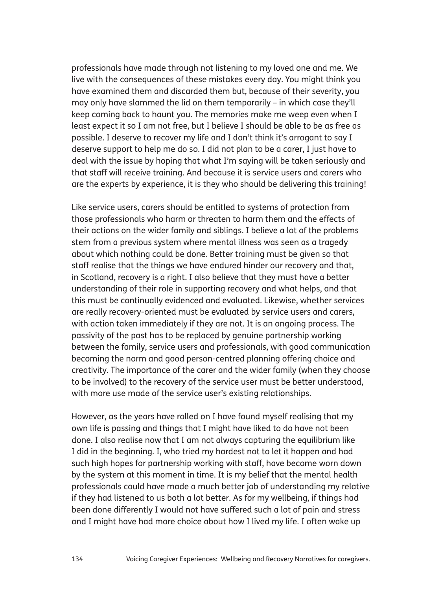professionals have made through not listening to my loved one and me. We live with the consequences of these mistakes every day. You might think you have examined them and discarded them but, because of their severity, you may only have slammed the lid on them temporarily – in which case they'll keep coming back to haunt you. The memories make me weep even when I least expect it so I am not free, but I believe I should be able to be as free as possible. I deserve to recover my life and I don't think it's arrogant to say I deserve support to help me do so. I did not plan to be a carer, I just have to deal with the issue by hoping that what I'm saying will be taken seriously and that staff will receive training. And because it is service users and carers who are the experts by experience, it is they who should be delivering this training!

Like service users, carers should be entitled to systems of protection from those professionals who harm or threaten to harm them and the effects of their actions on the wider family and siblings. I believe a lot of the problems stem from a previous system where mental illness was seen as a tragedy about which nothing could be done. Better training must be given so that staff realise that the things we have endured hinder our recovery and that, in Scotland, recovery is a right. I also believe that they must have a better understanding of their role in supporting recovery and what helps, and that this must be continually evidenced and evaluated. Likewise, whether services are really recovery-oriented must be evaluated by service users and carers, with action taken immediately if they are not. It is an ongoing process. The passivity of the past has to be replaced by genuine partnership working between the family, service users and professionals, with good communication becoming the norm and good person-centred planning offering choice and creativity. The importance of the carer and the wider family (when they choose to be involved) to the recovery of the service user must be better understood, with more use made of the service user's existing relationships.

However, as the years have rolled on I have found myself realising that my own life is passing and things that I might have liked to do have not been done. I also realise now that I am not always capturing the equilibrium like I did in the beginning. I, who tried my hardest not to let it happen and had such high hopes for partnership working with staff, have become worn down by the system at this moment in time. It is my belief that the mental health professionals could have made a much better job of understanding my relative if they had listened to us both a lot better. As for my wellbeing, if things had been done differently I would not have suffered such a lot of pain and stress and I might have had more choice about how I lived my life. I often wake up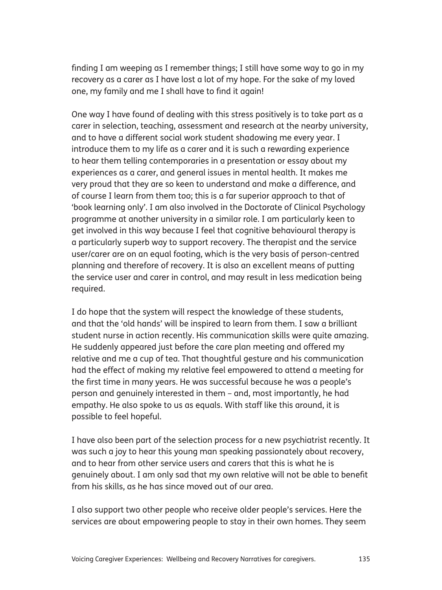finding I am weeping as I remember things; I still have some way to go in my recovery as a carer as I have lost a lot of my hope. For the sake of my loved one, my family and me I shall have to find it again!

One way I have found of dealing with this stress positively is to take part as a carer in selection, teaching, assessment and research at the nearby university, and to have a different social work student shadowing me every year. I introduce them to my life as a carer and it is such a rewarding experience to hear them telling contemporaries in a presentation or essay about my experiences as a carer, and general issues in mental health. It makes me very proud that they are so keen to understand and make a difference, and of course I learn from them too; this is a far superior approach to that of 'book learning only'. I am also involved in the Doctorate of Clinical Psychology programme at another university in a similar role. I am particularly keen to get involved in this way because I feel that cognitive behavioural therapy is a particularly superb way to support recovery. The therapist and the service user/carer are on an equal footing, which is the very basis of person-centred planning and therefore of recovery. It is also an excellent means of putting the service user and carer in control, and may result in less medication being required.

I do hope that the system will respect the knowledge of these students, and that the 'old hands' will be inspired to learn from them. I saw a brilliant student nurse in action recently. His communication skills were quite amazing. He suddenly appeared just before the care plan meeting and offered my relative and me a cup of tea. That thoughtful gesture and his communication had the effect of making my relative feel empowered to attend a meeting for the first time in many years. He was successful because he was a people's person and genuinely interested in them – and, most importantly, he had empathy. He also spoke to us as equals. With staff like this around, it is possible to feel hopeful.

I have also been part of the selection process for a new psychiatrist recently. It was such a joy to hear this young man speaking passionately about recovery, and to hear from other service users and carers that this is what he is genuinely about. I am only sad that my own relative will not be able to benefit from his skills, as he has since moved out of our area.

I also support two other people who receive older people's services. Here the services are about empowering people to stay in their own homes. They seem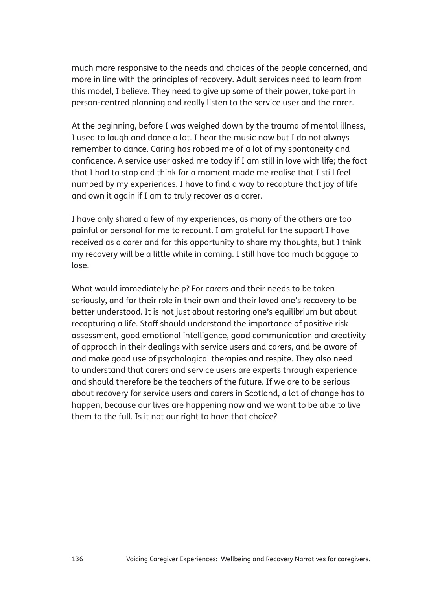much more responsive to the needs and choices of the people concerned, and more in line with the principles of recovery. Adult services need to learn from this model, I believe. They need to give up some of their power, take part in person-centred planning and really listen to the service user and the carer.

At the beginning, before I was weighed down by the trauma of mental illness, I used to laugh and dance a lot. I hear the music now but I do not always remember to dance. Caring has robbed me of a lot of my spontaneity and confidence. A service user asked me today if I am still in love with life; the fact that I had to stop and think for a moment made me realise that I still feel numbed by my experiences. I have to find a way to recapture that joy of life and own it again if I am to truly recover as a carer.

I have only shared a few of my experiences, as many of the others are too painful or personal for me to recount. I am grateful for the support I have received as a carer and for this opportunity to share my thoughts, but I think my recovery will be a little while in coming. I still have too much baggage to lose.

What would immediately help? For carers and their needs to be taken seriously, and for their role in their own and their loved one's recovery to be better understood. It is not just about restoring one's equilibrium but about recapturing a life. Staff should understand the importance of positive risk assessment, good emotional intelligence, good communication and creativity of approach in their dealings with service users and carers, and be aware of and make good use of psychological therapies and respite. They also need to understand that carers and service users are experts through experience and should therefore be the teachers of the future. If we are to be serious about recovery for service users and carers in Scotland, a lot of change has to happen, because our lives are happening now and we want to be able to live them to the full. Is it not our right to have that choice?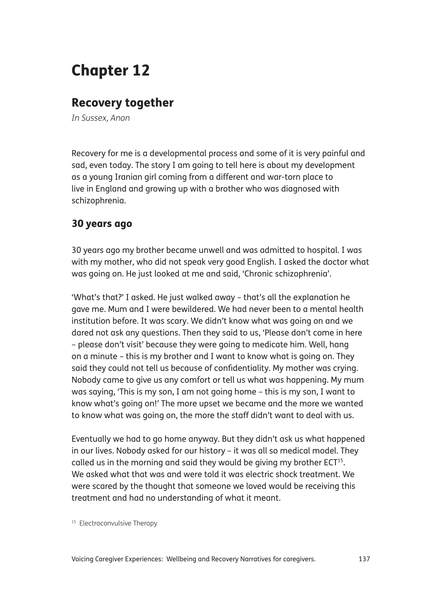## Chapter 12

## Recovery together

*In Sussex, Anon*

Recovery for me is a developmental process and some of it is very painful and sad, even today. The story I am going to tell here is about my development as a young Iranian girl coming from a different and war-torn place to live in England and growing up with a brother who was diagnosed with schizophrenia.

### 30 years ago

30 years ago my brother became unwell and was admitted to hospital. I was with my mother, who did not speak very good English. I asked the doctor what was going on. He just looked at me and said, 'Chronic schizophrenia'.

'What's that?' I asked. He just walked away – that's all the explanation he gave me. Mum and I were bewildered. We had never been to a mental health institution before. It was scary. We didn't know what was going on and we dared not ask any questions. Then they said to us, 'Please don't come in here – please don't visit' because they were going to medicate him. Well, hang on a minute – this is my brother and I want to know what is going on. They said they could not tell us because of confidentiality. My mother was crying. Nobody came to give us any comfort or tell us what was happening. My mum was saying, 'This is my son, I am not going home – this is my son, I want to know what's going on!' The more upset we became and the more we wanted to know what was going on, the more the staff didn't want to deal with us.

Eventually we had to go home anyway. But they didn't ask us what happened in our lives. Nobody asked for our history – it was all so medical model. They called us in the morning and said they would be giving my brother ECT<sup>15</sup>. We asked what that was and were told it was electric shock treatment. We were scared by the thought that someone we loved would be receiving this treatment and had no understanding of what it meant.

<sup>&</sup>lt;sup>15</sup> Electroconvulsive Therapy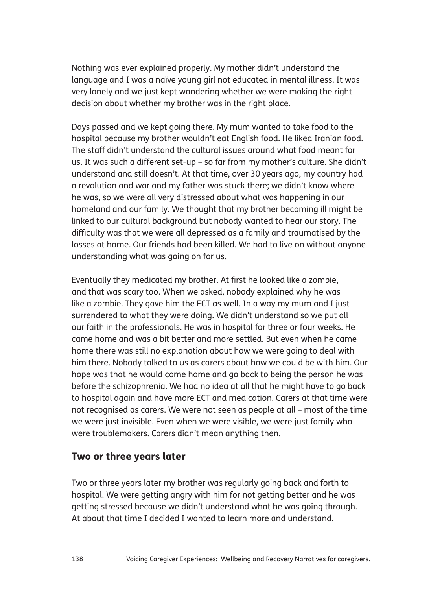Nothing was ever explained properly. My mother didn't understand the language and I was a naïve young girl not educated in mental illness. It was very lonely and we just kept wondering whether we were making the right decision about whether my brother was in the right place.

Days passed and we kept going there. My mum wanted to take food to the hospital because my brother wouldn't eat English food. He liked Iranian food. The staff didn't understand the cultural issues around what food meant for us. It was such a different set-up – so far from my mother's culture. She didn't understand and still doesn't. At that time, over 30 years ago, my country had a revolution and war and my father was stuck there; we didn't know where he was, so we were all very distressed about what was happening in our homeland and our family. We thought that my brother becoming ill might be linked to our cultural background but nobody wanted to hear our story. The difficulty was that we were all depressed as a family and traumatised by the losses at home. Our friends had been killed. We had to live on without anyone understanding what was going on for us.

Eventually they medicated my brother. At first he looked like a zombie, and that was scary too. When we asked, nobody explained why he was like a zombie. They gave him the ECT as well. In a way my mum and I just surrendered to what they were doing. We didn't understand so we put all our faith in the professionals. He was in hospital for three or four weeks. He came home and was a bit better and more settled. But even when he came home there was still no explanation about how we were going to deal with him there. Nobody talked to us as carers about how we could be with him. Our hope was that he would come home and go back to being the person he was before the schizophrenia. We had no idea at all that he might have to go back to hospital again and have more ECT and medication. Carers at that time were not recognised as carers. We were not seen as people at all – most of the time we were just invisible. Even when we were visible, we were just family who were troublemakers. Carers didn't mean anything then.

### Two or three years later

Two or three years later my brother was regularly going back and forth to hospital. We were getting angry with him for not getting better and he was getting stressed because we didn't understand what he was going through. At about that time I decided I wanted to learn more and understand.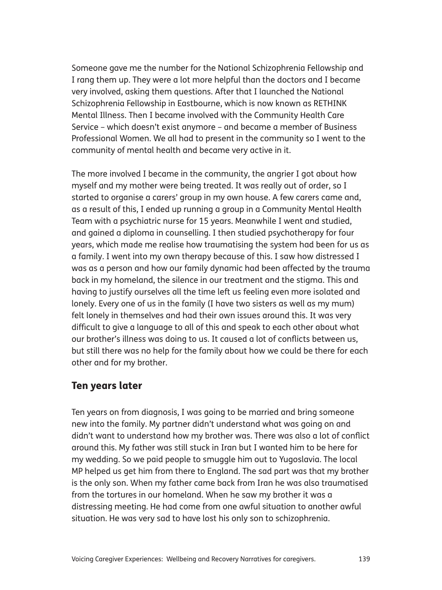Someone gave me the number for the National Schizophrenia Fellowship and I rang them up. They were a lot more helpful than the doctors and I became very involved, asking them questions. After that I launched the National Schizophrenia Fellowship in Eastbourne, which is now known as RETHINK Mental Illness. Then I became involved with the Community Health Care Service – which doesn't exist anymore – and became a member of Business Professional Women. We all had to present in the community so I went to the community of mental health and became very active in it.

The more involved I became in the community, the angrier I got about how myself and my mother were being treated. It was really out of order, so I started to organise a carers' group in my own house. A few carers came and, as a result of this, I ended up running a group in a Community Mental Health Team with a psychiatric nurse for 15 years. Meanwhile I went and studied, and gained a diploma in counselling. I then studied psychotherapy for four years, which made me realise how traumatising the system had been for us as a family. I went into my own therapy because of this. I saw how distressed I was as a person and how our family dynamic had been affected by the trauma back in my homeland, the silence in our treatment and the stigma. This and having to justify ourselves all the time left us feeling even more isolated and lonely. Every one of us in the family (I have two sisters as well as my mum) felt lonely in themselves and had their own issues around this. It was very difficult to give a language to all of this and speak to each other about what our brother's illness was doing to us. It caused a lot of conflicts between us, but still there was no help for the family about how we could be there for each other and for my brother.

### Ten years later

Ten years on from diagnosis, I was going to be married and bring someone new into the family. My partner didn't understand what was going on and didn't want to understand how my brother was. There was also a lot of conflict around this. My father was still stuck in Iran but I wanted him to be here for my wedding. So we paid people to smuggle him out to Yugoslavia. The local MP helped us get him from there to England. The sad part was that my brother is the only son. When my father came back from Iran he was also traumatised from the tortures in our homeland. When he saw my brother it was a distressing meeting. He had come from one awful situation to another awful situation. He was very sad to have lost his only son to schizophrenia.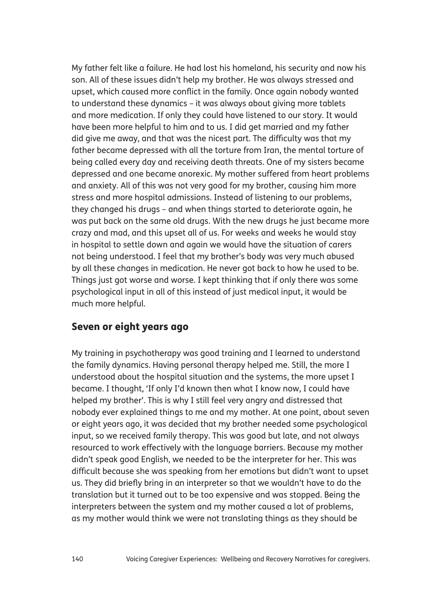My father felt like a failure. He had lost his homeland, his security and now his son. All of these issues didn't help my brother. He was always stressed and upset, which caused more conflict in the family. Once again nobody wanted to understand these dynamics – it was always about giving more tablets and more medication. If only they could have listened to our story. It would have been more helpful to him and to us. I did get married and my father did give me away, and that was the nicest part. The difficulty was that my father became depressed with all the torture from Iran, the mental torture of being called every day and receiving death threats. One of my sisters became depressed and one became anorexic. My mother suffered from heart problems and anxiety. All of this was not very good for my brother, causing him more stress and more hospital admissions. Instead of listening to our problems, they changed his drugs – and when things started to deteriorate again, he was put back on the same old drugs. With the new drugs he just became more crazy and mad, and this upset all of us. For weeks and weeks he would stay in hospital to settle down and again we would have the situation of carers not being understood. I feel that my brother's body was very much abused by all these changes in medication. He never got back to how he used to be. Things just got worse and worse. I kept thinking that if only there was some psychological input in all of this instead of just medical input, it would be much more helpful.

## Seven or eight years ago

My training in psychotherapy was good training and I learned to understand the family dynamics. Having personal therapy helped me. Still, the more I understood about the hospital situation and the systems, the more upset I became. I thought, 'If only I'd known then what I know now, I could have helped my brother'. This is why I still feel very angry and distressed that nobody ever explained things to me and my mother. At one point, about seven or eight years ago, it was decided that my brother needed some psychological input, so we received family therapy. This was good but late, and not always resourced to work effectively with the language barriers. Because my mother didn't speak good English, we needed to be the interpreter for her. This was difficult because she was speaking from her emotions but didn't want to upset us. They did briefly bring in an interpreter so that we wouldn't have to do the translation but it turned out to be too expensive and was stopped. Being the interpreters between the system and my mother caused a lot of problems, as my mother would think we were not translating things as they should be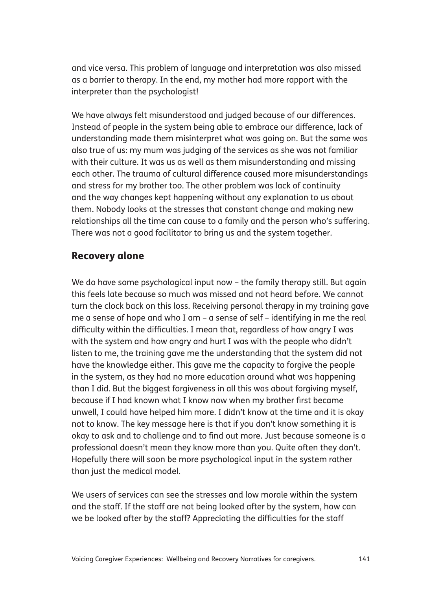and vice versa. This problem of language and interpretation was also missed as a barrier to therapy. In the end, my mother had more rapport with the interpreter than the psychologist!

We have always felt misunderstood and judged because of our differences. Instead of people in the system being able to embrace our difference, lack of understanding made them misinterpret what was going on. But the same was also true of us: my mum was judging of the services as she was not familiar with their culture. It was us as well as them misunderstanding and missing each other. The trauma of cultural difference caused more misunderstandings and stress for my brother too. The other problem was lack of continuity and the way changes kept happening without any explanation to us about them. Nobody looks at the stresses that constant change and making new relationships all the time can cause to a family and the person who's suffering. There was not a good facilitator to bring us and the system together.

## Recovery alone

We do have some psychological input now – the family therapy still. But again this feels late because so much was missed and not heard before. We cannot turn the clock back on this loss. Receiving personal therapy in my training gave me a sense of hope and who I am – a sense of self – identifying in me the real difficulty within the difficulties. I mean that, regardless of how angry I was with the system and how angry and hurt I was with the people who didn't listen to me, the training gave me the understanding that the system did not have the knowledge either. This gave me the capacity to forgive the people in the system, as they had no more education around what was happening than I did. But the biggest forgiveness in all this was about forgiving myself, because if I had known what I know now when my brother first became unwell, I could have helped him more. I didn't know at the time and it is okay not to know. The key message here is that if you don't know something it is okay to ask and to challenge and to find out more. Just because someone is a professional doesn't mean they know more than you. Quite often they don't. Hopefully there will soon be more psychological input in the system rather than just the medical model.

We users of services can see the stresses and low morale within the system and the staff. If the staff are not being looked after by the system, how can we be looked after by the staff? Appreciating the difficulties for the staff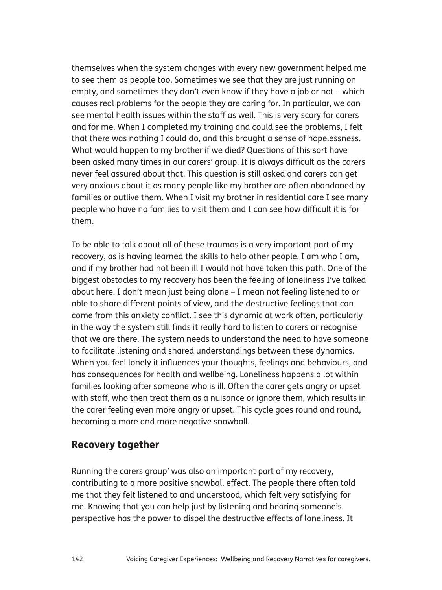themselves when the system changes with every new government helped me to see them as people too. Sometimes we see that they are just running on empty, and sometimes they don't even know if they have a job or not – which causes real problems for the people they are caring for. In particular, we can see mental health issues within the staff as well. This is very scary for carers and for me. When I completed my training and could see the problems, I felt that there was nothing I could do, and this brought a sense of hopelessness. What would happen to my brother if we died? Questions of this sort have been asked many times in our carers' group. It is always difficult as the carers never feel assured about that. This question is still asked and carers can get very anxious about it as many people like my brother are often abandoned by families or outlive them. When I visit my brother in residential care I see many people who have no families to visit them and I can see how difficult it is for them.

To be able to talk about all of these traumas is a very important part of my recovery, as is having learned the skills to help other people. I am who I am, and if my brother had not been ill I would not have taken this path. One of the biggest obstacles to my recovery has been the feeling of loneliness I've talked about here. I don't mean just being alone – I mean not feeling listened to or able to share different points of view, and the destructive feelings that can come from this anxiety conflict. I see this dynamic at work often, particularly in the way the system still finds it really hard to listen to carers or recognise that we are there. The system needs to understand the need to have someone to facilitate listening and shared understandings between these dynamics. When you feel lonely it influences your thoughts, feelings and behaviours, and has consequences for health and wellbeing. Loneliness happens a lot within families looking after someone who is ill. Often the carer gets angry or upset with staff, who then treat them as a nuisance or ignore them, which results in the carer feeling even more angry or upset. This cycle goes round and round, becoming a more and more negative snowball.

## Recovery together

Running the carers group' was also an important part of my recovery, contributing to a more positive snowball effect. The people there often told me that they felt listened to and understood, which felt very satisfying for me. Knowing that you can help just by listening and hearing someone's perspective has the power to dispel the destructive effects of loneliness. It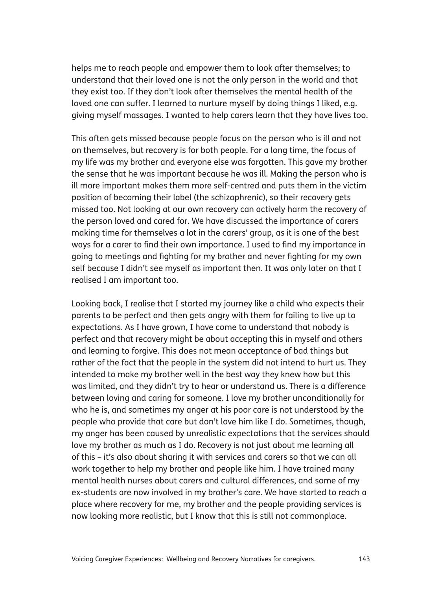helps me to reach people and empower them to look after themselves; to understand that their loved one is not the only person in the world and that they exist too. If they don't look after themselves the mental health of the loved one can suffer. I learned to nurture myself by doing things I liked, e.g. giving myself massages. I wanted to help carers learn that they have lives too.

This often gets missed because people focus on the person who is ill and not on themselves, but recovery is for both people. For a long time, the focus of my life was my brother and everyone else was forgotten. This gave my brother the sense that he was important because he was ill. Making the person who is ill more important makes them more self-centred and puts them in the victim position of becoming their label (the schizophrenic), so their recovery gets missed too. Not looking at our own recovery can actively harm the recovery of the person loved and cared for. We have discussed the importance of carers making time for themselves a lot in the carers' group, as it is one of the best ways for a carer to find their own importance. I used to find my importance in going to meetings and fighting for my brother and never fighting for my own self because I didn't see myself as important then. It was only later on that I realised I am important too.

Looking back, I realise that I started my journey like a child who expects their parents to be perfect and then gets angry with them for failing to live up to expectations. As I have grown, I have come to understand that nobody is perfect and that recovery might be about accepting this in myself and others and learning to forgive. This does not mean acceptance of bad things but rather of the fact that the people in the system did not intend to hurt us. They intended to make my brother well in the best way they knew how but this was limited, and they didn't try to hear or understand us. There is a difference between loving and caring for someone. I love my brother unconditionally for who he is, and sometimes my anger at his poor care is not understood by the people who provide that care but don't love him like I do. Sometimes, though, my anger has been caused by unrealistic expectations that the services should love my brother as much as I do. Recovery is not just about me learning all of this – it's also about sharing it with services and carers so that we can all work together to help my brother and people like him. I have trained many mental health nurses about carers and cultural differences, and some of my ex-students are now involved in my brother's care. We have started to reach a place where recovery for me, my brother and the people providing services is now looking more realistic, but I know that this is still not commonplace.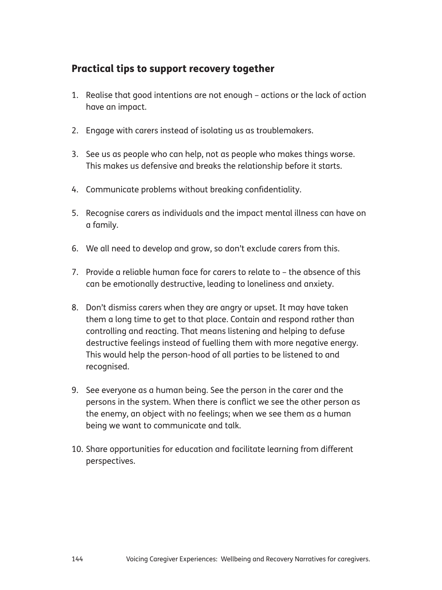# Practical tips to support recovery together

- 1. Realise that good intentions are not enough actions or the lack of action have an impact.
- 2. Engage with carers instead of isolating us as troublemakers.
- 3. See us as people who can help, not as people who makes things worse. This makes us defensive and breaks the relationship before it starts.
- 4. Communicate problems without breaking confidentiality.
- 5. Recognise carers as individuals and the impact mental illness can have on a family.
- 6. We all need to develop and grow, so don't exclude carers from this.
- 7. Provide a reliable human face for carers to relate to the absence of this can be emotionally destructive, leading to loneliness and anxiety.
- 8. Don't dismiss carers when they are angry or upset. It may have taken them a long time to get to that place. Contain and respond rather than controlling and reacting. That means listening and helping to defuse destructive feelings instead of fuelling them with more negative energy. This would help the person-hood of all parties to be listened to and recognised.
- 9. See everyone as a human being. See the person in the carer and the persons in the system. When there is conflict we see the other person as the enemy, an object with no feelings; when we see them as a human being we want to communicate and talk.
- 10. Share opportunities for education and facilitate learning from different perspectives.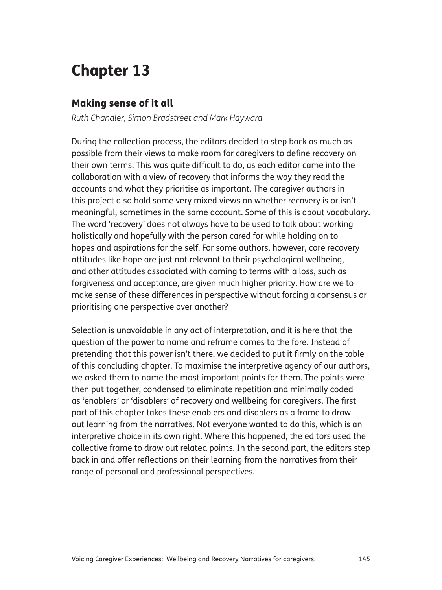# Chapter 13

# Making sense of it all

*Ruth Chandler, Simon Bradstreet and Mark Hayward*

During the collection process, the editors decided to step back as much as possible from their views to make room for caregivers to define recovery on their own terms. This was quite difficult to do, as each editor came into the collaboration with a view of recovery that informs the way they read the accounts and what they prioritise as important. The caregiver authors in this project also hold some very mixed views on whether recovery is or isn't meaningful, sometimes in the same account. Some of this is about vocabulary. The word 'recovery' does not always have to be used to talk about working holistically and hopefully with the person cared for while holding on to hopes and aspirations for the self. For some authors, however, core recovery attitudes like hope are just not relevant to their psychological wellbeing, and other attitudes associated with coming to terms with a loss, such as forgiveness and acceptance, are given much higher priority. How are we to make sense of these differences in perspective without forcing a consensus or prioritising one perspective over another?

Selection is unavoidable in any act of interpretation, and it is here that the question of the power to name and reframe comes to the fore. Instead of pretending that this power isn't there, we decided to put it firmly on the table of this concluding chapter. To maximise the interpretive agency of our authors, we asked them to name the most important points for them. The points were then put together, condensed to eliminate repetition and minimally coded as 'enablers' or 'disablers' of recovery and wellbeing for caregivers. The first part of this chapter takes these enablers and disablers as a frame to draw out learning from the narratives. Not everyone wanted to do this, which is an interpretive choice in its own right. Where this happened, the editors used the collective frame to draw out related points. In the second part, the editors step back in and offer reflections on their learning from the narratives from their range of personal and professional perspectives.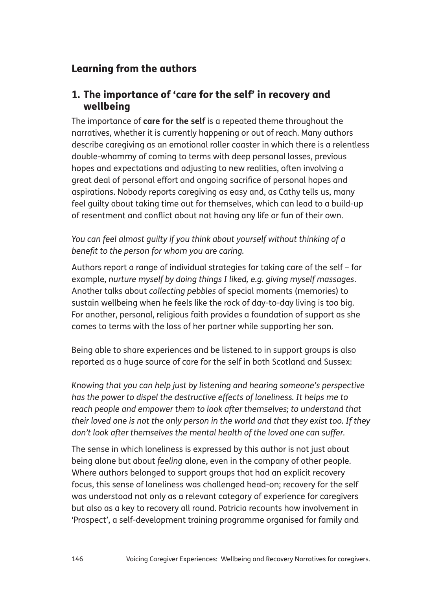# Learning from the authors

# 1. The importance of 'care for the self' in recovery and wellbeing

The importance of **care for the self** is a repeated theme throughout the narratives, whether it is currently happening or out of reach. Many authors describe caregiving as an emotional roller coaster in which there is a relentless double-whammy of coming to terms with deep personal losses, previous hopes and expectations and adjusting to new realities, often involving a great deal of personal effort and ongoing sacrifice of personal hopes and aspirations. Nobody reports caregiving as easy and, as Cathy tells us, many feel guilty about taking time out for themselves, which can lead to a build-up of resentment and conflict about not having any life or fun of their own.

*You can feel almost guilty if you think about yourself without thinking of a benefit to the person for whom you are caring.* 

Authors report a range of individual strategies for taking care of the self – for example, *nurture myself by doing things I liked, e.g. giving myself massages*. Another talks about *collecting pebbles* of special moments (memories) to sustain wellbeing when he feels like the rock of day-to-day living is too big. For another, personal, religious faith provides a foundation of support as she comes to terms with the loss of her partner while supporting her son.

Being able to share experiences and be listened to in support groups is also reported as a huge source of care for the self in both Scotland and Sussex:

*Knowing that you can help just by listening and hearing someone's perspective has the power to dispel the destructive effects of loneliness. It helps me to reach people and empower them to look after themselves; to understand that their loved one is not the only person in the world and that they exist too. If they don't look after themselves the mental health of the loved one can suffer.*

The sense in which loneliness is expressed by this author is not just about being alone but about *feeling* alone, even in the company of other people. Where authors belonged to support groups that had an explicit recovery focus, this sense of loneliness was challenged head-on; recovery for the self was understood not only as a relevant category of experience for caregivers but also as a key to recovery all round. Patricia recounts how involvement in 'Prospect', a self-development training programme organised for family and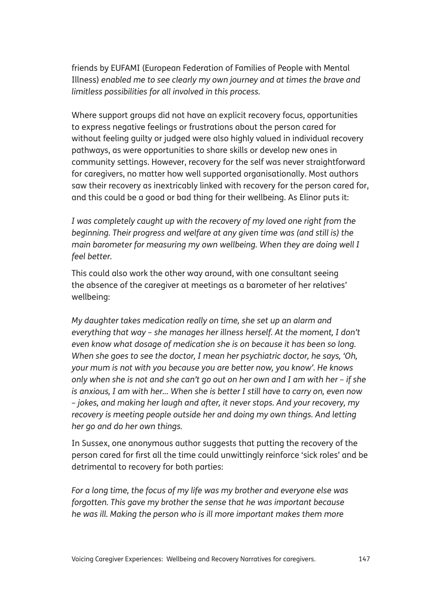friends by EUFAMI (European Federation of Families of People with Mental Illness) *enabled me to see clearly my own journey and at times the brave and limitless possibilities for all involved in this process.*

Where support groups did not have an explicit recovery focus, opportunities to express negative feelings or frustrations about the person cared for without feeling guilty or judged were also highly valued in individual recovery pathways, as were opportunities to share skills or develop new ones in community settings. However, recovery for the self was never straightforward for caregivers, no matter how well supported organisationally. Most authors saw their recovery as inextricably linked with recovery for the person cared for, and this could be a good or bad thing for their wellbeing. As Elinor puts it:

*I was completely caught up with the recovery of my loved one right from the beginning. Their progress and welfare at any given time was (and still is) the main barometer for measuring my own wellbeing. When they are doing well I feel better.* 

This could also work the other way around, with one consultant seeing the absence of the caregiver at meetings as a barometer of her relatives' wellbeing:

*My daughter takes medication really on time, she set up an alarm and everything that way – she manages her illness herself. At the moment, I don't even know what dosage of medication she is on because it has been so long. When she goes to see the doctor, I mean her psychiatric doctor, he says, 'Oh, your mum is not with you because you are better now, you know'. He knows only when she is not and she can't go out on her own and I am with her – if she is anxious, I am with her... When she is better I still have to carry on, even now – jokes, and making her laugh and after, it never stops. And your recovery, my recovery is meeting people outside her and doing my own things. And letting her go and do her own things.* 

In Sussex, one anonymous author suggests that putting the recovery of the person cared for first all the time could unwittingly reinforce 'sick roles' and be detrimental to recovery for both parties:

*For a long time, the focus of my life was my brother and everyone else was forgotten. This gave my brother the sense that he was important because he was ill. Making the person who is ill more important makes them more*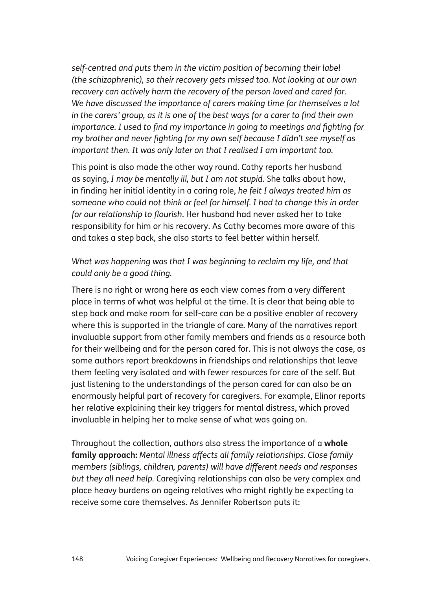*self-centred and puts them in the victim position of becoming their label (the schizophrenic), so their recovery gets missed too. Not looking at our own recovery can actively harm the recovery of the person loved and cared for. We have discussed the importance of carers making time for themselves a lot in the carers' group, as it is one of the best ways for a carer to find their own importance. I used to find my importance in going to meetings and fighting for my brother and never fighting for my own self because I didn't see myself as important then. It was only later on that I realised I am important too.*

This point is also made the other way round. Cathy reports her husband as saying, *I may be mentally ill, but I am not stupid*. She talks about how, in finding her initial identity in a caring role, *he felt I always treated him as someone who could not think or feel for himself. I had to change this in order for our relationship to flourish*. Her husband had never asked her to take responsibility for him or his recovery. As Cathy becomes more aware of this and takes a step back, she also starts to feel better within herself.

### *What was happening was that I was beginning to reclaim my life, and that could only be a good thing.*

There is no right or wrong here as each view comes from a very different place in terms of what was helpful at the time. It is clear that being able to step back and make room for self-care can be a positive enabler of recovery where this is supported in the triangle of care. Many of the narratives report invaluable support from other family members and friends as a resource both for their wellbeing and for the person cared for. This is not always the case, as some authors report breakdowns in friendships and relationships that leave them feeling very isolated and with fewer resources for care of the self. But just listening to the understandings of the person cared for can also be an enormously helpful part of recovery for caregivers. For example, Elinor reports her relative explaining their key triggers for mental distress, which proved invaluable in helping her to make sense of what was going on.

Throughout the collection, authors also stress the importance of a **whole family approach:** *Mental illness affects all family relationships. Close family members (siblings, children, parents) will have different needs and responses but they all need help.* Caregiving relationships can also be very complex and place heavy burdens on ageing relatives who might rightly be expecting to receive some care themselves. As Jennifer Robertson puts it: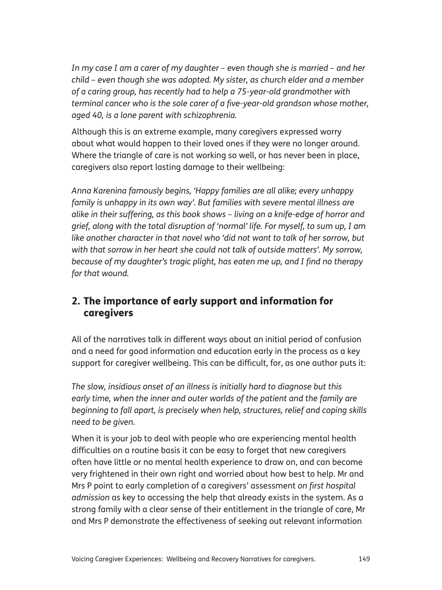*In my case I am a carer of my daughter – even though she is married – and her child – even though she was adopted. My sister, as church elder and a member of a caring group, has recently had to help a 75-year-old grandmother with terminal cancer who is the sole carer of a five-year-old grandson whose mother, aged 40, is a lone parent with schizophrenia.* 

Although this is an extreme example, many caregivers expressed worry about what would happen to their loved ones if they were no longer around. Where the triangle of care is not working so well, or has never been in place, caregivers also report lasting damage to their wellbeing:

*Anna Karenina famously begins, 'Happy families are all alike; every unhappy family is unhappy in its own way'. But families with severe mental illness are alike in their suffering, as this book shows – living on a knife-edge of horror and grief, along with the total disruption of 'normal' life. For myself, to sum up, I am like another character in that novel who 'did not want to talk of her sorrow, but with that sorrow in her heart she could not talk of outside matters'. My sorrow, because of my daughter's tragic plight, has eaten me up, and I find no therapy for that wound.* 

# 2. The importance of early support and information for caregivers

All of the narratives talk in different ways about an initial period of confusion and a need for good information and education early in the process as a key support for caregiver wellbeing. This can be difficult, for, as one author puts it:

*The slow, insidious onset of an illness is initially hard to diagnose but this early time, when the inner and outer worlds of the patient and the family are beginning to fall apart, is precisely when help, structures, relief and coping skills need to be given.*

When it is your job to deal with people who are experiencing mental health difficulties on a routine basis it can be easy to forget that new caregivers often have little or no mental health experience to draw on, and can become very frightened in their own right and worried about how best to help. Mr and Mrs P point to early completion of a caregivers' assessment *on first hospital admission* as key to accessing the help that already exists in the system. As a strong family with a clear sense of their entitlement in the triangle of care, Mr and Mrs P demonstrate the effectiveness of seeking out relevant information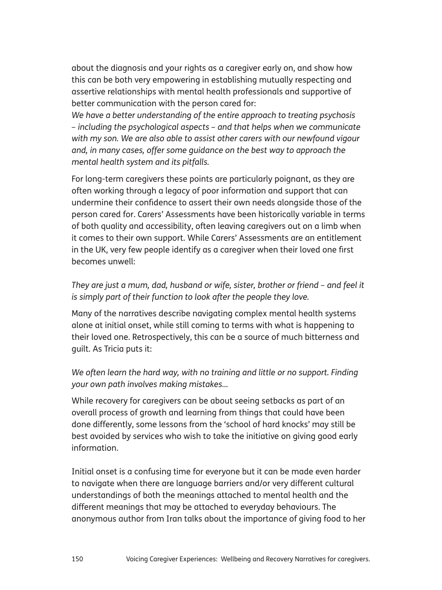about the diagnosis and your rights as a caregiver early on, and show how this can be both very empowering in establishing mutually respecting and assertive relationships with mental health professionals and supportive of better communication with the person cared for:

*We have a better understanding of the entire approach to treating psychosis – including the psychological aspects – and that helps when we communicate with my son. We are also able to assist other carers with our newfound vigour and, in many cases, offer some guidance on the best way to approach the mental health system and its pitfalls.*

For long-term caregivers these points are particularly poignant, as they are often working through a legacy of poor information and support that can undermine their confidence to assert their own needs alongside those of the person cared for. Carers' Assessments have been historically variable in terms of both quality and accessibility, often leaving caregivers out on a limb when it comes to their own support. While Carers' Assessments are an entitlement in the UK, very few people identify as a caregiver when their loved one first becomes unwell:

*They are just a mum, dad, husband or wife, sister, brother or friend – and feel it is simply part of their function to look after the people they love.*

Many of the narratives describe navigating complex mental health systems alone at initial onset, while still coming to terms with what is happening to their loved one. Retrospectively, this can be a source of much bitterness and guilt. As Tricia puts it:

## We often learn the hard way, with no training and little or no support. Finding *your own path involves making mistakes...*

While recovery for caregivers can be about seeing setbacks as part of an overall process of growth and learning from things that could have been done differently, some lessons from the 'school of hard knocks' may still be best avoided by services who wish to take the initiative on giving good early information.

Initial onset is a confusing time for everyone but it can be made even harder to navigate when there are language barriers and/or very different cultural understandings of both the meanings attached to mental health and the different meanings that may be attached to everyday behaviours. The anonymous author from Iran talks about the importance of giving food to her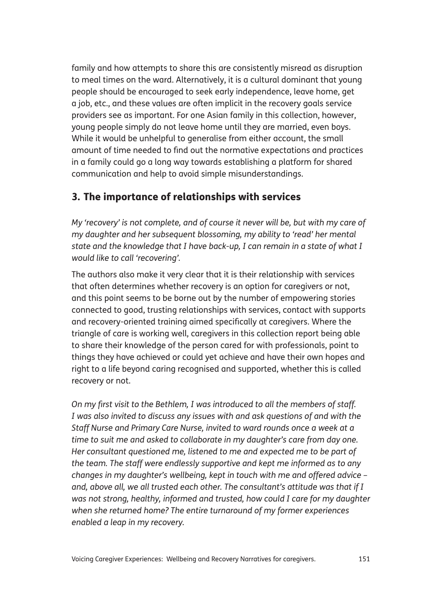family and how attempts to share this are consistently misread as disruption to meal times on the ward. Alternatively, it is a cultural dominant that young people should be encouraged to seek early independence, leave home, get a job, etc., and these values are often implicit in the recovery goals service providers see as important. For one Asian family in this collection, however, young people simply do not leave home until they are married, even boys. While it would be unhelpful to generalise from either account, the small amount of time needed to find out the normative expectations and practices in a family could go a long way towards establishing a platform for shared communication and help to avoid simple misunderstandings.

# 3. The importance of relationships with services

*My 'recovery' is not complete, and of course it never will be, but with my care of my daughter and her subsequent blossoming, my ability to 'read' her mental state and the knowledge that I have back-up, I can remain in a state of what I would like to call 'recovering'.*

The authors also make it very clear that it is their relationship with services that often determines whether recovery is an option for caregivers or not, and this point seems to be borne out by the number of empowering stories connected to good, trusting relationships with services, contact with supports and recovery-oriented training aimed specifically at caregivers. Where the triangle of care is working well, caregivers in this collection report being able to share their knowledge of the person cared for with professionals, point to things they have achieved or could yet achieve and have their own hopes and right to a life beyond caring recognised and supported, whether this is called recovery or not.

*On my first visit to the Bethlem, I was introduced to all the members of staff. I was also invited to discuss any issues with and ask questions of and with the Staff Nurse and Primary Care Nurse, invited to ward rounds once a week at a time to suit me and asked to collaborate in my daughter's care from day one. Her consultant questioned me, listened to me and expected me to be part of the team. The staff were endlessly supportive and kept me informed as to any changes in my daughter's wellbeing, kept in touch with me and offered advice – and, above all, we all trusted each other. The consultant's attitude was that if I was not strong, healthy, informed and trusted, how could I care for my daughter when she returned home? The entire turnaround of my former experiences enabled a leap in my recovery.*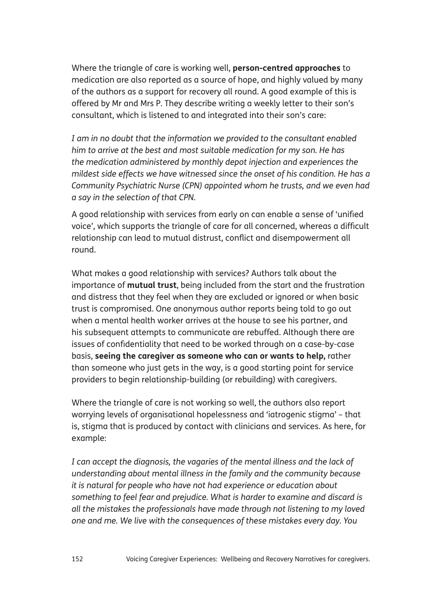Where the triangle of care is working well, **person-centred approaches** to medication are also reported as a source of hope, and highly valued by many of the authors as a support for recovery all round. A good example of this is offered by Mr and Mrs P. They describe writing a weekly letter to their son's consultant, which is listened to and integrated into their son's care:

*I am in no doubt that the information we provided to the consultant enabled him to arrive at the best and most suitable medication for my son. He has the medication administered by monthly depot injection and experiences the mildest side effects we have witnessed since the onset of his condition. He has a Community Psychiatric Nurse (CPN) appointed whom he trusts, and we even had a say in the selection of that CPN.*

A good relationship with services from early on can enable a sense of 'unified voice', which supports the triangle of care for all concerned, whereas a difficult relationship can lead to mutual distrust, conflict and disempowerment all round.

What makes a good relationship with services? Authors talk about the importance of **mutual trust**, being included from the start and the frustration and distress that they feel when they are excluded or ignored or when basic trust is compromised. One anonymous author reports being told to go out when a mental health worker arrives at the house to see his partner, and his subsequent attempts to communicate are rebuffed. Although there are issues of confidentiality that need to be worked through on a case-by-case basis, **seeing the caregiver as someone who can or wants to help,** rather than someone who just gets in the way, is a good starting point for service providers to begin relationship-building (or rebuilding) with caregivers.

Where the triangle of care is not working so well, the authors also report worrying levels of organisational hopelessness and 'iatrogenic stigma' – that is, stigma that is produced by contact with clinicians and services. As here, for example:

*I can accept the diagnosis, the vagaries of the mental illness and the lack of understanding about mental illness in the family and the community because it is natural for people who have not had experience or education about something to feel fear and prejudice. What is harder to examine and discard is all the mistakes the professionals have made through not listening to my loved one and me. We live with the consequences of these mistakes every day. You*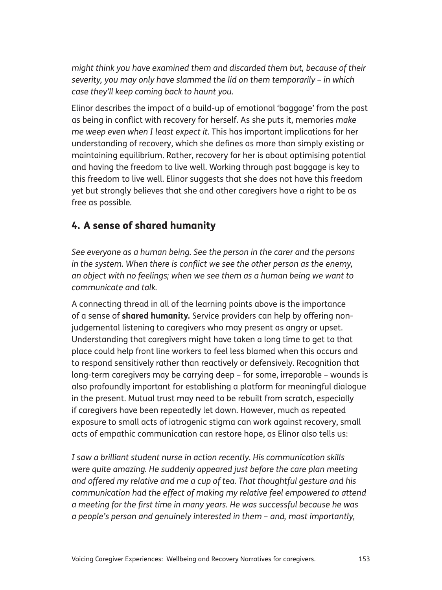*might think you have examined them and discarded them but, because of their severity, you may only have slammed the lid on them temporarily – in which case they'll keep coming back to haunt you.* 

Elinor describes the impact of a build-up of emotional 'baggage' from the past as being in conflict with recovery for herself. As she puts it, memories *make me weep even when I least expect it.* This has important implications for her understanding of recovery, which she defines as more than simply existing or maintaining equilibrium. Rather, recovery for her is about optimising potential and having the freedom to live well. Working through past baggage is key to this freedom to live well. Elinor suggests that she does not have this freedom yet but strongly believes that she and other caregivers have a right to be as free as possible*.* 

# 4. A sense of shared humanity

*See everyone as a human being. See the person in the carer and the persons in the system. When there is conflict we see the other person as the enemy, an object with no feelings; when we see them as a human being we want to communicate and talk.*

A connecting thread in all of the learning points above is the importance of a sense of **shared humanity***.* Service providers can help by offering nonjudgemental listening to caregivers who may present as angry or upset. Understanding that caregivers might have taken a long time to get to that place could help front line workers to feel less blamed when this occurs and to respond sensitively rather than reactively or defensively. Recognition that long-term caregivers may be carrying deep – for some, irreparable – wounds is also profoundly important for establishing a platform for meaningful dialogue in the present. Mutual trust may need to be rebuilt from scratch, especially if caregivers have been repeatedly let down. However, much as repeated exposure to small acts of iatrogenic stigma can work against recovery, small acts of empathic communication can restore hope, as Elinor also tells us:

*I saw a brilliant student nurse in action recently. His communication skills were quite amazing. He suddenly appeared just before the care plan meeting and offered my relative and me a cup of tea. That thoughtful gesture and his communication had the effect of making my relative feel empowered to attend a meeting for the first time in many years. He was successful because he was a people's person and genuinely interested in them – and, most importantly,*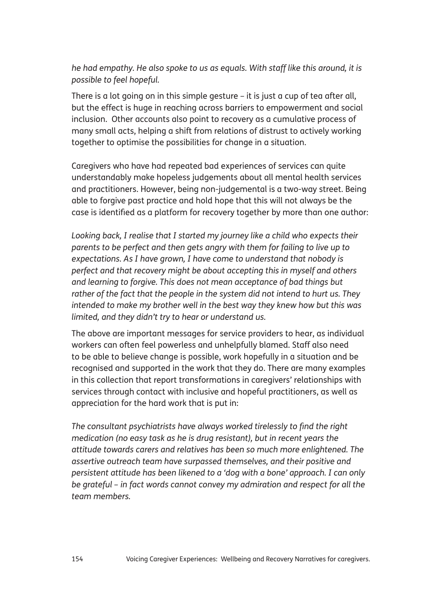*he had empathy. He also spoke to us as equals. With staff like this around, it is possible to feel hopeful.*

There is a lot going on in this simple gesture – it is just a cup of tea after all, but the effect is huge in reaching across barriers to empowerment and social inclusion. Other accounts also point to recovery as a cumulative process of many small acts, helping a shift from relations of distrust to actively working together to optimise the possibilities for change in a situation.

Caregivers who have had repeated bad experiences of services can quite understandably make hopeless judgements about all mental health services and practitioners. However, being non-judgemental is a two-way street. Being able to forgive past practice and hold hope that this will not always be the case is identified as a platform for recovery together by more than one author:

*Looking back, I realise that I started my journey like a child who expects their parents to be perfect and then gets angry with them for failing to live up to expectations. As I have grown, I have come to understand that nobody is perfect and that recovery might be about accepting this in myself and others and learning to forgive. This does not mean acceptance of bad things but rather of the fact that the people in the system did not intend to hurt us. They intended to make my brother well in the best way they knew how but this was limited, and they didn't try to hear or understand us.* 

The above are important messages for service providers to hear, as individual workers can often feel powerless and unhelpfully blamed. Staff also need to be able to believe change is possible, work hopefully in a situation and be recognised and supported in the work that they do. There are many examples in this collection that report transformations in caregivers' relationships with services through contact with inclusive and hopeful practitioners, as well as appreciation for the hard work that is put in:

*The consultant psychiatrists have always worked tirelessly to find the right medication (no easy task as he is drug resistant), but in recent years the attitude towards carers and relatives has been so much more enlightened. The assertive outreach team have surpassed themselves, and their positive and persistent attitude has been likened to a 'dog with a bone' approach. I can only be grateful – in fact words cannot convey my admiration and respect for all the team members.*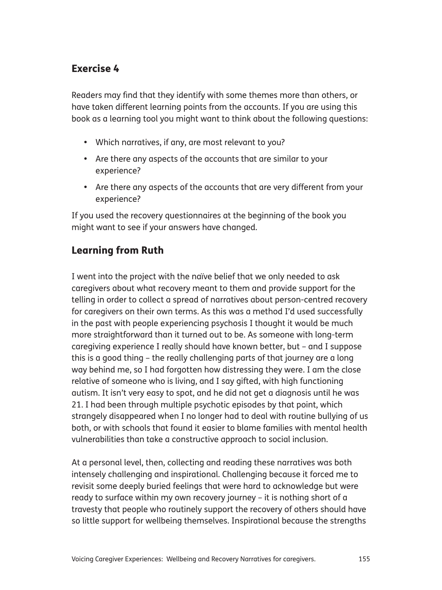# Exercise 4

Readers may find that they identify with some themes more than others, or have taken different learning points from the accounts. If you are using this book as a learning tool you might want to think about the following questions:

- Which narratives, if any, are most relevant to you?
- Are there any aspects of the accounts that are similar to your experience?
- Are there any aspects of the accounts that are very different from your experience?

If you used the recovery questionnaires at the beginning of the book you might want to see if your answers have changed.

# Learning from Ruth

I went into the project with the naïve belief that we only needed to ask caregivers about what recovery meant to them and provide support for the telling in order to collect a spread of narratives about person-centred recovery for caregivers on their own terms. As this was a method I'd used successfully in the past with people experiencing psychosis I thought it would be much more straightforward than it turned out to be. As someone with long-term caregiving experience I really should have known better, but – and I suppose this is a good thing – the really challenging parts of that journey are a long way behind me, so I had forgotten how distressing they were. I am the close relative of someone who is living, and I say gifted, with high functioning autism. It isn't very easy to spot, and he did not get a diagnosis until he was 21. I had been through multiple psychotic episodes by that point, which strangely disappeared when I no longer had to deal with routine bullying of us both, or with schools that found it easier to blame families with mental health vulnerabilities than take a constructive approach to social inclusion.

At a personal level, then, collecting and reading these narratives was both intensely challenging and inspirational. Challenging because it forced me to revisit some deeply buried feelings that were hard to acknowledge but were ready to surface within my own recovery journey – it is nothing short of a travesty that people who routinely support the recovery of others should have so little support for wellbeing themselves. Inspirational because the strengths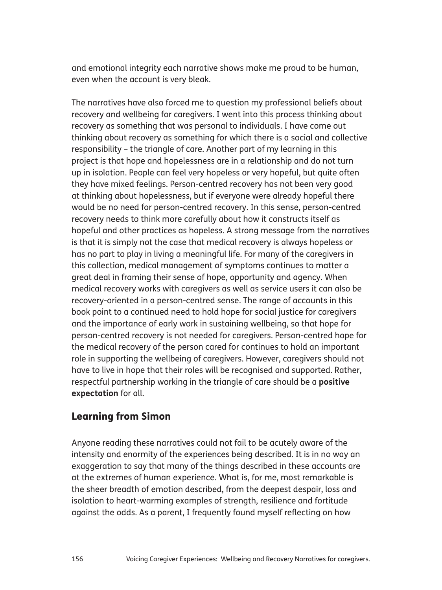and emotional integrity each narrative shows make me proud to be human, even when the account is very bleak.

The narratives have also forced me to question my professional beliefs about recovery and wellbeing for caregivers. I went into this process thinking about recovery as something that was personal to individuals. I have come out thinking about recovery as something for which there is a social and collective responsibility – the triangle of care. Another part of my learning in this project is that hope and hopelessness are in a relationship and do not turn up in isolation. People can feel very hopeless or very hopeful, but quite often they have mixed feelings. Person-centred recovery has not been very good at thinking about hopelessness, but if everyone were already hopeful there would be no need for person-centred recovery. In this sense, person-centred recovery needs to think more carefully about how it constructs itself as hopeful and other practices as hopeless. A strong message from the narratives is that it is simply not the case that medical recovery is always hopeless or has no part to play in living a meaningful life. For many of the caregivers in this collection, medical management of symptoms continues to matter a great deal in framing their sense of hope, opportunity and agency. When medical recovery works with caregivers as well as service users it can also be recovery-oriented in a person-centred sense. The range of accounts in this book point to a continued need to hold hope for social justice for caregivers and the importance of early work in sustaining wellbeing, so that hope for person-centred recovery is not needed for caregivers. Person-centred hope for the medical recovery of the person cared for continues to hold an important role in supporting the wellbeing of caregivers. However, caregivers should not have to live in hope that their roles will be recognised and supported. Rather, respectful partnership working in the triangle of care should be a **positive expectation** for all.

# Learning from Simon

Anyone reading these narratives could not fail to be acutely aware of the intensity and enormity of the experiences being described. It is in no way an exaggeration to say that many of the things described in these accounts are at the extremes of human experience. What is, for me, most remarkable is the sheer breadth of emotion described, from the deepest despair, loss and isolation to heart-warming examples of strength, resilience and fortitude against the odds. As a parent, I frequently found myself reflecting on how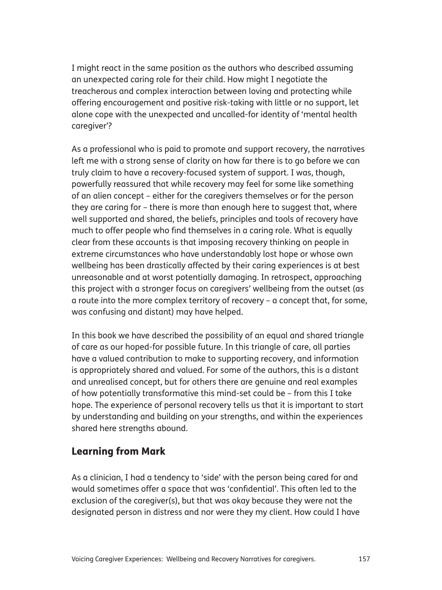I might react in the same position as the authors who described assuming an unexpected caring role for their child. How might I negotiate the treacherous and complex interaction between loving and protecting while offering encouragement and positive risk-taking with little or no support, let alone cope with the unexpected and uncalled-for identity of 'mental health caregiver'?

As a professional who is paid to promote and support recovery, the narratives left me with a strong sense of clarity on how far there is to go before we can truly claim to have a recovery-focused system of support. I was, though, powerfully reassured that while recovery may feel for some like something of an alien concept – either for the caregivers themselves or for the person they are caring for – there is more than enough here to suggest that, where well supported and shared, the beliefs, principles and tools of recovery have much to offer people who find themselves in a caring role. What is equally clear from these accounts is that imposing recovery thinking on people in extreme circumstances who have understandably lost hope or whose own wellbeing has been drastically affected by their caring experiences is at best unreasonable and at worst potentially damaging. In retrospect, approaching this project with a stronger focus on caregivers' wellbeing from the outset (as a route into the more complex territory of recovery – a concept that, for some, was confusing and distant) may have helped.

In this book we have described the possibility of an equal and shared triangle of care as our hoped-for possible future. In this triangle of care, all parties have a valued contribution to make to supporting recovery, and information is appropriately shared and valued. For some of the authors, this is a distant and unrealised concept, but for others there are genuine and real examples of how potentially transformative this mind-set could be – from this I take hope. The experience of personal recovery tells us that it is important to start by understanding and building on your strengths, and within the experiences shared here strengths abound.

# Learning from Mark

As a clinician, I had a tendency to 'side' with the person being cared for and would sometimes offer a space that was 'confidential'. This often led to the exclusion of the caregiver(s), but that was okay because they were not the designated person in distress and nor were they my client. How could I have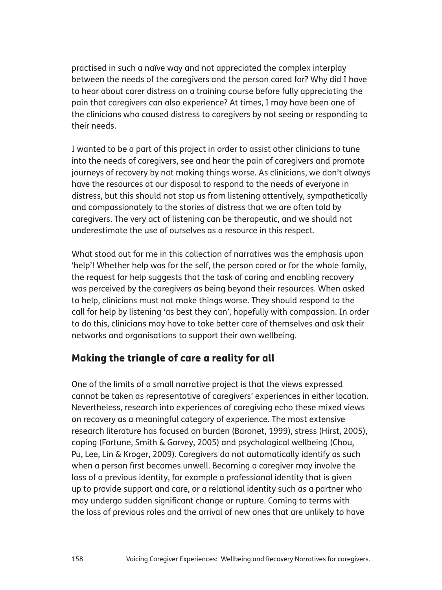practised in such a naïve way and not appreciated the complex interplay between the needs of the caregivers and the person cared for? Why did I have to hear about carer distress on a training course before fully appreciating the pain that caregivers can also experience? At times, I may have been one of the clinicians who caused distress to caregivers by not seeing or responding to their needs.

I wanted to be a part of this project in order to assist other clinicians to tune into the needs of caregivers, see and hear the pain of caregivers and promote journeys of recovery by not making things worse. As clinicians, we don't always have the resources at our disposal to respond to the needs of everyone in distress, but this should not stop us from listening attentively, sympathetically and compassionately to the stories of distress that we are often told by caregivers. The very act of listening can be therapeutic, and we should not underestimate the use of ourselves as a resource in this respect.

What stood out for me in this collection of narratives was the emphasis upon 'help'! Whether help was for the self, the person cared or for the whole family, the request for help suggests that the task of caring and enabling recovery was perceived by the caregivers as being beyond their resources. When asked to help, clinicians must not make things worse. They should respond to the call for help by listening 'as best they can', hopefully with compassion. In order to do this, clinicians may have to take better care of themselves and ask their networks and organisations to support their own wellbeing.

## Making the triangle of care a reality for all

One of the limits of a small narrative project is that the views expressed cannot be taken as representative of caregivers' experiences in either location. Nevertheless, research into experiences of caregiving echo these mixed views on recovery as a meaningful category of experience. The most extensive research literature has focused on burden (Baronet, 1999), stress (Hirst, 2005), coping (Fortune, Smith & Garvey, 2005) and psychological wellbeing (Chou, Pu, Lee, Lin & Kroger, 2009). Caregivers do not automatically identify as such when a person first becomes unwell. Becoming a caregiver may involve the loss of a previous identity, for example a professional identity that is given up to provide support and care, or a relational identity such as a partner who may undergo sudden significant change or rupture. Coming to terms with the loss of previous roles and the arrival of new ones that are unlikely to have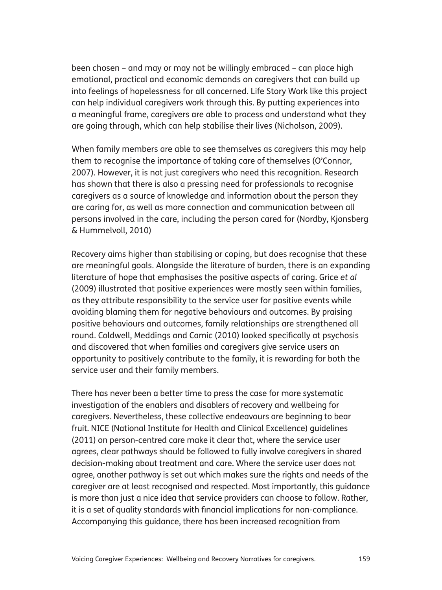been chosen – and may or may not be willingly embraced – can place high emotional, practical and economic demands on caregivers that can build up into feelings of hopelessness for all concerned. Life Story Work like this project can help individual caregivers work through this. By putting experiences into a meaningful frame, caregivers are able to process and understand what they are going through, which can help stabilise their lives (Nicholson, 2009).

When family members are able to see themselves as caregivers this may help them to recognise the importance of taking care of themselves (O'Connor, 2007). However, it is not just caregivers who need this recognition. Research has shown that there is also a pressing need for professionals to recognise caregivers as a source of knowledge and information about the person they are caring for, as well as more connection and communication between all persons involved in the care, including the person cared for (Nordby, Kjonsberg & Hummelvoll, 2010)

Recovery aims higher than stabilising or coping, but does recognise that these are meaningful goals. Alongside the literature of burden, there is an expanding literature of hope that emphasises the positive aspects of caring. Grice *et al* (2009) illustrated that positive experiences were mostly seen within families, as they attribute responsibility to the service user for positive events while avoiding blaming them for negative behaviours and outcomes. By praising positive behaviours and outcomes, family relationships are strengthened all round. Coldwell, Meddings and Camic (2010) looked specifically at psychosis and discovered that when families and caregivers give service users an opportunity to positively contribute to the family, it is rewarding for both the service user and their family members.

There has never been a better time to press the case for more systematic investigation of the enablers and disablers of recovery and wellbeing for caregivers. Nevertheless, these collective endeavours are beginning to bear fruit. NICE (National Institute for Health and Clinical Excellence) guidelines (2011) on person-centred care make it clear that, where the service user agrees, clear pathways should be followed to fully involve caregivers in shared decision-making about treatment and care. Where the service user does not agree, another pathway is set out which makes sure the rights and needs of the caregiver are at least recognised and respected. Most importantly, this guidance is more than just a nice idea that service providers can choose to follow. Rather, it is a set of quality standards with financial implications for non-compliance. Accompanying this guidance, there has been increased recognition from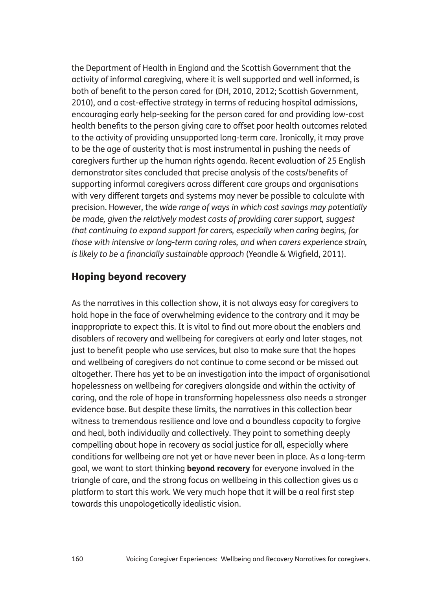the Department of Health in England and the Scottish Government that the activity of informal caregiving, where it is well supported and well informed, is both of benefit to the person cared for (DH, 2010, 2012; Scottish Government, 2010), and a cost-effective strategy in terms of reducing hospital admissions, encouraging early help-seeking for the person cared for and providing low-cost health benefits to the person giving care to offset poor health outcomes related to the activity of providing unsupported long-term care. Ironically, it may prove to be the age of austerity that is most instrumental in pushing the needs of caregivers further up the human rights agenda. Recent evaluation of 25 English demonstrator sites concluded that precise analysis of the costs/benefits of supporting informal caregivers across different care groups and organisations with very different targets and systems may never be possible to calculate with precision. However, the *wide range of ways in which cost savings may potentially be made, given the relatively modest costs of providing carer support, suggest that continuing to expand support for carers, especially when caring begins, for those with intensive or long-term caring roles, and when carers experience strain, is likely to be a financially sustainable approach* (Yeandle & Wigfield, 2011).

# Hoping beyond recovery

As the narratives in this collection show, it is not always easy for caregivers to hold hope in the face of overwhelming evidence to the contrary and it may be inappropriate to expect this. It is vital to find out more about the enablers and disablers of recovery and wellbeing for caregivers at early and later stages, not just to benefit people who use services, but also to make sure that the hopes and wellbeing of caregivers do not continue to come second or be missed out altogether. There has yet to be an investigation into the impact of organisational hopelessness on wellbeing for caregivers alongside and within the activity of caring, and the role of hope in transforming hopelessness also needs a stronger evidence base. But despite these limits, the narratives in this collection bear witness to tremendous resilience and love and a boundless capacity to forgive and heal, both individually and collectively. They point to something deeply compelling about hope in recovery as social justice for all, especially where conditions for wellbeing are not yet or have never been in place. As a long-term goal, we want to start thinking **beyond recovery** for everyone involved in the triangle of care, and the strong focus on wellbeing in this collection gives us a platform to start this work. We very much hope that it will be a real first step towards this unapologetically idealistic vision.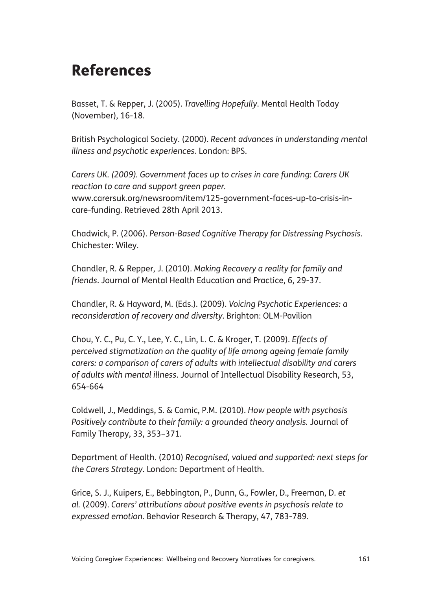# References

Basset, T. & Repper, J. (2005). *Travelling Hopefully*. Mental Health Today (November), 16-18.

British Psychological Society. (2000). *Recent advances in understanding mental illness and psychotic experiences*. London: BPS.

*Carers UK. (2009). Government faces up to crises in care funding: Carers UK reaction to care and support green paper.*  www.carersuk.org/newsroom/item/125-government-faces-up-to-crisis-incare-funding. Retrieved 28th April 2013.

Chadwick, P. (2006). *Person-Based Cognitive Therapy for Distressing Psychosis*. Chichester: Wiley.

Chandler, R. & Repper, J. (2010). *Making Recovery a reality for family and friends*. Journal of Mental Health Education and Practice, 6, 29-37.

Chandler, R. & Hayward, M. (Eds.). (2009). *Voicing Psychotic Experiences: a reconsideration of recovery and diversity*. Brighton: OLM-Pavilion

Chou, Y. C., Pu, C. Y., Lee, Y. C., Lin, L. C. & Kroger, T. (2009). *Effects of perceived stigmatization on the quality of life among ageing female family carers: a comparison of carers of adults with intellectual disability and carers of adults with mental illness*. Journal of Intellectual Disability Research, 53, 654-664

Coldwell, J., Meddings, S. & Camic, P.M. (2010). *How people with psychosis* Positively contribute to their family: a grounded theory analysis. Journal of Family Therapy, 33, 353–371.

Department of Health. (2010) *Recognised, valued and supported: next steps for the Carers Strategy*. London: Department of Health.

Grice, S. J., Kuipers, E., Bebbington, P., Dunn, G., Fowler, D., Freeman, D. *et al.* (2009). *Carers' attributions about positive events in psychosis relate to expressed emotion*. Behavior Research & Therapy, 47, 783-789.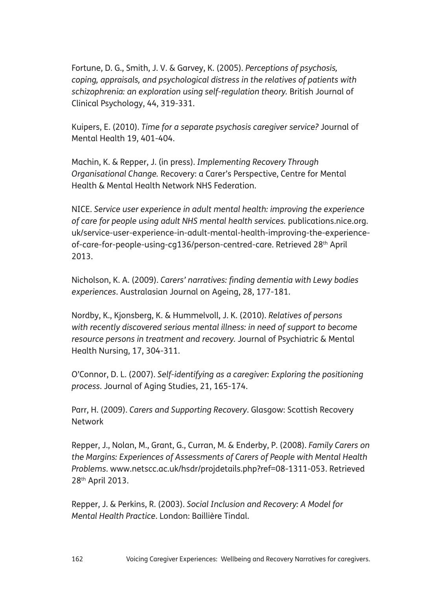Fortune, D. G., Smith, J. V. & Garvey, K. (2005). *Perceptions of psychosis, coping, appraisals, and psychological distress in the relatives of patients with schizophrenia: an exploration using self-regulation theory.* British Journal of Clinical Psychology, 44, 319-331.

Kuipers, E. (2010). *Time for a separate psychosis caregiver service?* Journal of Mental Health 19, 401-404.

Machin, K. & Repper, J. (in press). *Implementing Recovery Through Organisational Change.* Recovery: a Carer's Perspective, Centre for Mental Health & Mental Health Network NHS Federation.

NICE. *Service user experience in adult mental health: improving the experience of care for people using adult NHS mental health services.* publications.nice.org. uk/service-user-experience-in-adult-mental-health-improving-the-experienceof-care-for-people-using-cg136/person-centred-care. Retrieved 28th April 2013.

Nicholson, K. A. (2009). *Carers' narratives: finding dementia with Lewy bodies experiences*. Australasian Journal on Ageing, 28, 177-181.

Nordby, K., Kjonsberg, K. & Hummelvoll, J. K. (2010). *Relatives of persons with recently discovered serious mental illness: in need of support to become resource persons in treatment and recovery.* Journal of Psychiatric & Mental Health Nursing, 17, 304-311.

O'Connor, D. L. (2007). *Self-identifying as a caregiver: Exploring the positioning process*. Journal of Aging Studies, 21, 165-174.

Parr, H. (2009). *Carers and Supporting Recovery*. Glasgow: Scottish Recovery **Network** 

Repper, J., Nolan, M., Grant, G., Curran, M. & Enderby, P. (2008). *Family Carers on the Margins: Experiences of Assessments of Carers of People with Mental Health Problems*. www.netscc.ac.uk/hsdr/projdetails.php?ref=08-1311-053. Retrieved 28th April 2013.

Repper, J. & Perkins, R. (2003). *Social Inclusion and Recovery: A Model for Mental Health Practice*. London: Baillière Tindal.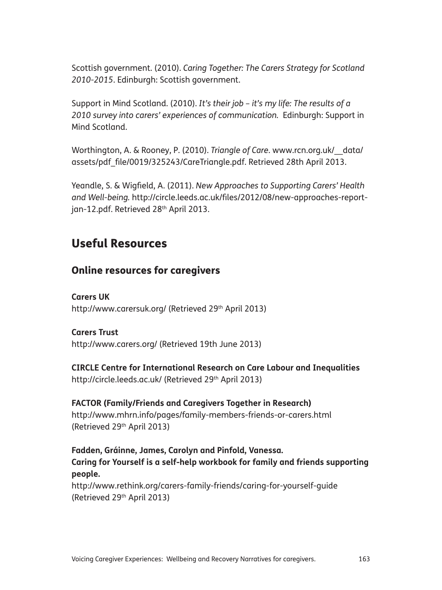Scottish government. (2010). *Caring Together: The Carers Strategy for Scotland 2010-2015*. Edinburgh: Scottish government.

Support in Mind Scotland. (2010). *It's their job – it's my life: The results of a 2010 survey into carers' experiences of communication.* Edinburgh: Support in Mind Scotland.

Worthington, A. & Rooney, P. (2010). *Triangle of Care*. www.rcn.org.uk/\_\_data/ assets/pdf\_file/0019/325243/CareTriangle.pdf. Retrieved 28th April 2013.

Yeandle, S. & Wigfield, A. (2011). *New Approaches to Supporting Carers' Health and Well-being.* http://circle.leeds.ac.uk/files/2012/08/new-approaches-reportjan-12.pdf. Retrieved 28<sup>th</sup> April 2013.

# Useful Resources

## Online resources for caregivers

**Carers UK** http://www.carersuk.org/ (Retrieved 29<sup>th</sup> April 2013)

#### **Carers Trust**

http://www.carers.org/ (Retrieved 19th June 2013)

**CIRCLE Centre for International Research on Care Labour and Inequalities** http://circle.leeds.ac.uk/ (Retrieved 29<sup>th</sup> April 2013)

## **FACTOR (Family/Friends and Caregivers Together in Research)**

http://www.mhrn.info/pages/family-members-friends-or-carers.html (Retrieved 29th April 2013)

**Fadden, Gráinne, James, Carolyn and Pinfold, Vanessa. Caring for Yourself is a self-help workbook for family and friends supporting people.** 

http://www.rethink.org/carers-family-friends/caring-for-yourself-guide (Retrieved 29th April 2013)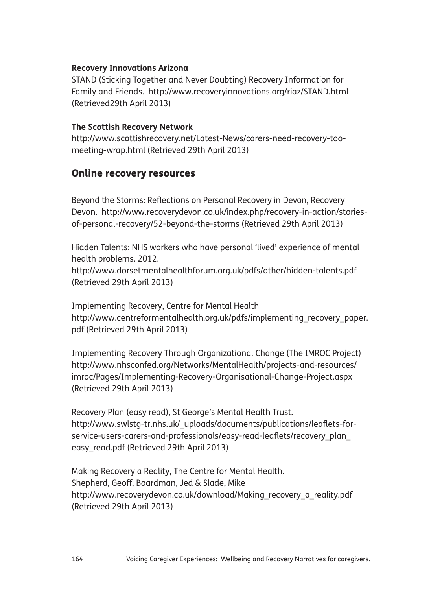#### **Recovery Innovations Arizona**

STAND (Sticking Together and Never Doubting) Recovery Information for Family and Friends. http://www.recoveryinnovations.org/riaz/STAND.html (Retrieved29th April 2013)

#### **The Scottish Recovery Network**

http://www.scottishrecovery.net/Latest-News/carers-need-recovery-toomeeting-wrap.html (Retrieved 29th April 2013)

### Online recovery resources

Beyond the Storms: Reflections on Personal Recovery in Devon, Recovery Devon. http://www.recoverydevon.co.uk/index.php/recovery-in-action/storiesof-personal-recovery/52-beyond-the-storms (Retrieved 29th April 2013)

Hidden Talents: NHS workers who have personal 'lived' experience of mental health problems. 2012.

http://www.dorsetmentalhealthforum.org.uk/pdfs/other/hidden-talents.pdf (Retrieved 29th April 2013)

Implementing Recovery, Centre for Mental Health http://www.centreformentalhealth.org.uk/pdfs/implementing\_recovery\_paper. pdf (Retrieved 29th April 2013)

Implementing Recovery Through Organizational Change (The IMROC Project) http://www.nhsconfed.org/Networks/MentalHealth/projects-and-resources/ imroc/Pages/Implementing-Recovery-Organisational-Change-Project.aspx (Retrieved 29th April 2013)

Recovery Plan (easy read), St George's Mental Health Trust. http://www.swlstg-tr.nhs.uk/\_uploads/documents/publications/leaflets-forservice-users-carers-and-professionals/easy-read-leaflets/recovery\_plan\_ easy\_read.pdf (Retrieved 29th April 2013)

Making Recovery a Reality, The Centre for Mental Health. Shepherd, Geoff, Boardman, Jed & Slade, Mike http://www.recoverydevon.co.uk/download/Making\_recovery\_a\_reality.pdf (Retrieved 29th April 2013)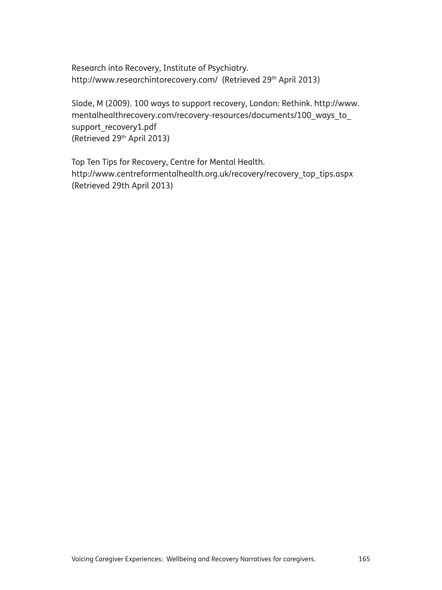Research into Recovery, Institute of Psychiatry. http://www.researchintorecovery.com/ (Retrieved 29<sup>th</sup> April 2013)

Slade, M (2009). 100 ways to support recovery, London: Rethink. http://www. mentalhealthrecovery.com/recovery-resources/documents/100\_ways\_to\_ support\_recovery1.pdf (Retrieved 29th April 2013)

Top Ten Tips for Recovery, Centre for Mental Health. http://www.centreformentalhealth.org.uk/recovery/recovery\_top\_tips.aspx (Retrieved 29th April 2013)